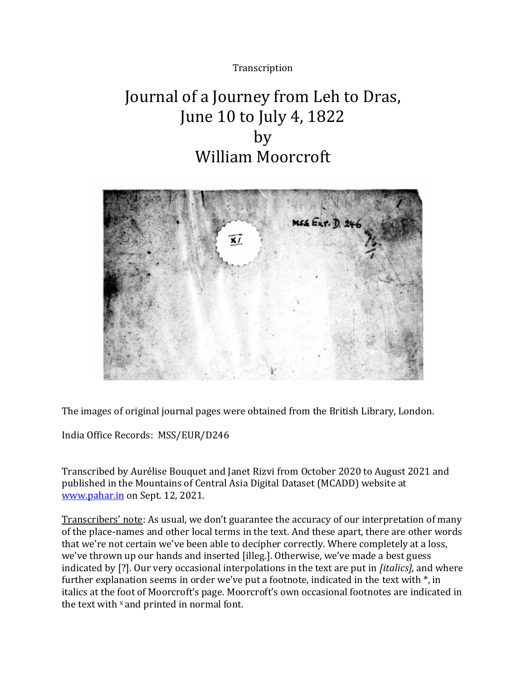# **Transcription**

# Journal of a Journey from Leh to Dras, June 10 to July 4, 1822 by William Moorcroft



The images of original journal pages were obtained from the British Library, London.

India Office Records: MSS/EUR/D246

Transcribed by Aurélise Bouquet and Janet Rizvi from October 2020 to August 2021 and published in the Mountains of Central Asia Digital Dataset (MCADD) website at [www.pahar.in](http://www.pahar.in/) on Sept. 12, 2021.

Transcribers' note: As usual, we don't guarantee the accuracy of our interpretation of many of the place-names and other local terms in the text. And these apart, there are other words that we're not certain we've been able to decipher correctly. Where completely at a loss, we've thrown up our hands and inserted [illeg.]. Otherwise, we've made a best guess indicated by [?]. Our very occasional interpolations in the text are put in *[italics],* and where further explanation seems in order we've put a footnote, indicated in the text with \*, in italics at the foot of Moorcroft's page. Moorcroft's own occasional footnotes are indicated in the text with <sup>x</sup> and printed in normal font.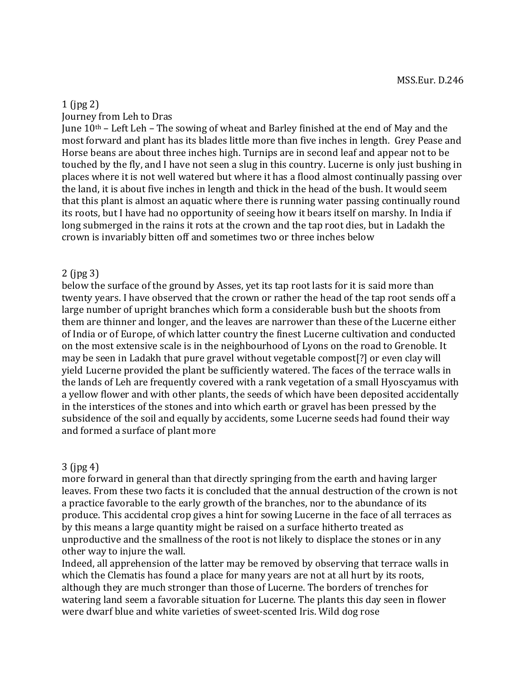# 1 (jpg 2)

Journey from Leh to Dras

June 10th – Left Leh – The sowing of wheat and Barley finished at the end of May and the most forward and plant has its blades little more than five inches in length. Grey Pease and Horse beans are about three inches high. Turnips are in second leaf and appear not to be touched by the fly, and I have not seen a slug in this country. Lucerne is only just bushing in places where it is not well watered but where it has a flood almost continually passing over the land, it is about five inches in length and thick in the head of the bush. It would seem that this plant is almost an aquatic where there is running water passing continually round its roots, but I have had no opportunity of seeing how it bears itself on marshy. In India if long submerged in the rains it rots at the crown and the tap root dies, but in Ladakh the crown is invariably bitten off and sometimes two or three inches below

#### 2 (jpg 3)

below the surface of the ground by Asses, yet its tap root lasts for it is said more than twenty years. I have observed that the crown or rather the head of the tap root sends off a large number of upright branches which form a considerable bush but the shoots from them are thinner and longer, and the leaves are narrower than these of the Lucerne either of India or of Europe, of which latter country the finest Lucerne cultivation and conducted on the most extensive scale is in the neighbourhood of Lyons on the road to Grenoble. It may be seen in Ladakh that pure gravel without vegetable compost[?] or even clay will yield Lucerne provided the plant be sufficiently watered. The faces of the terrace walls in the lands of Leh are frequently covered with a rank vegetation of a small Hyoscyamus with a yellow flower and with other plants, the seeds of which have been deposited accidentally in the interstices of the stones and into which earth or gravel has been pressed by the subsidence of the soil and equally by accidents, some Lucerne seeds had found their way and formed a surface of plant more

#### 3 (jpg 4)

more forward in general than that directly springing from the earth and having larger leaves. From these two facts it is concluded that the annual destruction of the crown is not a practice favorable to the early growth of the branches, nor to the abundance of its produce. This accidental crop gives a hint for sowing Lucerne in the face of all terraces as by this means a large quantity might be raised on a surface hitherto treated as unproductive and the smallness of the root is not likely to displace the stones or in any other way to injure the wall.

Indeed, all apprehension of the latter may be removed by observing that terrace walls in which the Clematis has found a place for many years are not at all hurt by its roots, although they are much stronger than those of Lucerne. The borders of trenches for watering land seem a favorable situation for Lucerne. The plants this day seen in flower were dwarf blue and white varieties of sweet-scented Iris. Wild dog rose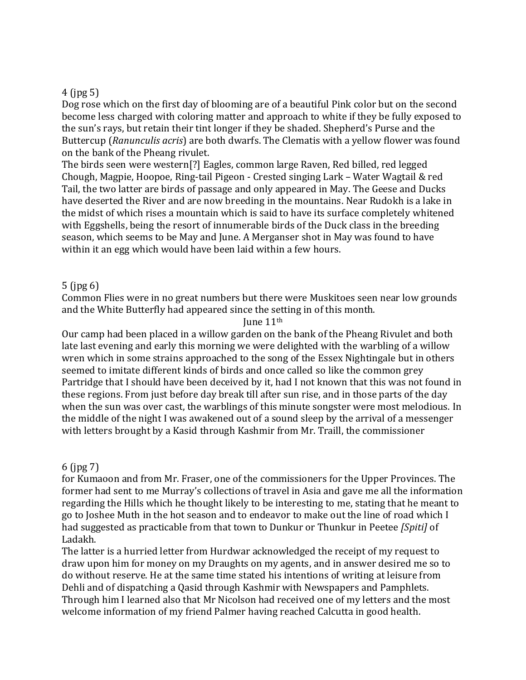### 4 (jpg 5)

Dog rose which on the first day of blooming are of a beautiful Pink color but on the second become less charged with coloring matter and approach to white if they be fully exposed to the sun's rays, but retain their tint longer if they be shaded. Shepherd's Purse and the Buttercup (*Ranunculis acris*) are both dwarfs. The Clematis with a yellow flower was found on the bank of the Pheang rivulet.

The birds seen were western[?] Eagles, common large Raven, Red billed, red legged Chough, Magpie, Hoopoe, Ring-tail Pigeon - Crested singing Lark – Water Wagtail & red Tail, the two latter are birds of passage and only appeared in May. The Geese and Ducks have deserted the River and are now breeding in the mountains. Near Rudokh is a lake in the midst of which rises a mountain which is said to have its surface completely whitened with Eggshells, being the resort of innumerable birds of the Duck class in the breeding season, which seems to be May and June. A Merganser shot in May was found to have within it an egg which would have been laid within a few hours.

### 5 (jpg 6)

Common Flies were in no great numbers but there were Muskitoes seen near low grounds and the White Butterfly had appeared since the setting in of this month.

June 11th

Our camp had been placed in a willow garden on the bank of the Pheang Rivulet and both late last evening and early this morning we were delighted with the warbling of a willow wren which in some strains approached to the song of the Essex Nightingale but in others seemed to imitate different kinds of birds and once called so like the common grey Partridge that I should have been deceived by it, had I not known that this was not found in these regions. From just before day break till after sun rise, and in those parts of the day when the sun was over cast, the warblings of this minute songster were most melodious. In the middle of the night I was awakened out of a sound sleep by the arrival of a messenger with letters brought by a Kasid through Kashmir from Mr. Traill, the commissioner

### 6 (jpg 7)

for Kumaoon and from Mr. Fraser, one of the commissioners for the Upper Provinces. The former had sent to me Murray's collections of travel in Asia and gave me all the information regarding the Hills which he thought likely to be interesting to me, stating that he meant to go to Joshee Muth in the hot season and to endeavor to make out the line of road which I had suggested as practicable from that town to Dunkur or Thunkur in Peetee *[Spiti]* of Ladakh.

The latter is a hurried letter from Hurdwar acknowledged the receipt of my request to draw upon him for money on my Draughts on my agents, and in answer desired me so to do without reserve. He at the same time stated his intentions of writing at leisure from Dehli and of dispatching a Qasid through Kashmir with Newspapers and Pamphlets. Through him I learned also that Mr Nicolson had received one of my letters and the most welcome information of my friend Palmer having reached Calcutta in good health.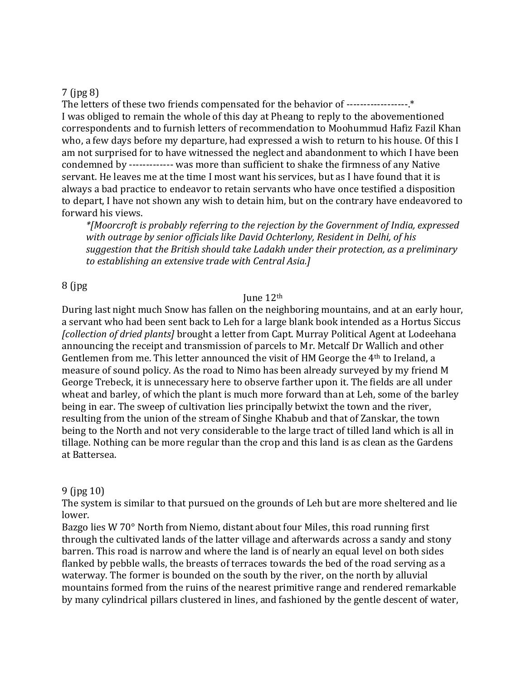### 7 (jpg 8)

The letters of these two friends compensated for the behavior of -------------------\* I was obliged to remain the whole of this day at Pheang to reply to the abovementioned correspondents and to furnish letters of recommendation to Moohummud Hafiz Fazil Khan who, a few days before my departure, had expressed a wish to return to his house. Of this I am not surprised for to have witnessed the neglect and abandonment to which I have been condemned by ------------- was more than sufficient to shake the firmness of any Native servant. He leaves me at the time I most want his services, but as I have found that it is always a bad practice to endeavor to retain servants who have once testified a disposition to depart, I have not shown any wish to detain him, but on the contrary have endeavored to forward his views.

*\*[Moorcroft is probably referring to the rejection by the Government of India, expressed with outrage by senior officials like David Ochterlony, Resident in Delhi, of his suggestion that the British should take Ladakh under their protection, as a preliminary to establishing an extensive trade with Central Asia.]*

### 8 (jpg

#### June 12th

During last night much Snow has fallen on the neighboring mountains, and at an early hour, a servant who had been sent back to Leh for a large blank book intended as a Hortus Siccus *[collection of dried plants]* brought a letter from Capt. Murray Political Agent at Lodeehana announcing the receipt and transmission of parcels to Mr. Metcalf Dr Wallich and other Gentlemen from me. This letter announced the visit of HM George the 4th to Ireland, a measure of sound policy. As the road to Nimo has been already surveyed by my friend M George Trebeck, it is unnecessary here to observe farther upon it. The fields are all under wheat and barley, of which the plant is much more forward than at Leh, some of the barley being in ear. The sweep of cultivation lies principally betwixt the town and the river, resulting from the union of the stream of Singhe Khabub and that of Zanskar, the town being to the North and not very considerable to the large tract of tilled land which is all in tillage. Nothing can be more regular than the crop and this land is as clean as the Gardens at Battersea.

### 9 (jpg 10)

The system is similar to that pursued on the grounds of Leh but are more sheltered and lie lower.

Bazgo lies W 70° North from Niemo, distant about four Miles, this road running first through the cultivated lands of the latter village and afterwards across a sandy and stony barren. This road is narrow and where the land is of nearly an equal level on both sides flanked by pebble walls, the breasts of terraces towards the bed of the road serving as a waterway. The former is bounded on the south by the river, on the north by alluvial mountains formed from the ruins of the nearest primitive range and rendered remarkable by many cylindrical pillars clustered in lines, and fashioned by the gentle descent of water,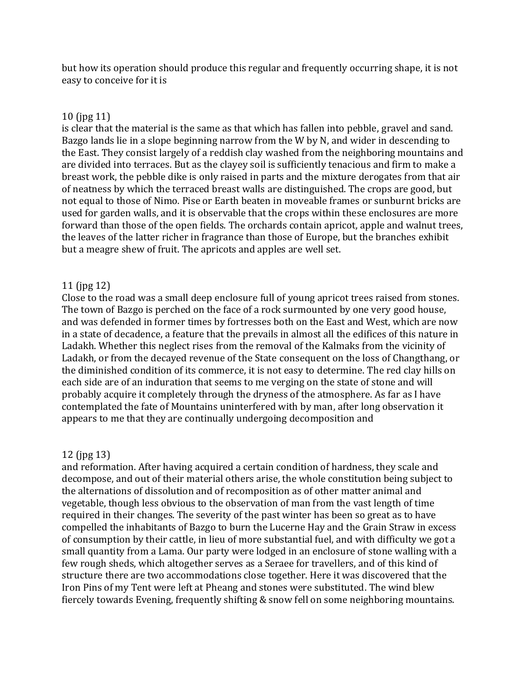but how its operation should produce this regular and frequently occurring shape, it is not easy to conceive for it is

### 10 (jpg 11)

is clear that the material is the same as that which has fallen into pebble, gravel and sand. Bazgo lands lie in a slope beginning narrow from the W by N, and wider in descending to the East. They consist largely of a reddish clay washed from the neighboring mountains and are divided into terraces. But as the clayey soil is sufficiently tenacious and firm to make a breast work, the pebble dike is only raised in parts and the mixture derogates from that air of neatness by which the terraced breast walls are distinguished. The crops are good, but not equal to those of Nimo. Pise or Earth beaten in moveable frames or sunburnt bricks are used for garden walls, and it is observable that the crops within these enclosures are more forward than those of the open fields. The orchards contain apricot, apple and walnut trees, the leaves of the latter richer in fragrance than those of Europe, but the branches exhibit but a meagre shew of fruit. The apricots and apples are well set.

# 11 (jpg 12)

Close to the road was a small deep enclosure full of young apricot trees raised from stones. The town of Bazgo is perched on the face of a rock surmounted by one very good house, and was defended in former times by fortresses both on the East and West, which are now in a state of decadence, a feature that the prevails in almost all the edifices of this nature in Ladakh. Whether this neglect rises from the removal of the Kalmaks from the vicinity of Ladakh, or from the decayed revenue of the State consequent on the loss of Changthang, or the diminished condition of its commerce, it is not easy to determine. The red clay hills on each side are of an induration that seems to me verging on the state of stone and will probably acquire it completely through the dryness of the atmosphere. As far as I have contemplated the fate of Mountains uninterfered with by man, after long observation it appears to me that they are continually undergoing decomposition and

# 12 (jpg 13)

and reformation. After having acquired a certain condition of hardness, they scale and decompose, and out of their material others arise, the whole constitution being subject to the alternations of dissolution and of recomposition as of other matter animal and vegetable, though less obvious to the observation of man from the vast length of time required in their changes. The severity of the past winter has been so great as to have compelled the inhabitants of Bazgo to burn the Lucerne Hay and the Grain Straw in excess of consumption by their cattle, in lieu of more substantial fuel, and with difficulty we got a small quantity from a Lama. Our party were lodged in an enclosure of stone walling with a few rough sheds, which altogether serves as a Seraee for travellers, and of this kind of structure there are two accommodations close together. Here it was discovered that the Iron Pins of my Tent were left at Pheang and stones were substituted. The wind blew fiercely towards Evening, frequently shifting & snow fell on some neighboring mountains.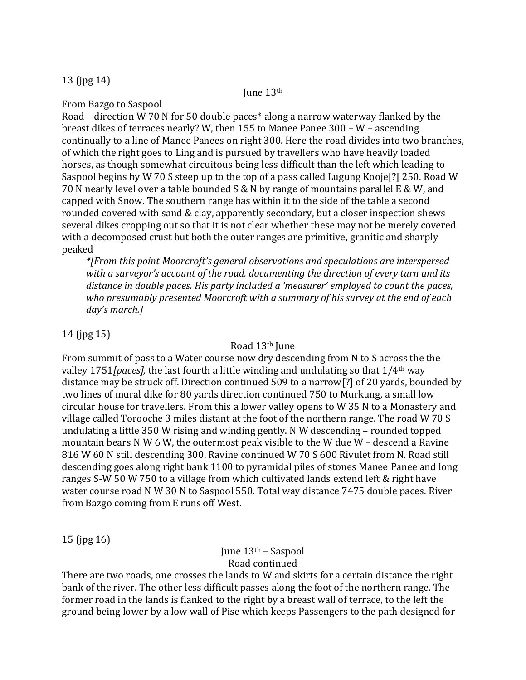### 13 (jpg 14)

#### June 13th

From Bazgo to Saspool

Road – direction W 70 N for 50 double paces\* along a narrow waterway flanked by the breast dikes of terraces nearly? W, then 155 to Manee Panee 300 – W – ascending continually to a line of Manee Panees on right 300. Here the road divides into two branches, of which the right goes to Ling and is pursued by travellers who have heavily loaded horses, as though somewhat circuitous being less difficult than the left which leading to Saspool begins by W 70 S steep up to the top of a pass called Lugung Kooje[?] 250. Road W 70 N nearly level over a table bounded S & N by range of mountains parallel E & W, and capped with Snow. The southern range has within it to the side of the table a second rounded covered with sand & clay, apparently secondary, but a closer inspection shews several dikes cropping out so that it is not clear whether these may not be merely covered with a decomposed crust but both the outer ranges are primitive, granitic and sharply peaked

*\*[From this point Moorcroft's general observations and speculations are interspersed with a surveyor's account of the road, documenting the direction of every turn and its distance in double paces. His party included a 'measurer' employed to count the paces, who presumably presented Moorcroft with a summary of his survey at the end of each day's march.]*

# 14 (jpg 15)

### Road 13th June

From summit of pass to a Water course now dry descending from N to S across the the valley 1751*[paces],* the last fourth a little winding and undulating so that 1/4th way distance may be struck off. Direction continued 509 to a narrow[?] of 20 yards, bounded by two lines of mural dike for 80 yards direction continued 750 to Murkung, a small low circular house for travellers. From this a lower valley opens to W 35 N to a Monastery and village called Torooche 3 miles distant at the foot of the northern range. The road W 70 S undulating a little 350 W rising and winding gently. N W descending – rounded topped mountain bears N W 6 W, the outermost peak visible to the W due W – descend a Ravine 816 W 60 N still descending 300. Ravine continued W 70 S 600 Rivulet from N. Road still descending goes along right bank 1100 to pyramidal piles of stones Manee Panee and long ranges S-W 50 W 750 to a village from which cultivated lands extend left & right have water course road N W 30 N to Saspool 550. Total way distance 7475 double paces. River from Bazgo coming from E runs off West.

15 (jpg 16)

# June 13th – Saspool Road continued

There are two roads, one crosses the lands to W and skirts for a certain distance the right bank of the river. The other less difficult passes along the foot of the northern range. The former road in the lands is flanked to the right by a breast wall of terrace, to the left the ground being lower by a low wall of Pise which keeps Passengers to the path designed for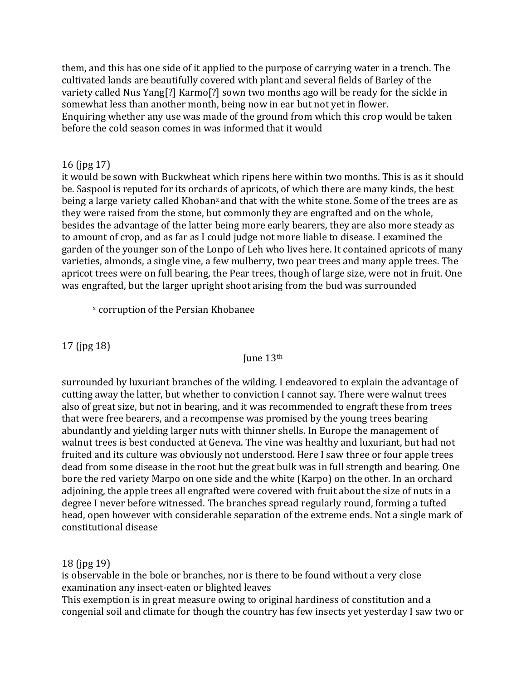them, and this has one side of it applied to the purpose of carrying water in a trench. The cultivated lands are beautifully covered with plant and several fields of Barley of the variety called Nus Yang[?] Karmo[?] sown two months ago will be ready for the sickle in somewhat less than another month, being now in ear but not yet in flower. Enquiring whether any use was made of the ground from which this crop would be taken before the cold season comes in was informed that it would

# 16 (jpg 17)

it would be sown with Buckwheat which ripens here within two months. This is as it should be. Saspool is reputed for its orchards of apricots, of which there are many kinds, the best being a large variety called Khoban<sup>x</sup> and that with the white stone. Some of the trees are as they were raised from the stone, but commonly they are engrafted and on the whole, besides the advantage of the latter being more early bearers, they are also more steady as to amount of crop, and as far as I could judge not more liable to disease. I examined the garden of the younger son of the Lonpo of Leh who lives here. It contained apricots of many varieties, almonds, a single vine, a few mulberry, two pear trees and many apple trees. The apricot trees were on full bearing, the Pear trees, though of large size, were not in fruit. One was engrafted, but the larger upright shoot arising from the bud was surrounded

<sup>x</sup> corruption of the Persian Khobanee

17 (jpg 18)

#### June 13th

surrounded by luxuriant branches of the wilding. I endeavored to explain the advantage of cutting away the latter, but whether to conviction I cannot say. There were walnut trees also of great size, but not in bearing, and it was recommended to engraft these from trees that were free bearers, and a recompense was promised by the young trees bearing abundantly and yielding larger nuts with thinner shells. In Europe the management of walnut trees is best conducted at Geneva. The vine was healthy and luxuriant, but had not fruited and its culture was obviously not understood. Here I saw three or four apple trees dead from some disease in the root but the great bulk was in full strength and bearing. One bore the red variety Marpo on one side and the white (Karpo) on the other. In an orchard adjoining, the apple trees all engrafted were covered with fruit about the size of nuts in a degree I never before witnessed. The branches spread regularly round, forming a tufted head, open however with considerable separation of the extreme ends. Not a single mark of constitutional disease

18 (jpg 19)

is observable in the bole or branches, nor is there to be found without a very close examination any insect-eaten or blighted leaves

This exemption is in great measure owing to original hardiness of constitution and a congenial soil and climate for though the country has few insects yet yesterday I saw two or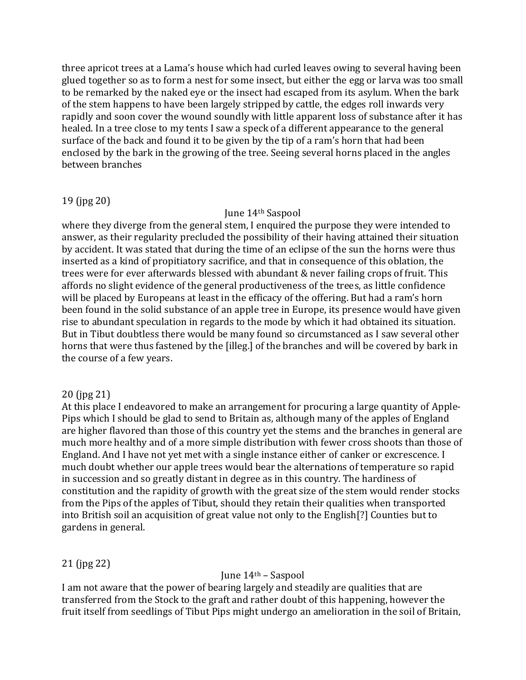three apricot trees at a Lama's house which had curled leaves owing to several having been glued together so as to form a nest for some insect, but either the egg or larva was too small to be remarked by the naked eye or the insect had escaped from its asylum. When the bark of the stem happens to have been largely stripped by cattle, the edges roll inwards very rapidly and soon cover the wound soundly with little apparent loss of substance after it has healed. In a tree close to my tents I saw a speck of a different appearance to the general surface of the back and found it to be given by the tip of a ram's horn that had been enclosed by the bark in the growing of the tree. Seeing several horns placed in the angles between branches

### 19 (jpg 20)

#### June 14th Saspool

where they diverge from the general stem, I enquired the purpose they were intended to answer, as their regularity precluded the possibility of their having attained their situation by accident. It was stated that during the time of an eclipse of the sun the horns were thus inserted as a kind of propitiatory sacrifice, and that in consequence of this oblation, the trees were for ever afterwards blessed with abundant & never failing crops of fruit. This affords no slight evidence of the general productiveness of the trees, as little confidence will be placed by Europeans at least in the efficacy of the offering. But had a ram's horn been found in the solid substance of an apple tree in Europe, its presence would have given rise to abundant speculation in regards to the mode by which it had obtained its situation. But in Tibut doubtless there would be many found so circumstanced as I saw several other horns that were thus fastened by the [illeg.] of the branches and will be covered by bark in the course of a few years.

### 20 (jpg 21)

At this place I endeavored to make an arrangement for procuring a large quantity of Apple-Pips which I should be glad to send to Britain as, although many of the apples of England are higher flavored than those of this country yet the stems and the branches in general are much more healthy and of a more simple distribution with fewer cross shoots than those of England. And I have not yet met with a single instance either of canker or excrescence. I much doubt whether our apple trees would bear the alternations of temperature so rapid in succession and so greatly distant in degree as in this country. The hardiness of constitution and the rapidity of growth with the great size of the stem would render stocks from the Pips of the apples of Tibut, should they retain their qualities when transported into British soil an acquisition of great value not only to the English[?] Counties but to gardens in general.

### 21 (jpg 22)

### June  $14<sup>th</sup>$  – Saspool

I am not aware that the power of bearing largely and steadily are qualities that are transferred from the Stock to the graft and rather doubt of this happening, however the fruit itself from seedlings of Tibut Pips might undergo an amelioration in the soil of Britain,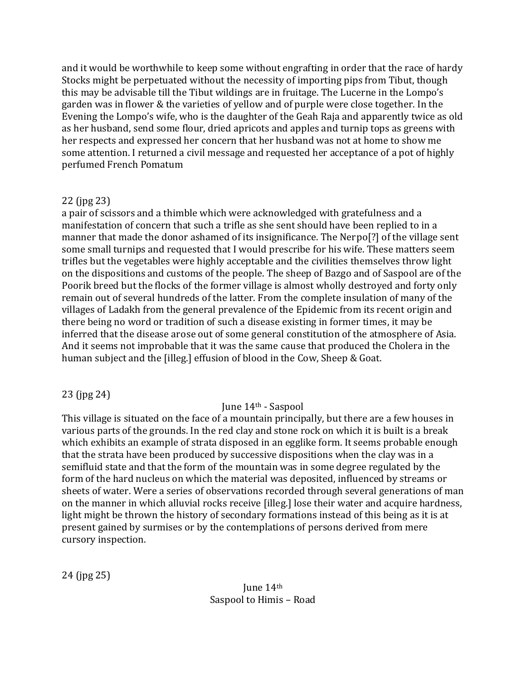and it would be worthwhile to keep some without engrafting in order that the race of hardy Stocks might be perpetuated without the necessity of importing pips from Tibut, though this may be advisable till the Tibut wildings are in fruitage. The Lucerne in the Lompo's garden was in flower & the varieties of yellow and of purple were close together. In the Evening the Lompo's wife, who is the daughter of the Geah Raja and apparently twice as old as her husband, send some flour, dried apricots and apples and turnip tops as greens with her respects and expressed her concern that her husband was not at home to show me some attention. I returned a civil message and requested her acceptance of a pot of highly perfumed French Pomatum

# 22 (jpg 23)

a pair of scissors and a thimble which were acknowledged with gratefulness and a manifestation of concern that such a trifle as she sent should have been replied to in a manner that made the donor ashamed of its insignificance. The Nerpo[?] of the village sent some small turnips and requested that I would prescribe for his wife. These matters seem trifles but the vegetables were highly acceptable and the civilities themselves throw light on the dispositions and customs of the people. The sheep of Bazgo and of Saspool are of the Poorik breed but the flocks of the former village is almost wholly destroyed and forty only remain out of several hundreds of the latter. From the complete insulation of many of the villages of Ladakh from the general prevalence of the Epidemic from its recent origin and there being no word or tradition of such a disease existing in former times, it may be inferred that the disease arose out of some general constitution of the atmosphere of Asia. And it seems not improbable that it was the same cause that produced the Cholera in the human subject and the [illeg.] effusion of blood in the Cow, Sheep & Goat.

23 (jpg 24)

# June 14th - Saspool

This village is situated on the face of a mountain principally, but there are a few houses in various parts of the grounds. In the red clay and stone rock on which it is built is a break which exhibits an example of strata disposed in an egglike form. It seems probable enough that the strata have been produced by successive dispositions when the clay was in a semifluid state and that the form of the mountain was in some degree regulated by the form of the hard nucleus on which the material was deposited, influenced by streams or sheets of water. Were a series of observations recorded through several generations of man on the manner in which alluvial rocks receive [illeg.] lose their water and acquire hardness, light might be thrown the history of secondary formations instead of this being as it is at present gained by surmises or by the contemplations of persons derived from mere cursory inspection.

24 (jpg 25)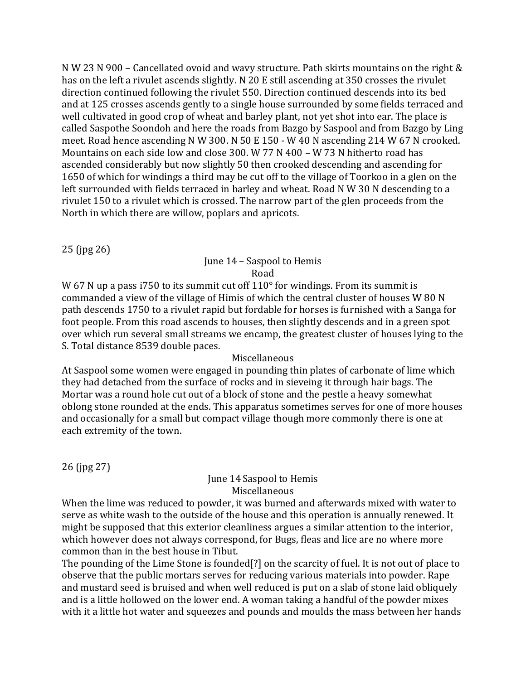N W 23 N 900 – Cancellated ovoid and wavy structure. Path skirts mountains on the right & has on the left a rivulet ascends slightly. N 20 E still ascending at 350 crosses the rivulet direction continued following the rivulet 550. Direction continued descends into its bed and at 125 crosses ascends gently to a single house surrounded by some fields terraced and well cultivated in good crop of wheat and barley plant, not yet shot into ear. The place is called Saspothe Soondoh and here the roads from Bazgo by Saspool and from Bazgo by Ling meet. Road hence ascending N W 300. N 50 E 150 - W 40 N ascending 214 W 67 N crooked. Mountains on each side low and close 300. W 77 N 400 – W 73 N hitherto road has ascended considerably but now slightly 50 then crooked descending and ascending for 1650 of which for windings a third may be cut off to the village of Toorkoo in a glen on the left surrounded with fields terraced in barley and wheat. Road N W 30 N descending to a rivulet 150 to a rivulet which is crossed. The narrow part of the glen proceeds from the North in which there are willow, poplars and apricots.

25 (jpg 26)

# June 14 – Saspool to Hemis Road

W 67 N up a pass i750 to its summit cut off  $110^{\circ}$  for windings. From its summit is commanded a view of the village of Himis of which the central cluster of houses W 80 N path descends 1750 to a rivulet rapid but fordable for horses is furnished with a Sanga for foot people. From this road ascends to houses, then slightly descends and in a green spot over which run several small streams we encamp, the greatest cluster of houses lying to the S. Total distance 8539 double paces.

# Miscellaneous

At Saspool some women were engaged in pounding thin plates of carbonate of lime which they had detached from the surface of rocks and in sieveing it through hair bags. The Mortar was a round hole cut out of a block of stone and the pestle a heavy somewhat oblong stone rounded at the ends. This apparatus sometimes serves for one of more houses and occasionally for a small but compact village though more commonly there is one at each extremity of the town.

26 (jpg 27)

#### June 14 Saspool to Hemis **Miscellaneous**

When the lime was reduced to powder, it was burned and afterwards mixed with water to serve as white wash to the outside of the house and this operation is annually renewed. It might be supposed that this exterior cleanliness argues a similar attention to the interior, which however does not always correspond, for Bugs, fleas and lice are no where more common than in the best house in Tibut.

The pounding of the Lime Stone is founded[?] on the scarcity of fuel. It is not out of place to observe that the public mortars serves for reducing various materials into powder. Rape and mustard seed is bruised and when well reduced is put on a slab of stone laid obliquely and is a little hollowed on the lower end. A woman taking a handful of the powder mixes with it a little hot water and squeezes and pounds and moulds the mass between her hands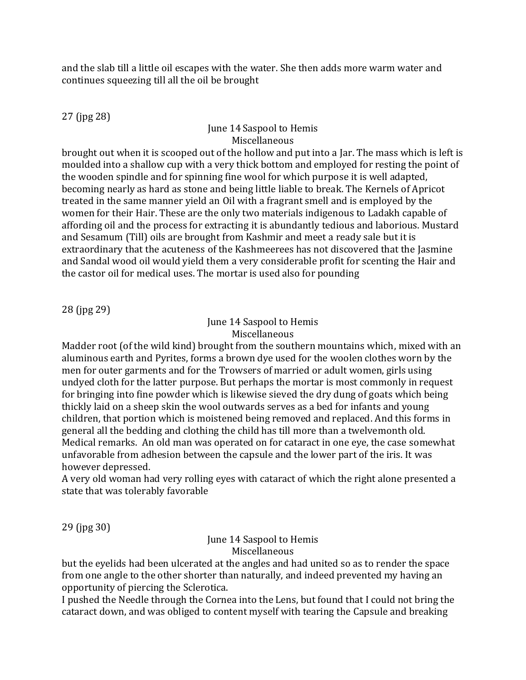and the slab till a little oil escapes with the water. She then adds more warm water and continues squeezing till all the oil be brought

27 (jpg 28)

# June 14 Saspool to Hemis Miscellaneous

brought out when it is scooped out of the hollow and put into a Jar. The mass which is left is moulded into a shallow cup with a very thick bottom and employed for resting the point of the wooden spindle and for spinning fine wool for which purpose it is well adapted, becoming nearly as hard as stone and being little liable to break. The Kernels of Apricot treated in the same manner yield an Oil with a fragrant smell and is employed by the women for their Hair. These are the only two materials indigenous to Ladakh capable of affording oil and the process for extracting it is abundantly tedious and laborious. Mustard and Sesamum (Till) oils are brought from Kashmir and meet a ready sale but it is extraordinary that the acuteness of the Kashmeerees has not discovered that the Jasmine and Sandal wood oil would yield them a very considerable profit for scenting the Hair and the castor oil for medical uses. The mortar is used also for pounding

28 (jpg 29)

# June 14 Saspool to Hemis Miscellaneous

Madder root (of the wild kind) brought from the southern mountains which, mixed with an aluminous earth and Pyrites, forms a brown dye used for the woolen clothes worn by the men for outer garments and for the Trowsers of married or adult women, girls using undyed cloth for the latter purpose. But perhaps the mortar is most commonly in request for bringing into fine powder which is likewise sieved the dry dung of goats which being thickly laid on a sheep skin the wool outwards serves as a bed for infants and young children, that portion which is moistened being removed and replaced. And this forms in general all the bedding and clothing the child has till more than a twelvemonth old. Medical remarks. An old man was operated on for cataract in one eye, the case somewhat unfavorable from adhesion between the capsule and the lower part of the iris. It was however depressed.

A very old woman had very rolling eyes with cataract of which the right alone presented a state that was tolerably favorable

29 (jpg 30)

#### June 14 Saspool to Hemis Miscellaneous

but the eyelids had been ulcerated at the angles and had united so as to render the space from one angle to the other shorter than naturally, and indeed prevented my having an opportunity of piercing the Sclerotica.

I pushed the Needle through the Cornea into the Lens, but found that I could not bring the cataract down, and was obliged to content myself with tearing the Capsule and breaking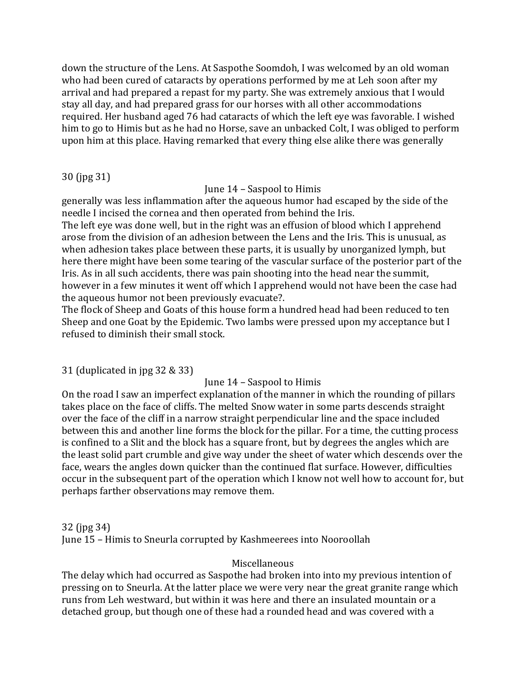down the structure of the Lens. At Saspothe Soomdoh, I was welcomed by an old woman who had been cured of cataracts by operations performed by me at Leh soon after my arrival and had prepared a repast for my party. She was extremely anxious that I would stay all day, and had prepared grass for our horses with all other accommodations required. Her husband aged 76 had cataracts of which the left eye was favorable. I wished him to go to Himis but as he had no Horse, save an unbacked Colt, I was obliged to perform upon him at this place. Having remarked that every thing else alike there was generally

30 (jpg 31)

June 14 – Saspool to Himis

generally was less inflammation after the aqueous humor had escaped by the side of the needle I incised the cornea and then operated from behind the Iris.

The left eye was done well, but in the right was an effusion of blood which I apprehend arose from the division of an adhesion between the Lens and the Iris. This is unusual, as when adhesion takes place between these parts, it is usually by unorganized lymph, but here there might have been some tearing of the vascular surface of the posterior part of the Iris. As in all such accidents, there was pain shooting into the head near the summit, however in a few minutes it went off which I apprehend would not have been the case had the aqueous humor not been previously evacuate?.

The flock of Sheep and Goats of this house form a hundred head had been reduced to ten Sheep and one Goat by the Epidemic. Two lambs were pressed upon my acceptance but I refused to diminish their small stock.

31 (duplicated in jpg 32 & 33)

June 14 – Saspool to Himis

On the road I saw an imperfect explanation of the manner in which the rounding of pillars takes place on the face of cliffs. The melted Snow water in some parts descends straight over the face of the cliff in a narrow straight perpendicular line and the space included between this and another line forms the block for the pillar. For a time, the cutting process is confined to a Slit and the block has a square front, but by degrees the angles which are the least solid part crumble and give way under the sheet of water which descends over the face, wears the angles down quicker than the continued flat surface. However, difficulties occur in the subsequent part of the operation which I know not well how to account for, but perhaps farther observations may remove them.

32 (jpg 34) June 15 – Himis to Sneurla corrupted by Kashmeerees into Nooroollah

# Miscellaneous

The delay which had occurred as Saspothe had broken into into my previous intention of pressing on to Sneurla. At the latter place we were very near the great granite range which runs from Leh westward, but within it was here and there an insulated mountain or a detached group, but though one of these had a rounded head and was covered with a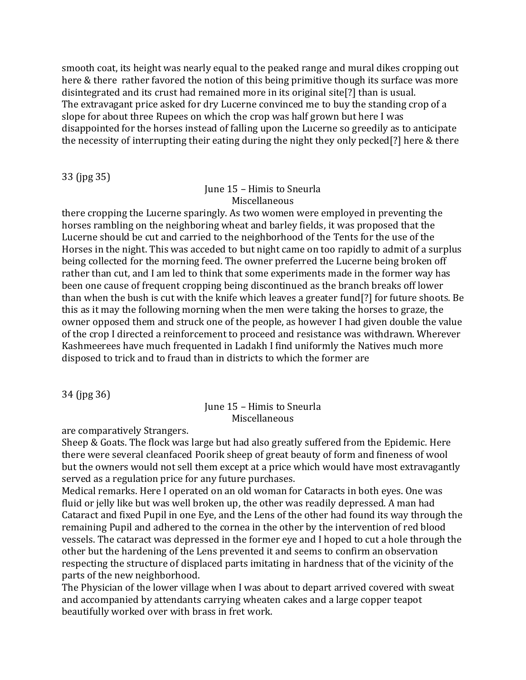smooth coat, its height was nearly equal to the peaked range and mural dikes cropping out here & there rather favored the notion of this being primitive though its surface was more disintegrated and its crust had remained more in its original site[?] than is usual. The extravagant price asked for dry Lucerne convinced me to buy the standing crop of a slope for about three Rupees on which the crop was half grown but here I was disappointed for the horses instead of falling upon the Lucerne so greedily as to anticipate the necessity of interrupting their eating during the night they only pecked[?] here & there

33 (jpg 35)

### June 15 – Himis to Sneurla Miscellaneous

there cropping the Lucerne sparingly. As two women were employed in preventing the horses rambling on the neighboring wheat and barley fields, it was proposed that the Lucerne should be cut and carried to the neighborhood of the Tents for the use of the Horses in the night. This was acceded to but night came on too rapidly to admit of a surplus being collected for the morning feed. The owner preferred the Lucerne being broken off rather than cut, and I am led to think that some experiments made in the former way has been one cause of frequent cropping being discontinued as the branch breaks off lower than when the bush is cut with the knife which leaves a greater fund[?] for future shoots. Be this as it may the following morning when the men were taking the horses to graze, the owner opposed them and struck one of the people, as however I had given double the value of the crop I directed a reinforcement to proceed and resistance was withdrawn. Wherever Kashmeerees have much frequented in Ladakh I find uniformly the Natives much more disposed to trick and to fraud than in districts to which the former are

34 (jpg 36)

### June 15 – Himis to Sneurla Miscellaneous

are comparatively Strangers.

Sheep & Goats. The flock was large but had also greatly suffered from the Epidemic. Here there were several cleanfaced Poorik sheep of great beauty of form and fineness of wool but the owners would not sell them except at a price which would have most extravagantly served as a regulation price for any future purchases.

Medical remarks. Here I operated on an old woman for Cataracts in both eyes. One was fluid or jelly like but was well broken up, the other was readily depressed. A man had Cataract and fixed Pupil in one Eye, and the Lens of the other had found its way through the remaining Pupil and adhered to the cornea in the other by the intervention of red blood vessels. The cataract was depressed in the former eye and I hoped to cut a hole through the other but the hardening of the Lens prevented it and seems to confirm an observation respecting the structure of displaced parts imitating in hardness that of the vicinity of the parts of the new neighborhood.

The Physician of the lower village when I was about to depart arrived covered with sweat and accompanied by attendants carrying wheaten cakes and a large copper teapot beautifully worked over with brass in fret work.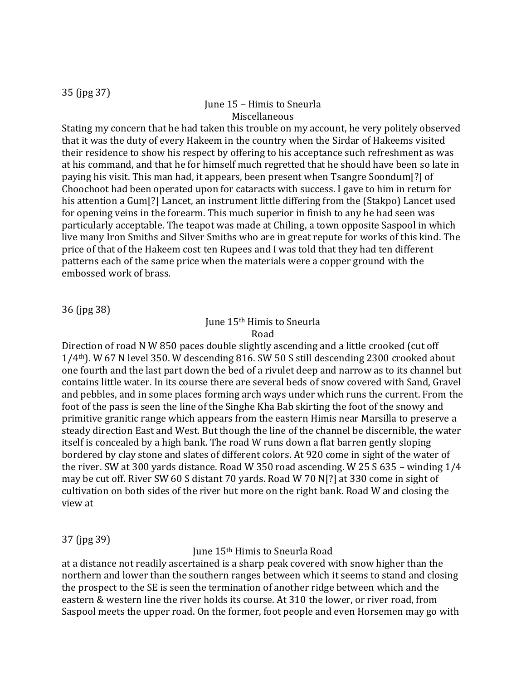35 (jpg 37)

# June 15 – Himis to Sneurla Miscellaneous

Stating my concern that he had taken this trouble on my account, he very politely observed that it was the duty of every Hakeem in the country when the Sirdar of Hakeems visited their residence to show his respect by offering to his acceptance such refreshment as was at his command, and that he for himself much regretted that he should have been so late in paying his visit. This man had, it appears, been present when Tsangre Soondum[?] of Choochoot had been operated upon for cataracts with success. I gave to him in return for his attention a Gum[?] Lancet, an instrument little differing from the (Stakpo) Lancet used for opening veins in the forearm. This much superior in finish to any he had seen was particularly acceptable. The teapot was made at Chiling, a town opposite Saspool in which live many Iron Smiths and Silver Smiths who are in great repute for works of this kind. The price of that of the Hakeem cost ten Rupees and I was told that they had ten different patterns each of the same price when the materials were a copper ground with the embossed work of brass.

36 (jpg 38)

#### June 15th Himis to Sneurla Road

Direction of road N W 850 paces double slightly ascending and a little crooked (cut off 1/4th). W 67 N level 350. W descending 816. SW 50 S still descending 2300 crooked about one fourth and the last part down the bed of a rivulet deep and narrow as to its channel but contains little water. In its course there are several beds of snow covered with Sand, Gravel and pebbles, and in some places forming arch ways under which runs the current. From the foot of the pass is seen the line of the Singhe Kha Bab skirting the foot of the snowy and primitive granitic range which appears from the eastern Himis near Marsilla to preserve a steady direction East and West. But though the line of the channel be discernible, the water itself is concealed by a high bank. The road W runs down a flat barren gently sloping bordered by clay stone and slates of different colors. At 920 come in sight of the water of the river. SW at 300 yards distance. Road W 350 road ascending. W 25 S 635 – winding 1/4 may be cut off. River SW 60 S distant 70 yards. Road W 70 N[?] at 330 come in sight of cultivation on both sides of the river but more on the right bank. Road W and closing the view at

### 37 (jpg 39)

June 15th Himis to Sneurla Road

at a distance not readily ascertained is a sharp peak covered with snow higher than the northern and lower than the southern ranges between which it seems to stand and closing the prospect to the SE is seen the termination of another ridge between which and the eastern & western line the river holds its course. At 310 the lower, or river road, from Saspool meets the upper road. On the former, foot people and even Horsemen may go with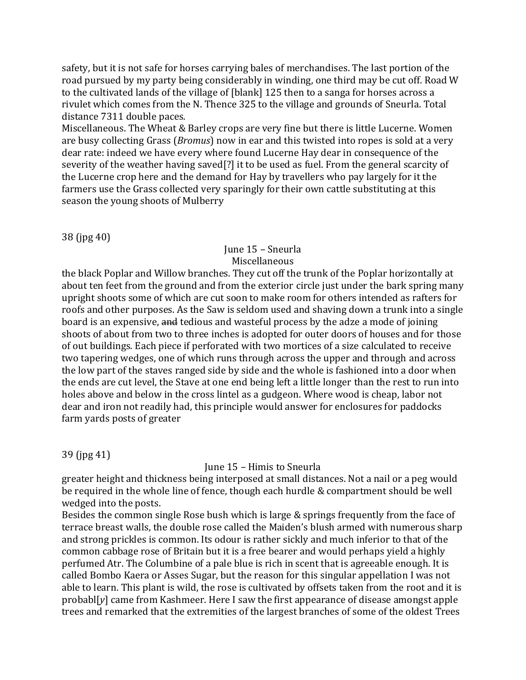safety, but it is not safe for horses carrying bales of merchandises. The last portion of the road pursued by my party being considerably in winding, one third may be cut off. Road W to the cultivated lands of the village of [blank] 125 then to a sanga for horses across a rivulet which comes from the N. Thence 325 to the village and grounds of Sneurla. Total distance 7311 double paces.

Miscellaneous. The Wheat & Barley crops are very fine but there is little Lucerne. Women are busy collecting Grass (*Bromus*) now in ear and this twisted into ropes is sold at a very dear rate: indeed we have every where found Lucerne Hay dear in consequence of the severity of the weather having saved[?] it to be used as fuel. From the general scarcity of the Lucerne crop here and the demand for Hay by travellers who pay largely for it the farmers use the Grass collected very sparingly for their own cattle substituting at this season the young shoots of Mulberry

38 (jpg 40)

# June 15 – Sneurla Miscellaneous

the black Poplar and Willow branches. They cut off the trunk of the Poplar horizontally at about ten feet from the ground and from the exterior circle just under the bark spring many upright shoots some of which are cut soon to make room for others intended as rafters for roofs and other purposes. As the Saw is seldom used and shaving down a trunk into a single board is an expensive, and tedious and wasteful process by the adze a mode of joining shoots of about from two to three inches is adopted for outer doors of houses and for those of out buildings. Each piece if perforated with two mortices of a size calculated to receive two tapering wedges, one of which runs through across the upper and through and across the low part of the staves ranged side by side and the whole is fashioned into a door when the ends are cut level, the Stave at one end being left a little longer than the rest to run into holes above and below in the cross lintel as a gudgeon. Where wood is cheap, labor not dear and iron not readily had, this principle would answer for enclosures for paddocks farm yards posts of greater

39 (jpg 41)

# June 15 – Himis to Sneurla

greater height and thickness being interposed at small distances. Not a nail or a peg would be required in the whole line of fence, though each hurdle & compartment should be well wedged into the posts.

Besides the common single Rose bush which is large & springs frequently from the face of terrace breast walls, the double rose called the Maiden's blush armed with numerous sharp and strong prickles is common. Its odour is rather sickly and much inferior to that of the common cabbage rose of Britain but it is a free bearer and would perhaps yield a highly perfumed Atr. The Columbine of a pale blue is rich in scent that is agreeable enough. It is called Bombo Kaera or Asses Sugar, but the reason for this singular appellation I was not able to learn. This plant is wild, the rose is cultivated by offsets taken from the root and it is probabl[*y*] came from Kashmeer. Here I saw the first appearance of disease amongst apple trees and remarked that the extremities of the largest branches of some of the oldest Trees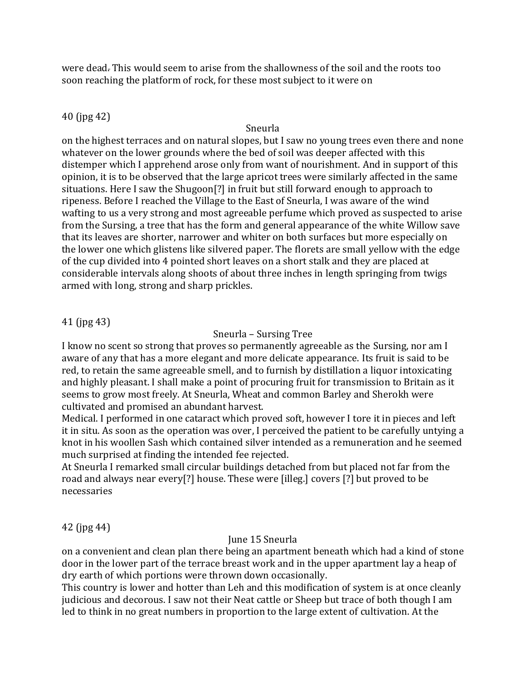were dead. This would seem to arise from the shallowness of the soil and the roots too soon reaching the platform of rock, for these most subject to it were on

# 40 (jpg 42)

# Sneurla

on the highest terraces and on natural slopes, but I saw no young trees even there and none whatever on the lower grounds where the bed of soil was deeper affected with this distemper which I apprehend arose only from want of nourishment. And in support of this opinion, it is to be observed that the large apricot trees were similarly affected in the same situations. Here I saw the Shugoon[?] in fruit but still forward enough to approach to ripeness. Before I reached the Village to the East of Sneurla, I was aware of the wind wafting to us a very strong and most agreeable perfume which proved as suspected to arise from the Sursing, a tree that has the form and general appearance of the white Willow save that its leaves are shorter, narrower and whiter on both surfaces but more especially on the lower one which glistens like silvered paper. The florets are small yellow with the edge of the cup divided into 4 pointed short leaves on a short stalk and they are placed at considerable intervals along shoots of about three inches in length springing from twigs armed with long, strong and sharp prickles.

# 41 (jpg 43)

### Sneurla – Sursing Tree

I know no scent so strong that proves so permanently agreeable as the Sursing, nor am I aware of any that has a more elegant and more delicate appearance. Its fruit is said to be red, to retain the same agreeable smell, and to furnish by distillation a liquor intoxicating and highly pleasant. I shall make a point of procuring fruit for transmission to Britain as it seems to grow most freely. At Sneurla, Wheat and common Barley and Sherokh were cultivated and promised an abundant harvest.

Medical. I performed in one cataract which proved soft, however I tore it in pieces and left it in situ. As soon as the operation was over, I perceived the patient to be carefully untying a knot in his woollen Sash which contained silver intended as a remuneration and he seemed much surprised at finding the intended fee rejected.

At Sneurla I remarked small circular buildings detached from but placed not far from the road and always near every[?] house. These were [illeg.] covers [?] but proved to be necessaries

42 (jpg 44)

# June 15 Sneurla

on a convenient and clean plan there being an apartment beneath which had a kind of stone door in the lower part of the terrace breast work and in the upper apartment lay a heap of dry earth of which portions were thrown down occasionally.

This country is lower and hotter than Leh and this modification of system is at once cleanly judicious and decorous. I saw not their Neat cattle or Sheep but trace of both though I am led to think in no great numbers in proportion to the large extent of cultivation. At the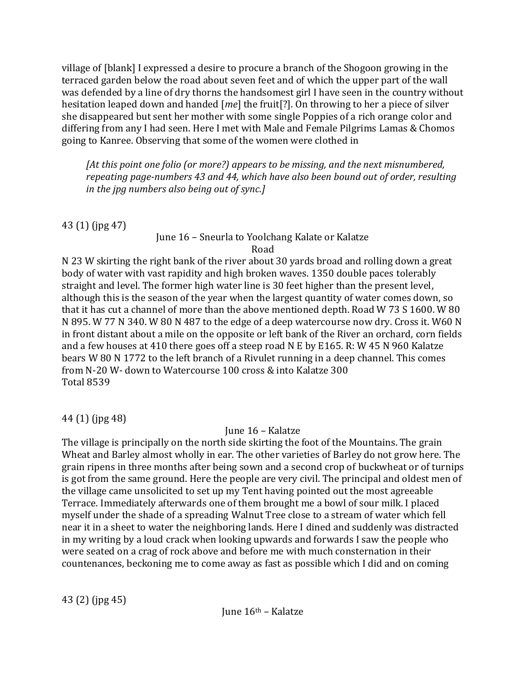village of [blank] I expressed a desire to procure a branch of the Shogoon growing in the terraced garden below the road about seven feet and of which the upper part of the wall was defended by a line of dry thorns the handsomest girl I have seen in the country without hesitation leaped down and handed [*me*] the fruit[?]. On throwing to her a piece of silver she disappeared but sent her mother with some single Poppies of a rich orange color and differing from any I had seen. Here I met with Male and Female Pilgrims Lamas & Chomos going to Kanree. Observing that some of the women were clothed in

*[At this point one folio (or more?) appears to be missing, and the next misnumbered, repeating page-numbers 43 and 44, which have also been bound out of order, resulting in the jpg numbers also being out of sync.]*

43 (1) (jpg 47)

# June 16 – Sneurla to Yoolchang Kalate or Kalatze Road

N 23 W skirting the right bank of the river about 30 yards broad and rolling down a great body of water with vast rapidity and high broken waves. 1350 double paces tolerably straight and level. The former high water line is 30 feet higher than the present level, although this is the season of the year when the largest quantity of water comes down, so that it has cut a channel of more than the above mentioned depth. Road W 73 S 1600. W 80 N 895. W 77 N 340. W 80 N 487 to the edge of a deep watercourse now dry. Cross it. W60 N in front distant about a mile on the opposite or left bank of the River an orchard, corn fields and a few houses at 410 there goes off a steep road N E by E165. R: W 45 N 960 Kalatze bears W 80 N 1772 to the left branch of a Rivulet running in a deep channel. This comes from N-20 W- down to Watercourse 100 cross & into Kalatze 300 Total 8539

44 (1) (jpg 48)

# June 16 – Kalatze

The village is principally on the north side skirting the foot of the Mountains. The grain Wheat and Barley almost wholly in ear. The other varieties of Barley do not grow here. The grain ripens in three months after being sown and a second crop of buckwheat or of turnips is got from the same ground. Here the people are very civil. The principal and oldest men of the village came unsolicited to set up my Tent having pointed out the most agreeable Terrace. Immediately afterwards one of them brought me a bowl of sour milk. I placed myself under the shade of a spreading Walnut Tree close to a stream of water which fell near it in a sheet to water the neighboring lands. Here I dined and suddenly was distracted in my writing by a loud crack when looking upwards and forwards I saw the people who were seated on a crag of rock above and before me with much consternation in their countenances, beckoning me to come away as fast as possible which I did and on coming

43 (2) (jpg 45)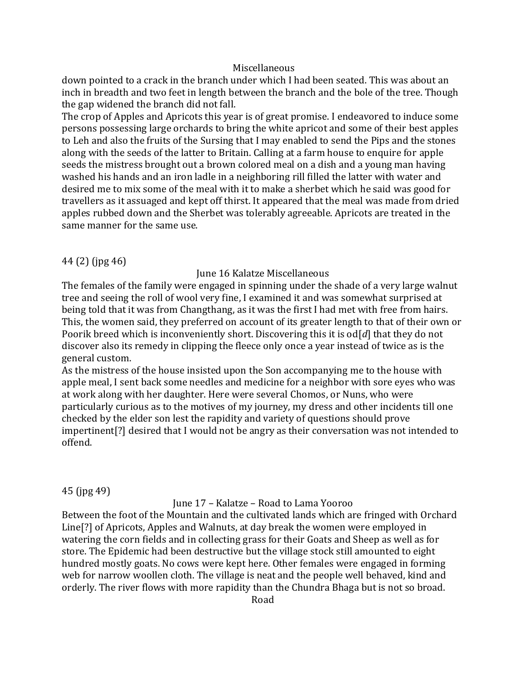#### **Miscellaneous**

down pointed to a crack in the branch under which I had been seated. This was about an inch in breadth and two feet in length between the branch and the bole of the tree. Though the gap widened the branch did not fall.

The crop of Apples and Apricots this year is of great promise. I endeavored to induce some persons possessing large orchards to bring the white apricot and some of their best apples to Leh and also the fruits of the Sursing that I may enabled to send the Pips and the stones along with the seeds of the latter to Britain. Calling at a farm house to enquire for apple seeds the mistress brought out a brown colored meal on a dish and a young man having washed his hands and an iron ladle in a neighboring rill filled the latter with water and desired me to mix some of the meal with it to make a sherbet which he said was good for travellers as it assuaged and kept off thirst. It appeared that the meal was made from dried apples rubbed down and the Sherbet was tolerably agreeable. Apricots are treated in the same manner for the same use.

#### 44 (2) (jpg 46)

June 16 Kalatze Miscellaneous

The females of the family were engaged in spinning under the shade of a very large walnut tree and seeing the roll of wool very fine, I examined it and was somewhat surprised at being told that it was from Changthang, as it was the first I had met with free from hairs. This, the women said, they preferred on account of its greater length to that of their own or Poorik breed which is inconveniently short. Discovering this it is od[*d*] that they do not discover also its remedy in clipping the fleece only once a year instead of twice as is the general custom.

As the mistress of the house insisted upon the Son accompanying me to the house with apple meal, I sent back some needles and medicine for a neighbor with sore eyes who was at work along with her daughter. Here were several Chomos, or Nuns, who were particularly curious as to the motives of my journey, my dress and other incidents till one checked by the elder son lest the rapidity and variety of questions should prove impertinent[?] desired that I would not be angry as their conversation was not intended to offend.

### 45 (jpg 49)

June 17 – Kalatze – Road to Lama Yooroo

Between the foot of the Mountain and the cultivated lands which are fringed with Orchard Line[?] of Apricots, Apples and Walnuts, at day break the women were employed in watering the corn fields and in collecting grass for their Goats and Sheep as well as for store. The Epidemic had been destructive but the village stock still amounted to eight hundred mostly goats. No cows were kept here. Other females were engaged in forming web for narrow woollen cloth. The village is neat and the people well behaved, kind and orderly. The river flows with more rapidity than the Chundra Bhaga but is not so broad.

Road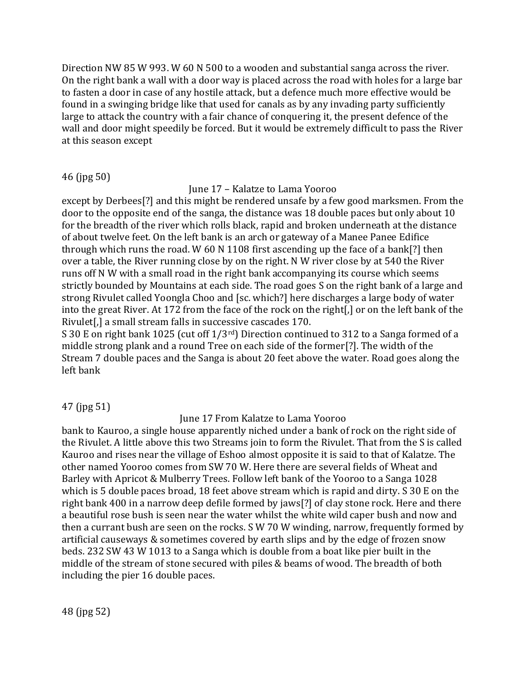Direction NW 85 W 993. W 60 N 500 to a wooden and substantial sanga across the river. On the right bank a wall with a door way is placed across the road with holes for a large bar to fasten a door in case of any hostile attack, but a defence much more effective would be found in a swinging bridge like that used for canals as by any invading party sufficiently large to attack the country with a fair chance of conquering it, the present defence of the wall and door might speedily be forced. But it would be extremely difficult to pass the River at this season except

### 46 (jpg 50)

June 17 – Kalatze to Lama Yooroo

except by Derbees[?] and this might be rendered unsafe by a few good marksmen. From the door to the opposite end of the sanga, the distance was 18 double paces but only about 10 for the breadth of the river which rolls black, rapid and broken underneath at the distance of about twelve feet. On the left bank is an arch or gateway of a Manee Panee Edifice through which runs the road. W 60 N 1108 first ascending up the face of a bank[?] then over a table, the River running close by on the right. N W river close by at 540 the River runs off N W with a small road in the right bank accompanying its course which seems strictly bounded by Mountains at each side. The road goes S on the right bank of a large and strong Rivulet called Yoongla Choo and [sc. which?] here discharges a large body of water into the great River. At 172 from the face of the rock on the right[,] or on the left bank of the Rivulet[,] a small stream falls in successive cascades 170.

S 30 E on right bank 1025 (cut off 1/3<sup>rd</sup>) Direction continued to 312 to a Sanga formed of a middle strong plank and a round Tree on each side of the former[?]. The width of the Stream 7 double paces and the Sanga is about 20 feet above the water. Road goes along the left bank

### 47 (jpg 51)

### June 17 From Kalatze to Lama Yooroo

bank to Kauroo, a single house apparently niched under a bank of rock on the right side of the Rivulet. A little above this two Streams join to form the Rivulet. That from the S is called Kauroo and rises near the village of Eshoo almost opposite it is said to that of Kalatze. The other named Yooroo comes from SW 70 W. Here there are several fields of Wheat and Barley with Apricot & Mulberry Trees. Follow left bank of the Yooroo to a Sanga 1028 which is 5 double paces broad, 18 feet above stream which is rapid and dirty. S 30 E on the right bank 400 in a narrow deep defile formed by jaws[?] of clay stone rock. Here and there a beautiful rose bush is seen near the water whilst the white wild caper bush and now and then a currant bush are seen on the rocks. S W 70 W winding, narrow, frequently formed by artificial causeways & sometimes covered by earth slips and by the edge of frozen snow beds. 232 SW 43 W 1013 to a Sanga which is double from a boat like pier built in the middle of the stream of stone secured with piles & beams of wood. The breadth of both including the pier 16 double paces.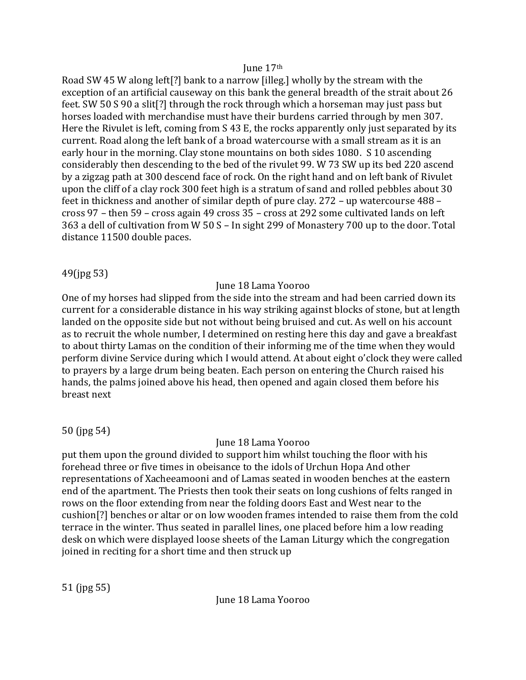#### June 17th

Road SW 45 W along left[?] bank to a narrow [illeg.] wholly by the stream with the exception of an artificial causeway on this bank the general breadth of the strait about 26 feet. SW 50 S 90 a slit[?] through the rock through which a horseman may just pass but horses loaded with merchandise must have their burdens carried through by men 307. Here the Rivulet is left, coming from S 43 E, the rocks apparently only just separated by its current. Road along the left bank of a broad watercourse with a small stream as it is an early hour in the morning. Clay stone mountains on both sides 1080. S 10 ascending considerably then descending to the bed of the rivulet 99. W 73 SW up its bed 220 ascend by a zigzag path at 300 descend face of rock. On the right hand and on left bank of Rivulet upon the cliff of a clay rock 300 feet high is a stratum of sand and rolled pebbles about 30 feet in thickness and another of similar depth of pure clay. 272 – up watercourse 488 – cross 97 – then 59 – cross again 49 cross 35 – cross at 292 some cultivated lands on left 363 a dell of cultivation from W 50 S – In sight 299 of Monastery 700 up to the door. Total distance 11500 double paces.

# 49(jpg 53)

# June 18 Lama Yooroo

One of my horses had slipped from the side into the stream and had been carried down its current for a considerable distance in his way striking against blocks of stone, but at length landed on the opposite side but not without being bruised and cut. As well on his account as to recruit the whole number, I determined on resting here this day and gave a breakfast to about thirty Lamas on the condition of their informing me of the time when they would perform divine Service during which I would attend. At about eight o'clock they were called to prayers by a large drum being beaten. Each person on entering the Church raised his hands, the palms joined above his head, then opened and again closed them before his breast next

50 (jpg 54)

# June 18 Lama Yooroo

put them upon the ground divided to support him whilst touching the floor with his forehead three or five times in obeisance to the idols of Urchun Hopa And other representations of Xacheeamooni and of Lamas seated in wooden benches at the eastern end of the apartment. The Priests then took their seats on long cushions of felts ranged in rows on the floor extending from near the folding doors East and West near to the cushion[?] benches or altar or on low wooden frames intended to raise them from the cold terrace in the winter. Thus seated in parallel lines, one placed before him a low reading desk on which were displayed loose sheets of the Laman Liturgy which the congregation joined in reciting for a short time and then struck up

June 18 Lama Yooroo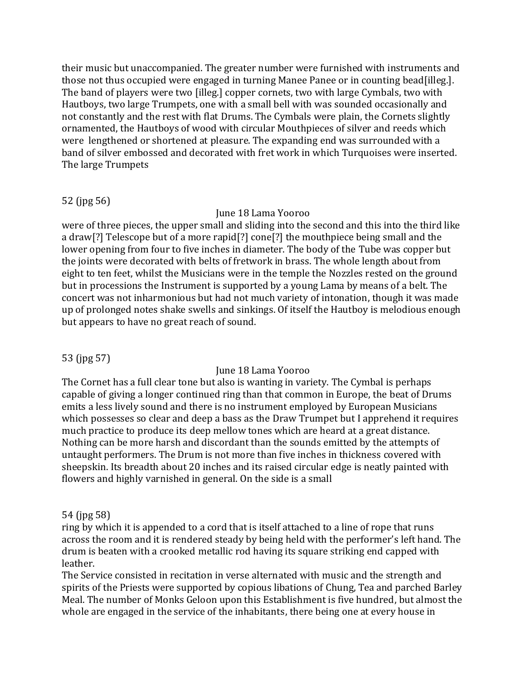their music but unaccompanied. The greater number were furnished with instruments and those not thus occupied were engaged in turning Manee Panee or in counting bead[illeg.]. The band of players were two [illeg.] copper cornets, two with large Cymbals, two with Hautboys, two large Trumpets, one with a small bell with was sounded occasionally and not constantly and the rest with flat Drums. The Cymbals were plain, the Cornets slightly ornamented, the Hautboys of wood with circular Mouthpieces of silver and reeds which were lengthened or shortened at pleasure. The expanding end was surrounded with a band of silver embossed and decorated with fret work in which Turquoises were inserted. The large Trumpets

# 52 (jpg 56)

### June 18 Lama Yooroo

were of three pieces, the upper small and sliding into the second and this into the third like a draw[?] Telescope but of a more rapid[?] cone[?] the mouthpiece being small and the lower opening from four to five inches in diameter. The body of the Tube was copper but the joints were decorated with belts of fretwork in brass. The whole length about from eight to ten feet, whilst the Musicians were in the temple the Nozzles rested on the ground but in processions the Instrument is supported by a young Lama by means of a belt. The concert was not inharmonious but had not much variety of intonation, though it was made up of prolonged notes shake swells and sinkings. Of itself the Hautboy is melodious enough but appears to have no great reach of sound.

# 53 (jpg 57)

# June 18 Lama Yooroo

The Cornet has a full clear tone but also is wanting in variety. The Cymbal is perhaps capable of giving a longer continued ring than that common in Europe, the beat of Drums emits a less lively sound and there is no instrument employed by European Musicians which possesses so clear and deep a bass as the Draw Trumpet but I apprehend it requires much practice to produce its deep mellow tones which are heard at a great distance. Nothing can be more harsh and discordant than the sounds emitted by the attempts of untaught performers. The Drum is not more than five inches in thickness covered with sheepskin. Its breadth about 20 inches and its raised circular edge is neatly painted with flowers and highly varnished in general. On the side is a small

### 54 (jpg 58)

ring by which it is appended to a cord that is itself attached to a line of rope that runs across the room and it is rendered steady by being held with the performer's left hand. The drum is beaten with a crooked metallic rod having its square striking end capped with leather.

The Service consisted in recitation in verse alternated with music and the strength and spirits of the Priests were supported by copious libations of Chung, Tea and parched Barley Meal. The number of Monks Geloon upon this Establishment is five hundred, but almost the whole are engaged in the service of the inhabitants, there being one at every house in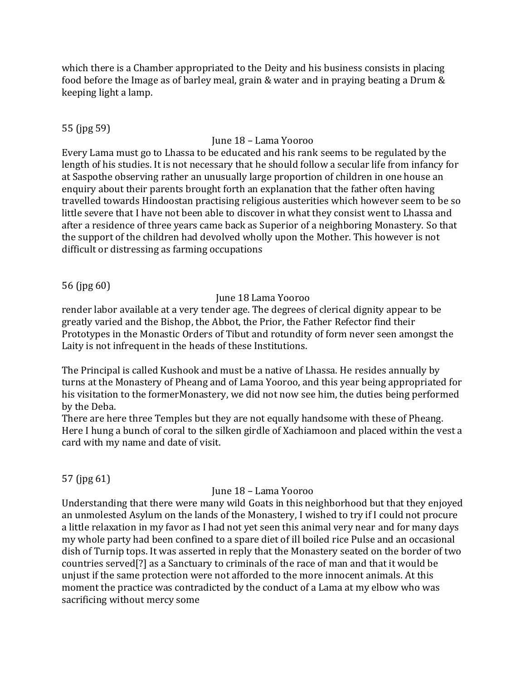which there is a Chamber appropriated to the Deity and his business consists in placing food before the Image as of barley meal, grain & water and in praying beating a Drum & keeping light a lamp.

# 55 (jpg 59)

# June 18 – Lama Yooroo

Every Lama must go to Lhassa to be educated and his rank seems to be regulated by the length of his studies. It is not necessary that he should follow a secular life from infancy for at Saspothe observing rather an unusually large proportion of children in one house an enquiry about their parents brought forth an explanation that the father often having travelled towards Hindoostan practising religious austerities which however seem to be so little severe that I have not been able to discover in what they consist went to Lhassa and after a residence of three years came back as Superior of a neighboring Monastery. So that the support of the children had devolved wholly upon the Mother. This however is not difficult or distressing as farming occupations

56 (jpg 60)

### June 18 Lama Yooroo

render labor available at a very tender age. The degrees of clerical dignity appear to be greatly varied and the Bishop, the Abbot, the Prior, the Father Refector find their Prototypes in the Monastic Orders of Tibut and rotundity of form never seen amongst the Laity is not infrequent in the heads of these Institutions.

The Principal is called Kushook and must be a native of Lhassa. He resides annually by turns at the Monastery of Pheang and of Lama Yooroo, and this year being appropriated for his visitation to the formerMonastery, we did not now see him, the duties being performed by the Deba.

There are here three Temples but they are not equally handsome with these of Pheang. Here I hung a bunch of coral to the silken girdle of Xachiamoon and placed within the vest a card with my name and date of visit.

57 (jpg 61)

### June 18 – Lama Yooroo

Understanding that there were many wild Goats in this neighborhood but that they enjoyed an unmolested Asylum on the lands of the Monastery, I wished to try if I could not procure a little relaxation in my favor as I had not yet seen this animal very near and for many days my whole party had been confined to a spare diet of ill boiled rice Pulse and an occasional dish of Turnip tops. It was asserted in reply that the Monastery seated on the border of two countries served[?] as a Sanctuary to criminals of the race of man and that it would be unjust if the same protection were not afforded to the more innocent animals. At this moment the practice was contradicted by the conduct of a Lama at my elbow who was sacrificing without mercy some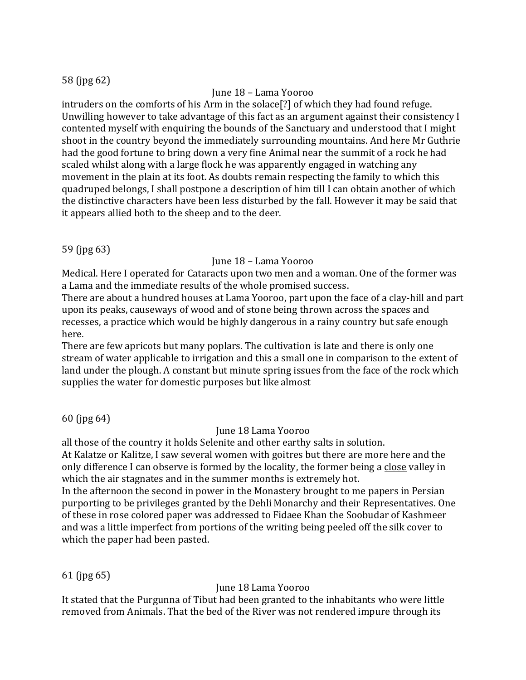# 58 (jpg 62)

# June 18 – Lama Yooroo

intruders on the comforts of his Arm in the solace[?] of which they had found refuge. Unwilling however to take advantage of this fact as an argument against their consistency I contented myself with enquiring the bounds of the Sanctuary and understood that I might shoot in the country beyond the immediately surrounding mountains. And here Mr Guthrie had the good fortune to bring down a very fine Animal near the summit of a rock he had scaled whilst along with a large flock he was apparently engaged in watching any movement in the plain at its foot. As doubts remain respecting the family to which this quadruped belongs, I shall postpone a description of him till I can obtain another of which the distinctive characters have been less disturbed by the fall. However it may be said that it appears allied both to the sheep and to the deer.

59 (jpg 63)

# June 18 – Lama Yooroo

Medical. Here I operated for Cataracts upon two men and a woman. One of the former was a Lama and the immediate results of the whole promised success.

There are about a hundred houses at Lama Yooroo, part upon the face of a clay-hill and part upon its peaks, causeways of wood and of stone being thrown across the spaces and recesses, a practice which would be highly dangerous in a rainy country but safe enough here.

There are few apricots but many poplars. The cultivation is late and there is only one stream of water applicable to irrigation and this a small one in comparison to the extent of land under the plough. A constant but minute spring issues from the face of the rock which supplies the water for domestic purposes but like almost

60 (jpg 64)

# June 18 Lama Yooroo

all those of the country it holds Selenite and other earthy salts in solution.

At Kalatze or Kalitze, I saw several women with goitres but there are more here and the only difference I can observe is formed by the locality, the former being a close valley in which the air stagnates and in the summer months is extremely hot.

In the afternoon the second in power in the Monastery brought to me papers in Persian purporting to be privileges granted by the Dehli Monarchy and their Representatives. One of these in rose colored paper was addressed to Fidaee Khan the Soobudar of Kashmeer and was a little imperfect from portions of the writing being peeled off the silk cover to which the paper had been pasted.

61 (jpg 65)

# June 18 Lama Yooroo

It stated that the Purgunna of Tibut had been granted to the inhabitants who were little removed from Animals. That the bed of the River was not rendered impure through its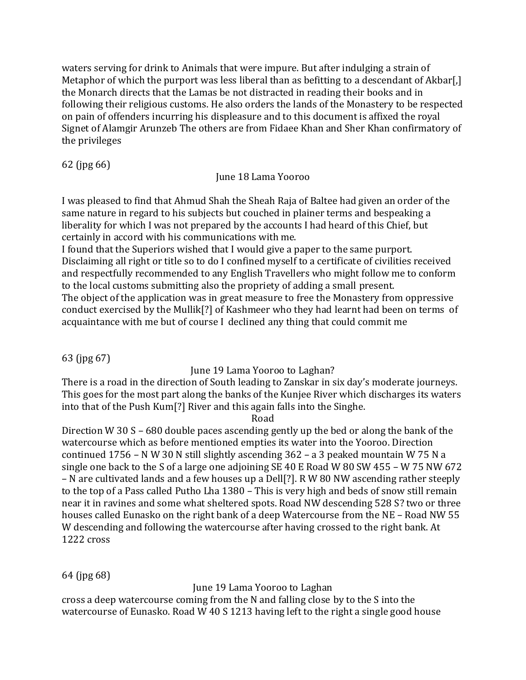waters serving for drink to Animals that were impure. But after indulging a strain of Metaphor of which the purport was less liberal than as befitting to a descendant of Akbar[,] the Monarch directs that the Lamas be not distracted in reading their books and in following their religious customs. He also orders the lands of the Monastery to be respected on pain of offenders incurring his displeasure and to this document is affixed the royal Signet of Alamgir Arunzeb The others are from Fidaee Khan and Sher Khan confirmatory of the privileges

62 (jpg 66)

# June 18 Lama Yooroo

I was pleased to find that Ahmud Shah the Sheah Raja of Baltee had given an order of the same nature in regard to his subjects but couched in plainer terms and bespeaking a liberality for which I was not prepared by the accounts I had heard of this Chief, but certainly in accord with his communications with me.

I found that the Superiors wished that I would give a paper to the same purport. Disclaiming all right or title so to do I confined myself to a certificate of civilities received and respectfully recommended to any English Travellers who might follow me to conform to the local customs submitting also the propriety of adding a small present. The object of the application was in great measure to free the Monastery from oppressive conduct exercised by the Mullik[?] of Kashmeer who they had learnt had been on terms of acquaintance with me but of course I declined any thing that could commit me

63 (jpg 67)

June 19 Lama Yooroo to Laghan?

There is a road in the direction of South leading to Zanskar in six day's moderate journeys. This goes for the most part along the banks of the Kunjee River which discharges its waters into that of the Push Kum[?] River and this again falls into the Singhe.

Road

Direction W 30 S – 680 double paces ascending gently up the bed or along the bank of the watercourse which as before mentioned empties its water into the Yooroo. Direction continued 1756 – N W 30 N still slightly ascending 362 – a 3 peaked mountain W 75 N a single one back to the S of a large one adjoining SE 40 E Road W 80 SW 455 – W 75 NW 672 – N are cultivated lands and a few houses up a Dell[?]. R W 80 NW ascending rather steeply to the top of a Pass called Putho Lha 1380 – This is very high and beds of snow still remain near it in ravines and some what sheltered spots. Road NW descending 528 S? two or three houses called Eunasko on the right bank of a deep Watercourse from the NE – Road NW 55 W descending and following the watercourse after having crossed to the right bank. At 1222 cross

64 (jpg 68)

June 19 Lama Yooroo to Laghan

cross a deep watercourse coming from the N and falling close by to the S into the watercourse of Eunasko. Road W 40 S 1213 having left to the right a single good house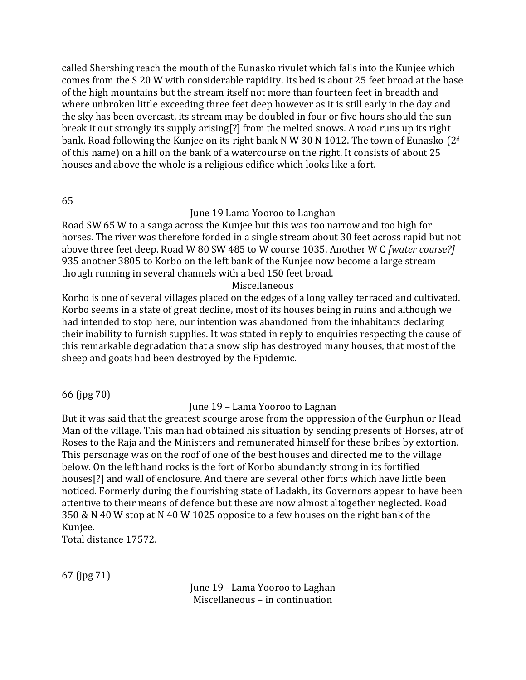called Shershing reach the mouth of the Eunasko rivulet which falls into the Kunjee which comes from the S 20 W with considerable rapidity. Its bed is about 25 feet broad at the base of the high mountains but the stream itself not more than fourteen feet in breadth and where unbroken little exceeding three feet deep however as it is still early in the day and the sky has been overcast, its stream may be doubled in four or five hours should the sun break it out strongly its supply arising[?] from the melted snows. A road runs up its right bank. Road following the Kunjee on its right bank N W 30 N 1012. The town of Eunasko (2<sup>d</sup>) of this name) on a hill on the bank of a watercourse on the right. It consists of about 25 houses and above the whole is a religious edifice which looks like a fort.

65

### June 19 Lama Yooroo to Langhan

Road SW 65 W to a sanga across the Kunjee but this was too narrow and too high for horses. The river was therefore forded in a single stream about 30 feet across rapid but not above three feet deep. Road W 80 SW 485 to W course 1035. Another W C *[water course?]* 935 another 3805 to Korbo on the left bank of the Kunjee now become a large stream though running in several channels with a bed 150 feet broad.

### Miscellaneous

Korbo is one of several villages placed on the edges of a long valley terraced and cultivated. Korbo seems in a state of great decline, most of its houses being in ruins and although we had intended to stop here, our intention was abandoned from the inhabitants declaring their inability to furnish supplies. It was stated in reply to enquiries respecting the cause of this remarkable degradation that a snow slip has destroyed many houses, that most of the sheep and goats had been destroyed by the Epidemic.

66 (jpg 70)

### June 19 – Lama Yooroo to Laghan

But it was said that the greatest scourge arose from the oppression of the Gurphun or Head Man of the village. This man had obtained his situation by sending presents of Horses, atr of Roses to the Raja and the Ministers and remunerated himself for these bribes by extortion. This personage was on the roof of one of the best houses and directed me to the village below. On the left hand rocks is the fort of Korbo abundantly strong in its fortified houses[?] and wall of enclosure. And there are several other forts which have little been noticed. Formerly during the flourishing state of Ladakh, its Governors appear to have been attentive to their means of defence but these are now almost altogether neglected. Road 350 & N 40 W stop at N 40 W 1025 opposite to a few houses on the right bank of the Kunjee.

Total distance 17572.

67 (jpg 71)

June 19 - Lama Yooroo to Laghan Miscellaneous – in continuation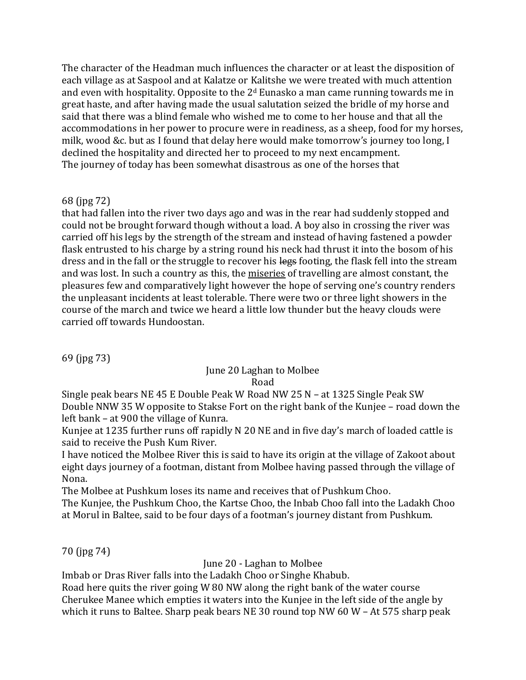The character of the Headman much influences the character or at least the disposition of each village as at Saspool and at Kalatze or Kalitshe we were treated with much attention and even with hospitality. Opposite to the  $2<sup>d</sup>$  Eunasko a man came running towards me in great haste, and after having made the usual salutation seized the bridle of my horse and said that there was a blind female who wished me to come to her house and that all the accommodations in her power to procure were in readiness, as a sheep, food for my horses, milk, wood &c. but as I found that delay here would make tomorrow's journey too long, I declined the hospitality and directed her to proceed to my next encampment. The journey of today has been somewhat disastrous as one of the horses that

# 68 (jpg 72)

that had fallen into the river two days ago and was in the rear had suddenly stopped and could not be brought forward though without a load. A boy also in crossing the river was carried off his legs by the strength of the stream and instead of having fastened a powder flask entrusted to his charge by a string round his neck had thrust it into the bosom of his dress and in the fall or the struggle to recover his legs footing, the flask fell into the stream and was lost. In such a country as this, the miseries of travelling are almost constant, the pleasures few and comparatively light however the hope of serving one's country renders the unpleasant incidents at least tolerable. There were two or three light showers in the course of the march and twice we heard a little low thunder but the heavy clouds were carried off towards Hundoostan.

69 (jpg 73)

# June 20 Laghan to Molbee Road

Single peak bears NE 45 E Double Peak W Road NW 25 N – at 1325 Single Peak SW Double NNW 35 W opposite to Stakse Fort on the right bank of the Kunjee – road down the left bank – at 900 the village of Kunra.

Kunjee at 1235 further runs off rapidly N 20 NE and in five day's march of loaded cattle is said to receive the Push Kum River.

I have noticed the Molbee River this is said to have its origin at the village of Zakoot about eight days journey of a footman, distant from Molbee having passed through the village of Nona.

The Molbee at Pushkum loses its name and receives that of Pushkum Choo.

The Kunjee, the Pushkum Choo, the Kartse Choo, the Inbab Choo fall into the Ladakh Choo at Morul in Baltee, said to be four days of a footman's journey distant from Pushkum.

70 (jpg 74)

June 20 - Laghan to Molbee

Imbab or Dras River falls into the Ladakh Choo or Singhe Khabub.

Road here quits the river going W 80 NW along the right bank of the water course Cherukee Manee which empties it waters into the Kunjee in the left side of the angle by which it runs to Baltee. Sharp peak bears NE 30 round top NW 60 W – At 575 sharp peak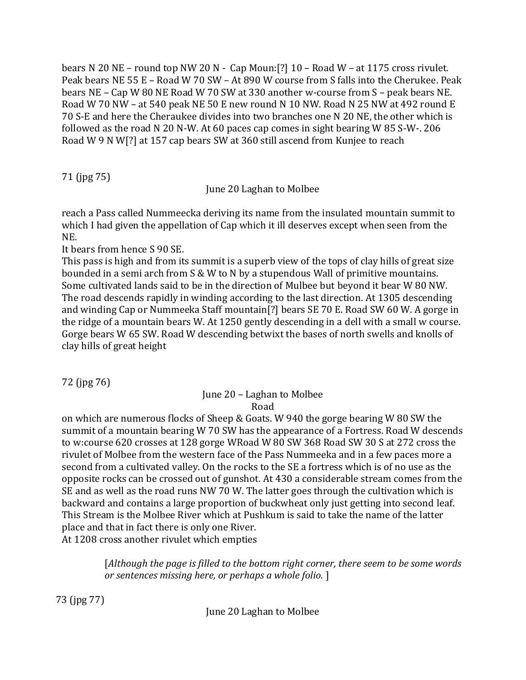bears N 20 NE – round top NW 20 N - Cap Moun:[?] 10 – Road W – at 1175 cross rivulet. Peak bears NE 55 E – Road W 70 SW – At 890 W course from S falls into the Cherukee. Peak bears NE – Cap W 80 NE Road W 70 SW at 330 another w-course from S – peak bears NE. Road W 70 NW – at 540 peak NE 50 E new round N 10 NW. Road N 25 NW at 492 round E 70 S-E and here the Cheraukee divides into two branches one N 20 NE, the other which is followed as the road N 20 N-W. At 60 paces cap comes in sight bearing W 85 S-W-. 206 Road W 9 N W[?] at 157 cap bears SW at 360 still ascend from Kunjee to reach

71 (jpg 75)

June 20 Laghan to Molbee

reach a Pass called Nummeecka deriving its name from the insulated mountain summit to which I had given the appellation of Cap which it ill deserves except when seen from the NE.

It bears from hence S 90 SE.

This pass is high and from its summit is a superb view of the tops of clay hills of great size bounded in a semi arch from S & W to N by a stupendous Wall of primitive mountains. Some cultivated lands said to be in the direction of Mulbee but beyond it bear W 80 NW. The road descends rapidly in winding according to the last direction. At 1305 descending and winding Cap or Nummeeka Staff mountain[?] bears SE 70 E. Road SW 60 W. A gorge in the ridge of a mountain bears W. At 1250 gently descending in a dell with a small w course. Gorge bears W 65 SW. Road W descending betwixt the bases of north swells and knolls of clay hills of great height

72 (jpg 76)

# June 20 – Laghan to Molbee

Road

on which are numerous flocks of Sheep & Goats. W 940 the gorge bearing W 80 SW the summit of a mountain bearing W 70 SW has the appearance of a Fortress. Road W descends to w:course 620 crosses at 128 gorge WRoad W 80 SW 368 Road SW 30 S at 272 cross the rivulet of Molbee from the western face of the Pass Nummeeka and in a few paces more a second from a cultivated valley. On the rocks to the SE a fortress which is of no use as the opposite rocks can be crossed out of gunshot. At 430 a considerable stream comes from the SE and as well as the road runs NW 70 W. The latter goes through the cultivation which is backward and contains a large proportion of buckwheat only just getting into second leaf. This Stream is the Molbee River which at Pushkum is said to take the name of the latter place and that in fact there is only one River.

At 1208 cross another rivulet which empties

[*Although the page is filled to the bottom right corner, there seem to be some words or sentences missing here, or perhaps a whole folio.* ]

73 (jpg 77)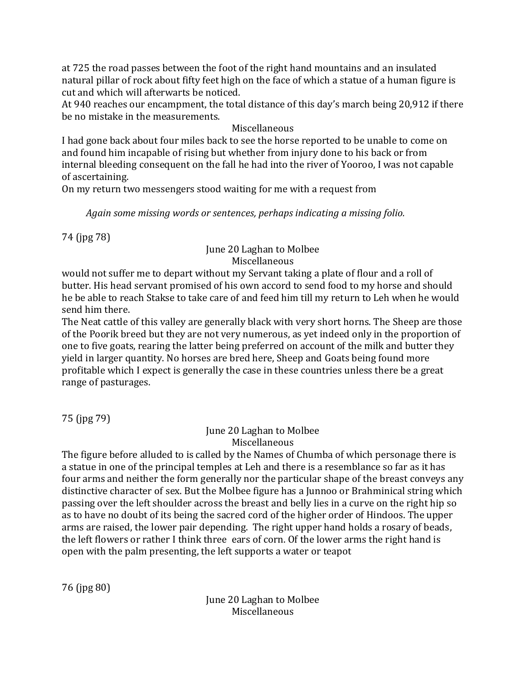at 725 the road passes between the foot of the right hand mountains and an insulated natural pillar of rock about fifty feet high on the face of which a statue of a human figure is cut and which will afterwarts be noticed.

At 940 reaches our encampment, the total distance of this day's march being 20,912 if there be no mistake in the measurements.

# Miscellaneous

I had gone back about four miles back to see the horse reported to be unable to come on and found him incapable of rising but whether from injury done to his back or from internal bleeding consequent on the fall he had into the river of Yooroo, I was not capable of ascertaining.

On my return two messengers stood waiting for me with a request from

*Again some missing words or sentences, perhaps indicating a missing folio.*

74 (jpg 78)

# June 20 Laghan to Molbee Miscellaneous

would not suffer me to depart without my Servant taking a plate of flour and a roll of butter. His head servant promised of his own accord to send food to my horse and should he be able to reach Stakse to take care of and feed him till my return to Leh when he would send him there.

The Neat cattle of this valley are generally black with very short horns. The Sheep are those of the Poorik breed but they are not very numerous, as yet indeed only in the proportion of one to five goats, rearing the latter being preferred on account of the milk and butter they yield in larger quantity. No horses are bred here, Sheep and Goats being found more profitable which I expect is generally the case in these countries unless there be a great range of pasturages.

75 (jpg 79)

June 20 Laghan to Molbee Miscellaneous

The figure before alluded to is called by the Names of Chumba of which personage there is a statue in one of the principal temples at Leh and there is a resemblance so far as it has four arms and neither the form generally nor the particular shape of the breast conveys any distinctive character of sex. But the Molbee figure has a Junnoo or Brahminical string which passing over the left shoulder across the breast and belly lies in a curve on the right hip so as to have no doubt of its being the sacred cord of the higher order of Hindoos. The upper arms are raised, the lower pair depending. The right upper hand holds a rosary of beads, the left flowers or rather I think three ears of corn. Of the lower arms the right hand is open with the palm presenting, the left supports a water or teapot

76 (jpg 80)

June 20 Laghan to Molbee Miscellaneous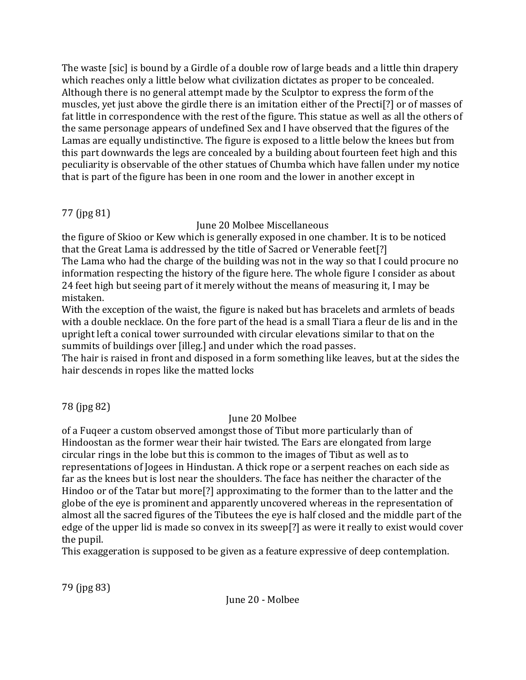The waste [sic] is bound by a Girdle of a double row of large beads and a little thin drapery which reaches only a little below what civilization dictates as proper to be concealed. Although there is no general attempt made by the Sculptor to express the form of the muscles, yet just above the girdle there is an imitation either of the Precti[?] or of masses of fat little in correspondence with the rest of the figure. This statue as well as all the others of the same personage appears of undefined Sex and I have observed that the figures of the Lamas are equally undistinctive. The figure is exposed to a little below the knees but from this part downwards the legs are concealed by a building about fourteen feet high and this peculiarity is observable of the other statues of Chumba which have fallen under my notice that is part of the figure has been in one room and the lower in another except in

# 77 (jpg 81)

June 20 Molbee Miscellaneous

the figure of Skioo or Kew which is generally exposed in one chamber. It is to be noticed that the Great Lama is addressed by the title of Sacred or Venerable feet[?] The Lama who had the charge of the building was not in the way so that I could procure no information respecting the history of the figure here. The whole figure I consider as about 24 feet high but seeing part of it merely without the means of measuring it, I may be mistaken.

With the exception of the waist, the figure is naked but has bracelets and armlets of beads with a double necklace. On the fore part of the head is a small Tiara a fleur de lis and in the upright left a conical tower surrounded with circular elevations similar to that on the summits of buildings over [illeg.] and under which the road passes.

The hair is raised in front and disposed in a form something like leaves, but at the sides the hair descends in ropes like the matted locks

78 (jpg 82)

# June 20 Molbee

of a Fuqeer a custom observed amongst those of Tibut more particularly than of Hindoostan as the former wear their hair twisted. The Ears are elongated from large circular rings in the lobe but this is common to the images of Tibut as well as to representations of Jogees in Hindustan. A thick rope or a serpent reaches on each side as far as the knees but is lost near the shoulders. The face has neither the character of the Hindoo or of the Tatar but more[?] approximating to the former than to the latter and the globe of the eye is prominent and apparently uncovered whereas in the representation of almost all the sacred figures of the Tibutees the eye is half closed and the middle part of the edge of the upper lid is made so convex in its sweep[?] as were it really to exist would cover the pupil.

This exaggeration is supposed to be given as a feature expressive of deep contemplation.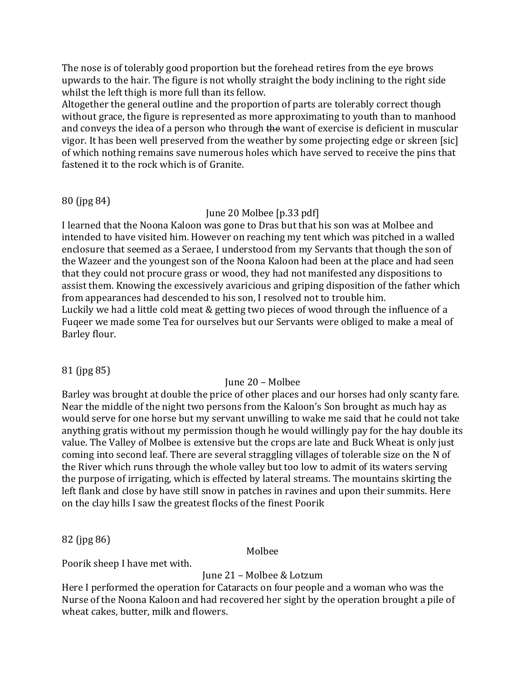The nose is of tolerably good proportion but the forehead retires from the eye brows upwards to the hair. The figure is not wholly straight the body inclining to the right side whilst the left thigh is more full than its fellow.

Altogether the general outline and the proportion of parts are tolerably correct though without grace, the figure is represented as more approximating to youth than to manhood and conveys the idea of a person who through the want of exercise is deficient in muscular vigor. It has been well preserved from the weather by some projecting edge or skreen [sic] of which nothing remains save numerous holes which have served to receive the pins that fastened it to the rock which is of Granite.

#### 80 (jpg 84)

### June 20 Molbee [p.33 pdf]

I learned that the Noona Kaloon was gone to Dras but that his son was at Molbee and intended to have visited him. However on reaching my tent which was pitched in a walled enclosure that seemed as a Seraee, I understood from my Servants that though the son of the Wazeer and the youngest son of the Noona Kaloon had been at the place and had seen that they could not procure grass or wood, they had not manifested any dispositions to assist them. Knowing the excessively avaricious and griping disposition of the father which from appearances had descended to his son, I resolved not to trouble him. Luckily we had a little cold meat & getting two pieces of wood through the influence of a Fuqeer we made some Tea for ourselves but our Servants were obliged to make a meal of Barley flour.

### 81 (jpg 85)

# June 20 – Molbee

Barley was brought at double the price of other places and our horses had only scanty fare. Near the middle of the night two persons from the Kaloon's Son brought as much hay as would serve for one horse but my servant unwilling to wake me said that he could not take anything gratis without my permission though he would willingly pay for the hay double its value. The Valley of Molbee is extensive but the crops are late and Buck Wheat is only just coming into second leaf. There are several straggling villages of tolerable size on the N of the River which runs through the whole valley but too low to admit of its waters serving the purpose of irrigating, which is effected by lateral streams. The mountains skirting the left flank and close by have still snow in patches in ravines and upon their summits. Here on the clay hills I saw the greatest flocks of the finest Poorik

82 (jpg 86)

Molbee

Poorik sheep I have met with.

# June 21 – Molbee & Lotzum

Here I performed the operation for Cataracts on four people and a woman who was the Nurse of the Noona Kaloon and had recovered her sight by the operation brought a pile of wheat cakes, butter, milk and flowers.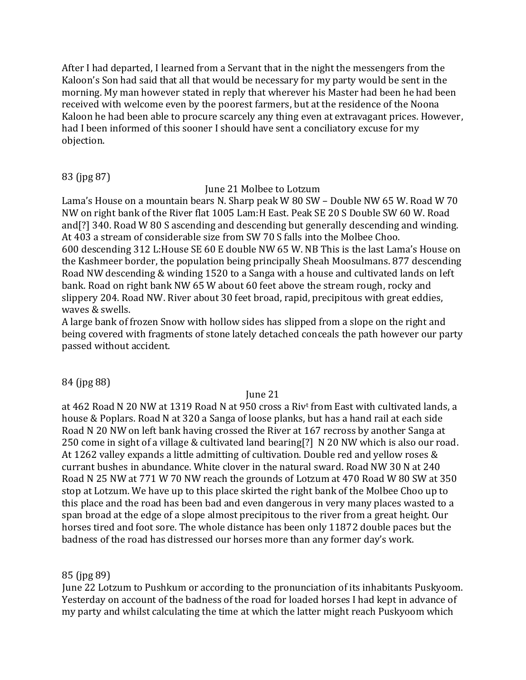After I had departed, I learned from a Servant that in the night the messengers from the Kaloon's Son had said that all that would be necessary for my party would be sent in the morning. My man however stated in reply that wherever his Master had been he had been received with welcome even by the poorest farmers, but at the residence of the Noona Kaloon he had been able to procure scarcely any thing even at extravagant prices. However, had I been informed of this sooner I should have sent a conciliatory excuse for my objection.

# 83 (jpg 87)

### June 21 Molbee to Lotzum

Lama's House on a mountain bears N. Sharp peak W 80 SW – Double NW 65 W. Road W 70 NW on right bank of the River flat 1005 Lam:H East. Peak SE 20 S Double SW 60 W. Road and[?] 340. Road W 80 S ascending and descending but generally descending and winding. At 403 a stream of considerable size from SW 70 S falls into the Molbee Choo. 600 descending 312 L:House SE 60 E double NW 65 W. NB This is the last Lama's House on the Kashmeer border, the population being principally Sheah Moosulmans. 877 descending Road NW descending & winding 1520 to a Sanga with a house and cultivated lands on left bank. Road on right bank NW 65 W about 60 feet above the stream rough, rocky and slippery 204. Road NW. River about 30 feet broad, rapid, precipitous with great eddies, waves & swells.

A large bank of frozen Snow with hollow sides has slipped from a slope on the right and being covered with fragments of stone lately detached conceals the path however our party passed without accident.

### 84 (jpg 88)

### June 21

at 462 Road N 20 NW at 1319 Road N at 950 cross a Riv<sup>t</sup> from East with cultivated lands, a house & Poplars. Road N at 320 a Sanga of loose planks, but has a hand rail at each side Road N 20 NW on left bank having crossed the River at 167 recross by another Sanga at 250 come in sight of a village & cultivated land bearing[?] N 20 NW which is also our road. At 1262 valley expands a little admitting of cultivation. Double red and yellow roses & currant bushes in abundance. White clover in the natural sward. Road NW 30 N at 240 Road N 25 NW at 771 W 70 NW reach the grounds of Lotzum at 470 Road W 80 SW at 350 stop at Lotzum. We have up to this place skirted the right bank of the Molbee Choo up to this place and the road has been bad and even dangerous in very many places wasted to a span broad at the edge of a slope almost precipitous to the river from a great height. Our horses tired and foot sore. The whole distance has been only 11872 double paces but the badness of the road has distressed our horses more than any former day's work.

# 85 (jpg 89)

June 22 Lotzum to Pushkum or according to the pronunciation of its inhabitants Puskyoom. Yesterday on account of the badness of the road for loaded horses I had kept in advance of my party and whilst calculating the time at which the latter might reach Puskyoom which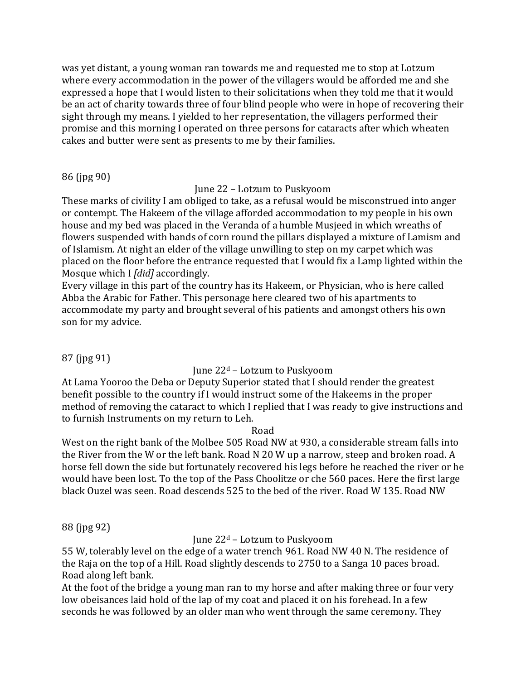was yet distant, a young woman ran towards me and requested me to stop at Lotzum where every accommodation in the power of the villagers would be afforded me and she expressed a hope that I would listen to their solicitations when they told me that it would be an act of charity towards three of four blind people who were in hope of recovering their sight through my means. I yielded to her representation, the villagers performed their promise and this morning I operated on three persons for cataracts after which wheaten cakes and butter were sent as presents to me by their families.

# 86 (jpg 90)

# June 22 – Lotzum to Puskyoom

These marks of civility I am obliged to take, as a refusal would be misconstrued into anger or contempt. The Hakeem of the village afforded accommodation to my people in his own house and my bed was placed in the Veranda of a humble Musjeed in which wreaths of flowers suspended with bands of corn round the pillars displayed a mixture of Lamism and of Islamism. At night an elder of the village unwilling to step on my carpet which was placed on the floor before the entrance requested that I would fix a Lamp lighted within the Mosque which I *[did]* accordingly.

Every village in this part of the country has its Hakeem, or Physician, who is here called Abba the Arabic for Father. This personage here cleared two of his apartments to accommodate my party and brought several of his patients and amongst others his own son for my advice.

# 87 (jpg 91)

# June 22<sup>d</sup> – Lotzum to Puskyoom

At Lama Yooroo the Deba or Deputy Superior stated that I should render the greatest benefit possible to the country if I would instruct some of the Hakeems in the proper method of removing the cataract to which I replied that I was ready to give instructions and to furnish Instruments on my return to Leh.

### Road

West on the right bank of the Molbee 505 Road NW at 930, a considerable stream falls into the River from the W or the left bank. Road N 20 W up a narrow, steep and broken road. A horse fell down the side but fortunately recovered his legs before he reached the river or he would have been lost. To the top of the Pass Choolitze or che 560 paces. Here the first large black Ouzel was seen. Road descends 525 to the bed of the river. Road W 135. Road NW

# 88 (jpg 92)

# June 22<sup>d</sup> – Lotzum to Puskyoom

55 W, tolerably level on the edge of a water trench 961. Road NW 40 N. The residence of the Raja on the top of a Hill. Road slightly descends to 2750 to a Sanga 10 paces broad. Road along left bank.

At the foot of the bridge a young man ran to my horse and after making three or four very low obeisances laid hold of the lap of my coat and placed it on his forehead. In a few seconds he was followed by an older man who went through the same ceremony. They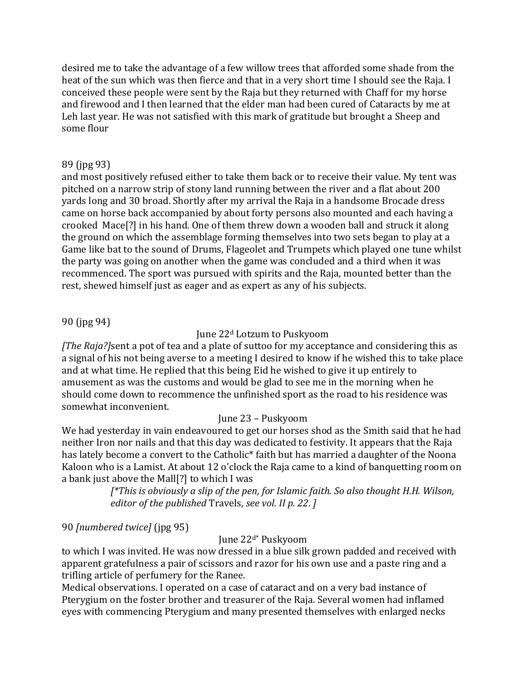desired me to take the advantage of a few willow trees that afforded some shade from the heat of the sun which was then fierce and that in a very short time I should see the Raja. I conceived these people were sent by the Raja but they returned with Chaff for my horse and firewood and I then learned that the elder man had been cured of Cataracts by me at Leh last year. He was not satisfied with this mark of gratitude but brought a Sheep and some flour

### 89 (jpg 93)

and most positively refused either to take them back or to receive their value. My tent was pitched on a narrow strip of stony land running between the river and a flat about 200 yards long and 30 broad. Shortly after my arrival the Raja in a handsome Brocade dress came on horse back accompanied by about forty persons also mounted and each having a crooked Mace[?] in his hand. One of them threw down a wooden ball and struck it along the ground on which the assemblage forming themselves into two sets began to play at a Game like bat to the sound of Drums, Flageolet and Trumpets which played one tune whilst the party was going on another when the game was concluded and a third when it was recommenced. The sport was pursued with spirits and the Raja, mounted better than the rest, shewed himself just as eager and as expert as any of his subjects.

# 90 (jpg 94)

### June 22<sup>d</sup> Lotzum to Puskyoom

*[The Raja?]*sent a pot of tea and a plate of suttoo for my acceptance and considering this as a signal of his not being averse to a meeting I desired to know if he wished this to take place and at what time. He replied that this being Eid he wished to give it up entirely to amusement as was the customs and would be glad to see me in the morning when he should come down to recommence the unfinished sport as the road to his residence was somewhat inconvenient.

# June 23 – Puskyoom

We had yesterday in vain endeavoured to get our horses shod as the Smith said that he had neither Iron nor nails and that this day was dedicated to festivity. It appears that the Raja has lately become a convert to the Catholic<sup>\*</sup> faith but has married a daughter of the Noona Kaloon who is a Lamist. At about 12 o'clock the Raja came to a kind of banquetting room on a bank just above the Mall[?] to which I was

> *[\*This is obviously a slip of the pen, for Islamic faith. So also thought H.H. Wilson, editor of the published* Travels, *see vol. II p. 22*. *]*

# 90 *[numbered twice]* (jpg 95)

June 22d\* Puskyoom

to which I was invited. He was now dressed in a blue silk grown padded and received with apparent gratefulness a pair of scissors and razor for his own use and a paste ring and a trifling article of perfumery for the Ranee.

Medical observations. I operated on a case of cataract and on a very bad instance of Pterygium on the foster brother and treasurer of the Raja. Several women had inflamed eyes with commencing Pterygium and many presented themselves with enlarged necks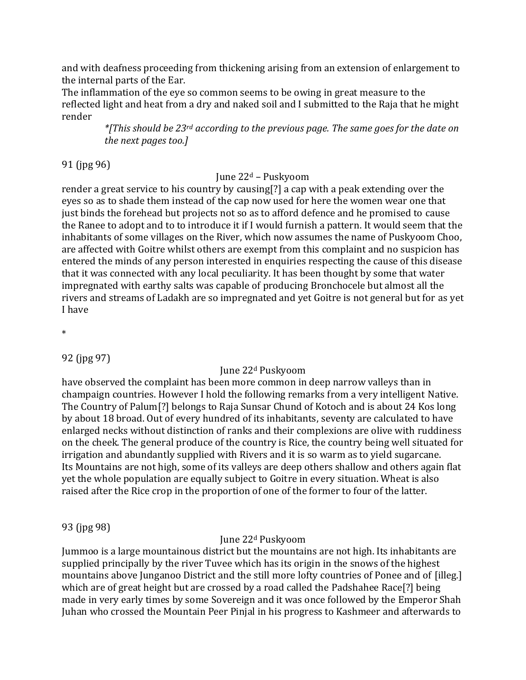and with deafness proceeding from thickening arising from an extension of enlargement to the internal parts of the Ear.

The inflammation of the eye so common seems to be owing in great measure to the reflected light and heat from a dry and naked soil and I submitted to the Raja that he might render

> *\*[This should be 23rd according to the previous page. The same goes for the date on the next pages too.]*

91 (jpg 96)

# June 22<sup>d</sup> – Puskyoom

render a great service to his country by causing[?] a cap with a peak extending over the eyes so as to shade them instead of the cap now used for here the women wear one that just binds the forehead but projects not so as to afford defence and he promised to cause the Ranee to adopt and to to introduce it if I would furnish a pattern. It would seem that the inhabitants of some villages on the River, which now assumes the name of Puskyoom Choo, are affected with Goitre whilst others are exempt from this complaint and no suspicion has entered the minds of any person interested in enquiries respecting the cause of this disease that it was connected with any local peculiarity. It has been thought by some that water impregnated with earthy salts was capable of producing Bronchocele but almost all the rivers and streams of Ladakh are so impregnated and yet Goitre is not general but for as yet I have

\*

92 (jpg 97)

# June 22<sup>d</sup> Puskyoom

have observed the complaint has been more common in deep narrow valleys than in champaign countries. However I hold the following remarks from a very intelligent Native. The Country of Palum[?] belongs to Raja Sunsar Chund of Kotoch and is about 24 Kos long by about 18 broad. Out of every hundred of its inhabitants, seventy are calculated to have enlarged necks without distinction of ranks and their complexions are olive with ruddiness on the cheek. The general produce of the country is Rice, the country being well situated for irrigation and abundantly supplied with Rivers and it is so warm as to yield sugarcane. Its Mountains are not high, some of its valleys are deep others shallow and others again flat yet the whole population are equally subject to Goitre in every situation. Wheat is also raised after the Rice crop in the proportion of one of the former to four of the latter.

# 93 (jpg 98)

# June 22<sup>d</sup> Puskyoom

Jummoo is a large mountainous district but the mountains are not high. Its inhabitants are supplied principally by the river Tuvee which has its origin in the snows of the highest mountains above Junganoo District and the still more lofty countries of Ponee and of [illeg.] which are of great height but are crossed by a road called the Padshahee Race[?] being made in very early times by some Sovereign and it was once followed by the Emperor Shah Juhan who crossed the Mountain Peer Pinjal in his progress to Kashmeer and afterwards to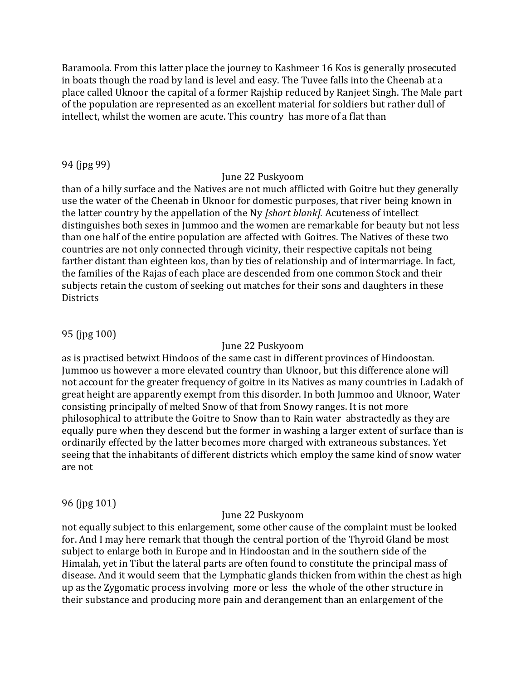Baramoola. From this latter place the journey to Kashmeer 16 Kos is generally prosecuted in boats though the road by land is level and easy. The Tuvee falls into the Cheenab at a place called Uknoor the capital of a former Rajship reduced by Ranjeet Singh. The Male part of the population are represented as an excellent material for soldiers but rather dull of intellect, whilst the women are acute. This country has more of a flat than

### 94 (jpg 99)

#### June 22 Puskyoom

than of a hilly surface and the Natives are not much afflicted with Goitre but they generally use the water of the Cheenab in Uknoor for domestic purposes, that river being known in the latter country by the appellation of the Ny *[short blank].* Acuteness of intellect distinguishes both sexes in Jummoo and the women are remarkable for beauty but not less than one half of the entire population are affected with Goitres. The Natives of these two countries are not only connected through vicinity, their respective capitals not being farther distant than eighteen kos, than by ties of relationship and of intermarriage. In fact, the families of the Rajas of each place are descended from one common Stock and their subjects retain the custom of seeking out matches for their sons and daughters in these **Districts** 

# 95 (jpg 100)

### June 22 Puskyoom

as is practised betwixt Hindoos of the same cast in different provinces of Hindoostan. Jummoo us however a more elevated country than Uknoor, but this difference alone will not account for the greater frequency of goitre in its Natives as many countries in Ladakh of great height are apparently exempt from this disorder. In both Jummoo and Uknoor, Water consisting principally of melted Snow of that from Snowy ranges. It is not more philosophical to attribute the Goitre to Snow than to Rain water abstractedly as they are equally pure when they descend but the former in washing a larger extent of surface than is ordinarily effected by the latter becomes more charged with extraneous substances. Yet seeing that the inhabitants of different districts which employ the same kind of snow water are not

### 96 (jpg 101)

### June 22 Puskyoom

not equally subject to this enlargement, some other cause of the complaint must be looked for. And I may here remark that though the central portion of the Thyroid Gland be most subject to enlarge both in Europe and in Hindoostan and in the southern side of the Himalah, yet in Tibut the lateral parts are often found to constitute the principal mass of disease. And it would seem that the Lymphatic glands thicken from within the chest as high up as the Zygomatic process involving more or less the whole of the other structure in their substance and producing more pain and derangement than an enlargement of the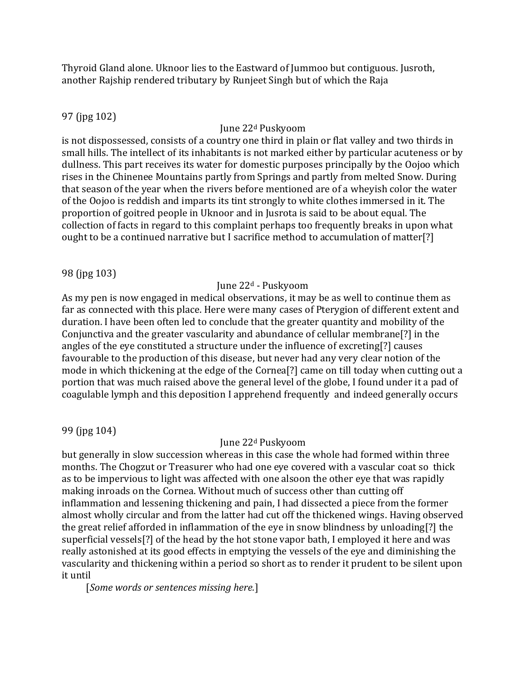Thyroid Gland alone. Uknoor lies to the Eastward of Jummoo but contiguous. Jusroth, another Rajship rendered tributary by Runjeet Singh but of which the Raja

# 97 (jpg 102)

# June 22<sup>d</sup> Puskyoom

is not dispossessed, consists of a country one third in plain or flat valley and two thirds in small hills. The intellect of its inhabitants is not marked either by particular acuteness or by dullness. This part receives its water for domestic purposes principally by the Oojoo which rises in the Chinenee Mountains partly from Springs and partly from melted Snow. During that season of the year when the rivers before mentioned are of a wheyish color the water of the Oojoo is reddish and imparts its tint strongly to white clothes immersed in it. The proportion of goitred people in Uknoor and in Jusrota is said to be about equal. The collection of facts in regard to this complaint perhaps too frequently breaks in upon what ought to be a continued narrative but I sacrifice method to accumulation of matter[?]

98 (jpg 103)

# June 22<sup>d</sup> - Puskyoom

As my pen is now engaged in medical observations, it may be as well to continue them as far as connected with this place. Here were many cases of Pterygion of different extent and duration. I have been often led to conclude that the greater quantity and mobility of the Conjunctiva and the greater vascularity and abundance of cellular membrane[?] in the angles of the eye constituted a structure under the influence of excreting[?] causes favourable to the production of this disease, but never had any very clear notion of the mode in which thickening at the edge of the Cornea[?] came on till today when cutting out a portion that was much raised above the general level of the globe, I found under it a pad of coagulable lymph and this deposition I apprehend frequently and indeed generally occurs

99 (jpg 104)

# June 22<sup>d</sup> Puskyoom

but generally in slow succession whereas in this case the whole had formed within three months. The Chogzut or Treasurer who had one eye covered with a vascular coat so thick as to be impervious to light was affected with one alsoon the other eye that was rapidly making inroads on the Cornea. Without much of success other than cutting off inflammation and lessening thickening and pain, I had dissected a piece from the former almost wholly circular and from the latter had cut off the thickened wings. Having observed the great relief afforded in inflammation of the eye in snow blindness by unloading[?] the superficial vessels[?] of the head by the hot stone vapor bath, I employed it here and was really astonished at its good effects in emptying the vessels of the eye and diminishing the vascularity and thickening within a period so short as to render it prudent to be silent upon it until

[*Some words or sentences missing here.*]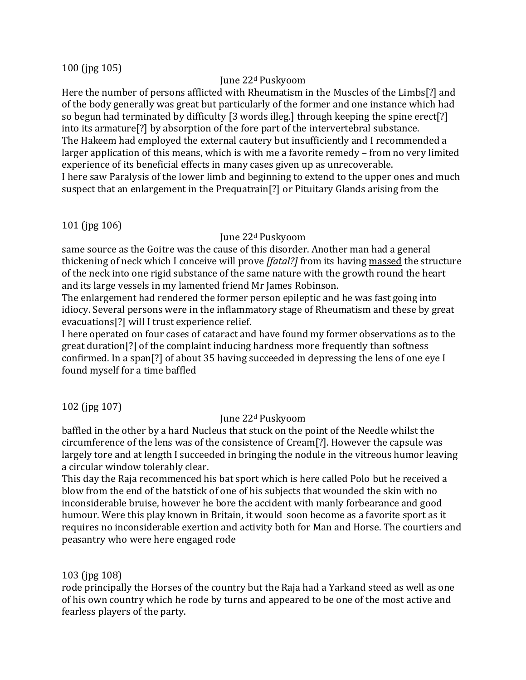### 100 (jpg 105)

### June 22<sup>d</sup> Puskyoom

Here the number of persons afflicted with Rheumatism in the Muscles of the Limbs[?] and of the body generally was great but particularly of the former and one instance which had so begun had terminated by difficulty [3 words illeg.] through keeping the spine erect[?] into its armature[?] by absorption of the fore part of the intervertebral substance. The Hakeem had employed the external cautery but insufficiently and I recommended a larger application of this means, which is with me a favorite remedy – from no very limited experience of its beneficial effects in many cases given up as unrecoverable. I here saw Paralysis of the lower limb and beginning to extend to the upper ones and much suspect that an enlargement in the Prequatrain[?] or Pituitary Glands arising from the

### 101 (jpg 106)

#### June 22<sup>d</sup> Puskyoom

same source as the Goitre was the cause of this disorder. Another man had a general thickening of neck which I conceive will prove *[fatal?]* from its having massed the structure of the neck into one rigid substance of the same nature with the growth round the heart and its large vessels in my lamented friend Mr James Robinson.

The enlargement had rendered the former person epileptic and he was fast going into idiocy. Several persons were in the inflammatory stage of Rheumatism and these by great evacuations[?] will I trust experience relief.

I here operated on four cases of cataract and have found my former observations as to the great duration[?] of the complaint inducing hardness more frequently than softness confirmed. In a span[?] of about 35 having succeeded in depressing the lens of one eye I found myself for a time baffled

102 (jpg 107)

### June 22<sup>d</sup> Puskyoom

baffled in the other by a hard Nucleus that stuck on the point of the Needle whilst the circumference of the lens was of the consistence of Cream[?]. However the capsule was largely tore and at length I succeeded in bringing the nodule in the vitreous humor leaving a circular window tolerably clear.

This day the Raja recommenced his bat sport which is here called Polo but he received a blow from the end of the batstick of one of his subjects that wounded the skin with no inconsiderable bruise, however he bore the accident with manly forbearance and good humour. Were this play known in Britain, it would soon become as a favorite sport as it requires no inconsiderable exertion and activity both for Man and Horse. The courtiers and peasantry who were here engaged rode

### 103 (jpg 108)

rode principally the Horses of the country but the Raja had a Yarkand steed as well as one of his own country which he rode by turns and appeared to be one of the most active and fearless players of the party.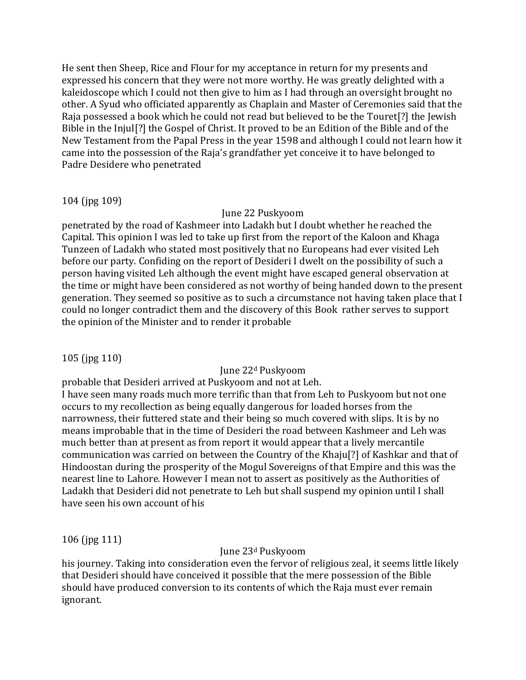He sent then Sheep, Rice and Flour for my acceptance in return for my presents and expressed his concern that they were not more worthy. He was greatly delighted with a kaleidoscope which I could not then give to him as I had through an oversight brought no other. A Syud who officiated apparently as Chaplain and Master of Ceremonies said that the Raja possessed a book which he could not read but believed to be the Touret[?] the Jewish Bible in the Injul[?] the Gospel of Christ. It proved to be an Edition of the Bible and of the New Testament from the Papal Press in the year 1598 and although I could not learn how it came into the possession of the Raja's grandfather yet conceive it to have belonged to Padre Desidere who penetrated

# 104 (jpg 109)

### June 22 Puskyoom

penetrated by the road of Kashmeer into Ladakh but I doubt whether he reached the Capital. This opinion I was led to take up first from the report of the Kaloon and Khaga Tunzeen of Ladakh who stated most positively that no Europeans had ever visited Leh before our party. Confiding on the report of Desideri I dwelt on the possibility of such a person having visited Leh although the event might have escaped general observation at the time or might have been considered as not worthy of being handed down to the present generation. They seemed so positive as to such a circumstance not having taken place that I could no longer contradict them and the discovery of this Book rather serves to support the opinion of the Minister and to render it probable

105 (jpg 110)

# June 22<sup>d</sup> Puskyoom

probable that Desideri arrived at Puskyoom and not at Leh.

I have seen many roads much more terrific than that from Leh to Puskyoom but not one occurs to my recollection as being equally dangerous for loaded horses from the narrowness, their futtered state and their being so much covered with slips. It is by no means improbable that in the time of Desideri the road between Kashmeer and Leh was much better than at present as from report it would appear that a lively mercantile communication was carried on between the Country of the Khaju[?] of Kashkar and that of Hindoostan during the prosperity of the Mogul Sovereigns of that Empire and this was the nearest line to Lahore. However I mean not to assert as positively as the Authorities of Ladakh that Desideri did not penetrate to Leh but shall suspend my opinion until I shall have seen his own account of his

106 (jpg 111)

June 23<sup>d</sup> Puskyoom

his journey. Taking into consideration even the fervor of religious zeal, it seems little likely that Desideri should have conceived it possible that the mere possession of the Bible should have produced conversion to its contents of which the Raja must ever remain ignorant.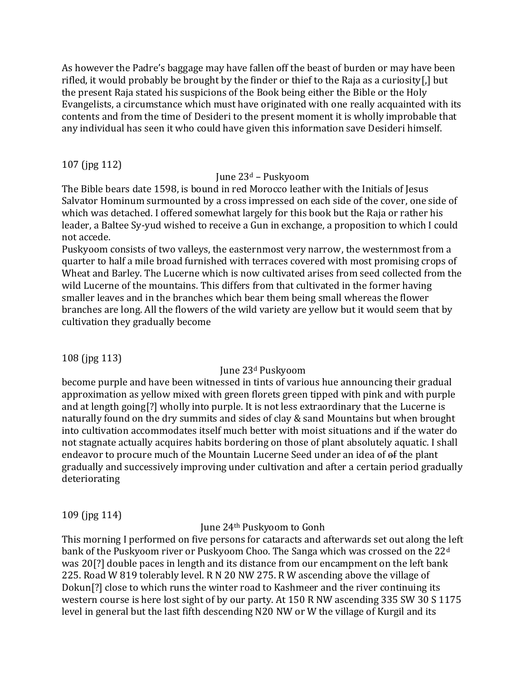As however the Padre's baggage may have fallen off the beast of burden or may have been rifled, it would probably be brought by the finder or thief to the Raja as a curiosity[,] but the present Raja stated his suspicions of the Book being either the Bible or the Holy Evangelists, a circumstance which must have originated with one really acquainted with its contents and from the time of Desideri to the present moment it is wholly improbable that any individual has seen it who could have given this information save Desideri himself.

# 107 (jpg 112)

# June 23<sup>d</sup> – Puskyoom

The Bible bears date 1598, is bound in red Morocco leather with the Initials of Jesus Salvator Hominum surmounted by a cross impressed on each side of the cover, one side of which was detached. I offered somewhat largely for this book but the Raja or rather his leader, a Baltee Sy-yud wished to receive a Gun in exchange, a proposition to which I could not accede.

Puskyoom consists of two valleys, the easternmost very narrow, the westernmost from a quarter to half a mile broad furnished with terraces covered with most promising crops of Wheat and Barley. The Lucerne which is now cultivated arises from seed collected from the wild Lucerne of the mountains. This differs from that cultivated in the former having smaller leaves and in the branches which bear them being small whereas the flower branches are long. All the flowers of the wild variety are yellow but it would seem that by cultivation they gradually become

108 (jpg 113)

# June 23<sup>d</sup> Puskyoom

become purple and have been witnessed in tints of various hue announcing their gradual approximation as yellow mixed with green florets green tipped with pink and with purple and at length going[?] wholly into purple. It is not less extraordinary that the Lucerne is naturally found on the dry summits and sides of clay & sand Mountains but when brought into cultivation accommodates itself much better with moist situations and if the water do not stagnate actually acquires habits bordering on those of plant absolutely aquatic. I shall endeavor to procure much of the Mountain Lucerne Seed under an idea of of the plant gradually and successively improving under cultivation and after a certain period gradually deteriorating

109 (jpg 114)

### June 24th Puskyoom to Gonh

This morning I performed on five persons for cataracts and afterwards set out along the left bank of the Puskyoom river or Puskyoom Choo. The Sanga which was crossed on the 22<sup>d</sup> was 20[?] double paces in length and its distance from our encampment on the left bank 225. Road W 819 tolerably level. R N 20 NW 275. R W ascending above the village of Dokun[?] close to which runs the winter road to Kashmeer and the river continuing its western course is here lost sight of by our party. At 150 R NW ascending 335 SW 30 S 1175 level in general but the last fifth descending N20 NW or W the village of Kurgil and its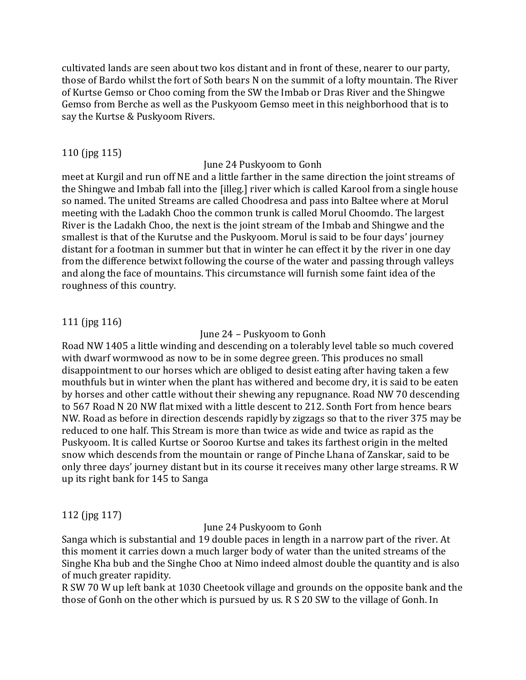cultivated lands are seen about two kos distant and in front of these, nearer to our party, those of Bardo whilst the fort of Soth bears N on the summit of a lofty mountain. The River of Kurtse Gemso or Choo coming from the SW the Imbab or Dras River and the Shingwe Gemso from Berche as well as the Puskyoom Gemso meet in this neighborhood that is to say the Kurtse & Puskyoom Rivers.

#### 110 (jpg 115)

#### June 24 Puskyoom to Gonh

meet at Kurgil and run off NE and a little farther in the same direction the joint streams of the Shingwe and Imbab fall into the [illeg.] river which is called Karool from a single house so named. The united Streams are called Choodresa and pass into Baltee where at Morul meeting with the Ladakh Choo the common trunk is called Morul Choomdo. The largest River is the Ladakh Choo, the next is the joint stream of the Imbab and Shingwe and the smallest is that of the Kurutse and the Puskyoom. Morul is said to be four days' journey distant for a footman in summer but that in winter he can effect it by the river in one day from the difference betwixt following the course of the water and passing through valleys and along the face of mountains. This circumstance will furnish some faint idea of the roughness of this country.

### 111 (jpg 116)

#### June 24 – Puskyoom to Gonh

Road NW 1405 a little winding and descending on a tolerably level table so much covered with dwarf wormwood as now to be in some degree green. This produces no small disappointment to our horses which are obliged to desist eating after having taken a few mouthfuls but in winter when the plant has withered and become dry, it is said to be eaten by horses and other cattle without their shewing any repugnance. Road NW 70 descending to 567 Road N 20 NW flat mixed with a little descent to 212. Sonth Fort from hence bears NW. Road as before in direction descends rapidly by zigzags so that to the river 375 may be reduced to one half. This Stream is more than twice as wide and twice as rapid as the Puskyoom. It is called Kurtse or Sooroo Kurtse and takes its farthest origin in the melted snow which descends from the mountain or range of Pinche Lhana of Zanskar, said to be only three days' journey distant but in its course it receives many other large streams. R W up its right bank for 145 to Sanga

### 112 (jpg 117)

### June 24 Puskyoom to Gonh

Sanga which is substantial and 19 double paces in length in a narrow part of the river. At this moment it carries down a much larger body of water than the united streams of the Singhe Kha bub and the Singhe Choo at Nimo indeed almost double the quantity and is also of much greater rapidity.

R SW 70 W up left bank at 1030 Cheetook village and grounds on the opposite bank and the those of Gonh on the other which is pursued by us. R S 20 SW to the village of Gonh. In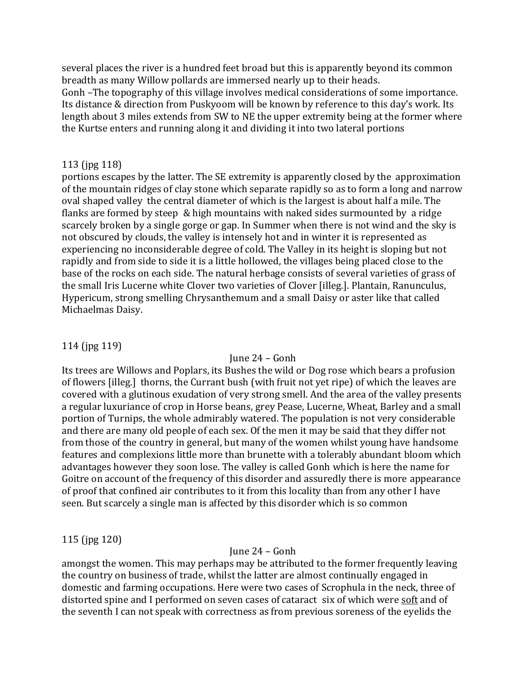several places the river is a hundred feet broad but this is apparently beyond its common breadth as many Willow pollards are immersed nearly up to their heads. Gonh –The topography of this village involves medical considerations of some importance. Its distance & direction from Puskyoom will be known by reference to this day's work. Its length about 3 miles extends from SW to NE the upper extremity being at the former where the Kurtse enters and running along it and dividing it into two lateral portions

#### 113 (jpg 118)

portions escapes by the latter. The SE extremity is apparently closed by the approximation of the mountain ridges of clay stone which separate rapidly so as to form a long and narrow oval shaped valley the central diameter of which is the largest is about half a mile. The flanks are formed by steep & high mountains with naked sides surmounted by a ridge scarcely broken by a single gorge or gap. In Summer when there is not wind and the sky is not obscured by clouds, the valley is intensely hot and in winter it is represented as experiencing no inconsiderable degree of cold. The Valley in its height is sloping but not rapidly and from side to side it is a little hollowed, the villages being placed close to the base of the rocks on each side. The natural herbage consists of several varieties of grass of the small Iris Lucerne white Clover two varieties of Clover [illeg.]. Plantain, Ranunculus, Hypericum, strong smelling Chrysanthemum and a small Daisy or aster like that called Michaelmas Daisy.

### 114 (jpg 119)

#### June 24 – Gonh

Its trees are Willows and Poplars, its Bushes the wild or Dog rose which bears a profusion of flowers [illeg.] thorns, the Currant bush (with fruit not yet ripe) of which the leaves are covered with a glutinous exudation of very strong smell. And the area of the valley presents a regular luxuriance of crop in Horse beans, grey Pease, Lucerne, Wheat, Barley and a small portion of Turnips, the whole admirably watered. The population is not very considerable and there are many old people of each sex. Of the men it may be said that they differ not from those of the country in general, but many of the women whilst young have handsome features and complexions little more than brunette with a tolerably abundant bloom which advantages however they soon lose. The valley is called Gonh which is here the name for Goitre on account of the frequency of this disorder and assuredly there is more appearance of proof that confined air contributes to it from this locality than from any other I have seen. But scarcely a single man is affected by this disorder which is so common

### 115 (jpg 120)

#### June 24 – Gonh

amongst the women. This may perhaps may be attributed to the former frequently leaving the country on business of trade, whilst the latter are almost continually engaged in domestic and farming occupations. Here were two cases of Scrophula in the neck, three of distorted spine and I performed on seven cases of cataract six of which were soft and of the seventh I can not speak with correctness as from previous soreness of the eyelids the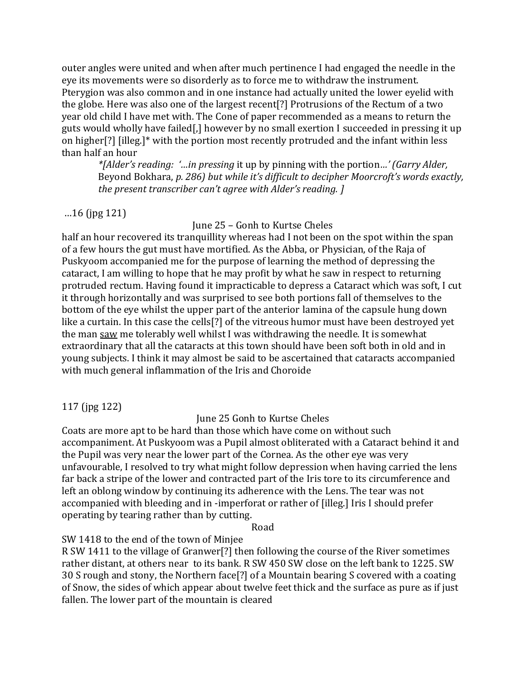outer angles were united and when after much pertinence I had engaged the needle in the eye its movements were so disorderly as to force me to withdraw the instrument. Pterygion was also common and in one instance had actually united the lower eyelid with the globe. Here was also one of the largest recent[?] Protrusions of the Rectum of a two year old child I have met with. The Cone of paper recommended as a means to return the guts would wholly have failed[,] however by no small exertion I succeeded in pressing it up on higher[?] [illeg.]\* with the portion most recently protruded and the infant within less than half an hour

*\*[Alder's reading: '…in pressing* it up by pinning with the portion*…' (Garry Alder,*  Beyond Bokhara, *p. 286) but while it's difficult to decipher Moorcroft's words exactly, the present transcriber can't agree with Alder's reading. ]*

# …16 (jpg 121)

June 25 – Gonh to Kurtse Cheles

half an hour recovered its tranquillity whereas had I not been on the spot within the span of a few hours the gut must have mortified. As the Abba, or Physician, of the Raja of Puskyoom accompanied me for the purpose of learning the method of depressing the cataract, I am willing to hope that he may profit by what he saw in respect to returning protruded rectum. Having found it impracticable to depress a Cataract which was soft, I cut it through horizontally and was surprised to see both portions fall of themselves to the bottom of the eye whilst the upper part of the anterior lamina of the capsule hung down like a curtain. In this case the cells[?] of the vitreous humor must have been destroyed yet the man saw me tolerably well whilst I was withdrawing the needle. It is somewhat extraordinary that all the cataracts at this town should have been soft both in old and in young subjects. I think it may almost be said to be ascertained that cataracts accompanied with much general inflammation of the Iris and Choroide

117 (jpg 122)

June 25 Gonh to Kurtse Cheles

Coats are more apt to be hard than those which have come on without such accompaniment. At Puskyoom was a Pupil almost obliterated with a Cataract behind it and the Pupil was very near the lower part of the Cornea. As the other eye was very unfavourable, I resolved to try what might follow depression when having carried the lens far back a stripe of the lower and contracted part of the Iris tore to its circumference and left an oblong window by continuing its adherence with the Lens. The tear was not accompanied with bleeding and in -imperforat or rather of [illeg.] Iris I should prefer operating by tearing rather than by cutting.

Road

SW 1418 to the end of the town of Minjee

R SW 1411 to the village of Granwer[?] then following the course of the River sometimes rather distant, at others near to its bank. R SW 450 SW close on the left bank to 1225. SW 30 S rough and stony, the Northern face[?] of a Mountain bearing S covered with a coating of Snow, the sides of which appear about twelve feet thick and the surface as pure as if just fallen. The lower part of the mountain is cleared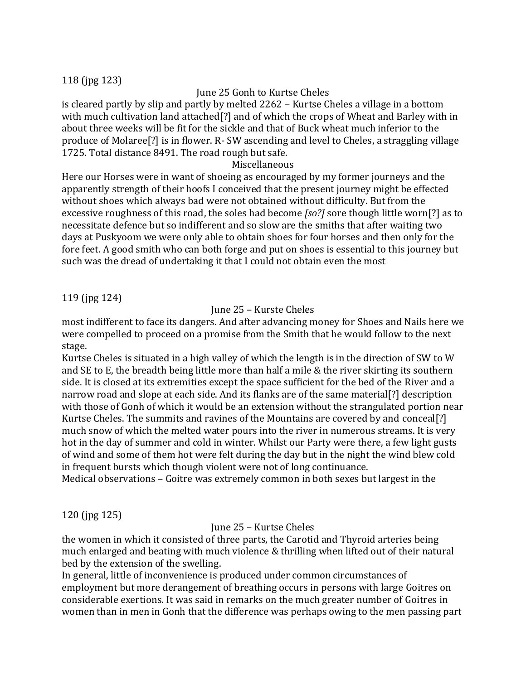# 118 (jpg 123)

# June 25 Gonh to Kurtse Cheles

is cleared partly by slip and partly by melted 2262 – Kurtse Cheles a village in a bottom with much cultivation land attached[?] and of which the crops of Wheat and Barley with in about three weeks will be fit for the sickle and that of Buck wheat much inferior to the produce of Molaree[?] is in flower. R- SW ascending and level to Cheles, a straggling village 1725. Total distance 8491. The road rough but safe.

# Miscellaneous

Here our Horses were in want of shoeing as encouraged by my former journeys and the apparently strength of their hoofs I conceived that the present journey might be effected without shoes which always bad were not obtained without difficulty. But from the excessive roughness of this road, the soles had become *[so?]* sore though little worn[?] as to necessitate defence but so indifferent and so slow are the smiths that after waiting two days at Puskyoom we were only able to obtain shoes for four horses and then only for the fore feet. A good smith who can both forge and put on shoes is essential to this journey but such was the dread of undertaking it that I could not obtain even the most

# 119 (jpg 124)

# June 25 – Kurste Cheles

most indifferent to face its dangers. And after advancing money for Shoes and Nails here we were compelled to proceed on a promise from the Smith that he would follow to the next stage.

Kurtse Cheles is situated in a high valley of which the length is in the direction of SW to W and SE to E, the breadth being little more than half a mile & the river skirting its southern side. It is closed at its extremities except the space sufficient for the bed of the River and a narrow road and slope at each side. And its flanks are of the same material[?] description with those of Gonh of which it would be an extension without the strangulated portion near Kurtse Cheles. The summits and ravines of the Mountains are covered by and conceal[?] much snow of which the melted water pours into the river in numerous streams. It is very hot in the day of summer and cold in winter. Whilst our Party were there, a few light gusts of wind and some of them hot were felt during the day but in the night the wind blew cold in frequent bursts which though violent were not of long continuance.

Medical observations – Goitre was extremely common in both sexes but largest in the

120 (jpg 125)

# June 25 – Kurtse Cheles

the women in which it consisted of three parts, the Carotid and Thyroid arteries being much enlarged and beating with much violence & thrilling when lifted out of their natural bed by the extension of the swelling.

In general, little of inconvenience is produced under common circumstances of employment but more derangement of breathing occurs in persons with large Goitres on considerable exertions. It was said in remarks on the much greater number of Goitres in women than in men in Gonh that the difference was perhaps owing to the men passing part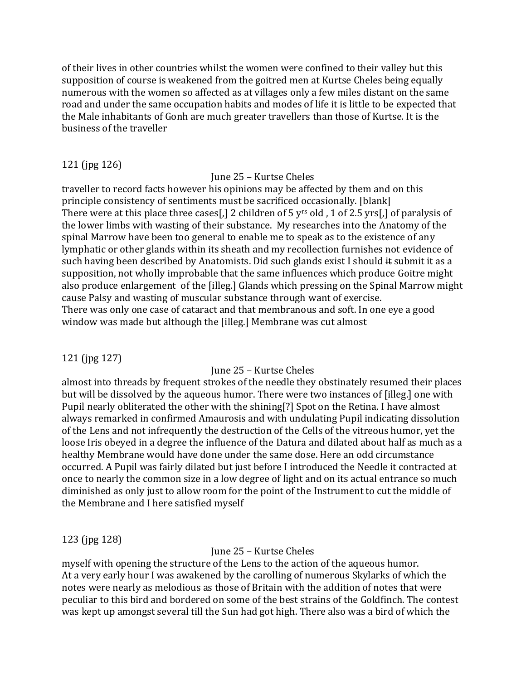of their lives in other countries whilst the women were confined to their valley but this supposition of course is weakened from the goitred men at Kurtse Cheles being equally numerous with the women so affected as at villages only a few miles distant on the same road and under the same occupation habits and modes of life it is little to be expected that the Male inhabitants of Gonh are much greater travellers than those of Kurtse. It is the business of the traveller

# 121 (jpg 126)

#### June 25 – Kurtse Cheles

traveller to record facts however his opinions may be affected by them and on this principle consistency of sentiments must be sacrificed occasionally. [blank] There were at this place three cases<sup>[1]</sup> 2 children of 5 y<sup>rs</sup> old, 1 of 2.5 yrs<sup>[1]</sup> of paralysis of the lower limbs with wasting of their substance. My researches into the Anatomy of the spinal Marrow have been too general to enable me to speak as to the existence of any lymphatic or other glands within its sheath and my recollection furnishes not evidence of such having been described by Anatomists. Did such glands exist I should  $\#$  submit it as a supposition, not wholly improbable that the same influences which produce Goitre might also produce enlargement of the [illeg.] Glands which pressing on the Spinal Marrow might cause Palsy and wasting of muscular substance through want of exercise. There was only one case of cataract and that membranous and soft. In one eye a good window was made but although the [illeg.] Membrane was cut almost

### 121 (jpg 127)

# June 25 – Kurtse Cheles

almost into threads by frequent strokes of the needle they obstinately resumed their places but will be dissolved by the aqueous humor. There were two instances of [illeg.] one with Pupil nearly obliterated the other with the shining[?] Spot on the Retina. I have almost always remarked in confirmed Amaurosis and with undulating Pupil indicating dissolution of the Lens and not infrequently the destruction of the Cells of the vitreous humor, yet the loose Iris obeyed in a degree the influence of the Datura and dilated about half as much as a healthy Membrane would have done under the same dose. Here an odd circumstance occurred. A Pupil was fairly dilated but just before I introduced the Needle it contracted at once to nearly the common size in a low degree of light and on its actual entrance so much diminished as only just to allow room for the point of the Instrument to cut the middle of the Membrane and I here satisfied myself

### 123 (jpg 128)

June 25 – Kurtse Cheles

myself with opening the structure of the Lens to the action of the aqueous humor. At a very early hour I was awakened by the carolling of numerous Skylarks of which the notes were nearly as melodious as those of Britain with the addition of notes that were peculiar to this bird and bordered on some of the best strains of the Goldfinch. The contest was kept up amongst several till the Sun had got high. There also was a bird of which the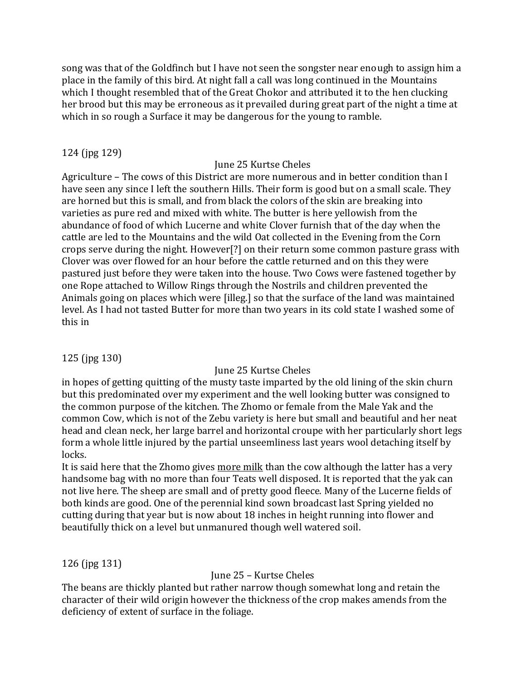song was that of the Goldfinch but I have not seen the songster near enough to assign him a place in the family of this bird. At night fall a call was long continued in the Mountains which I thought resembled that of the Great Chokor and attributed it to the hen clucking her brood but this may be erroneous as it prevailed during great part of the night a time at which in so rough a Surface it may be dangerous for the young to ramble.

### 124 (jpg 129)

# June 25 Kurtse Cheles

Agriculture – The cows of this District are more numerous and in better condition than I have seen any since I left the southern Hills. Their form is good but on a small scale. They are horned but this is small, and from black the colors of the skin are breaking into varieties as pure red and mixed with white. The butter is here yellowish from the abundance of food of which Lucerne and white Clover furnish that of the day when the cattle are led to the Mountains and the wild Oat collected in the Evening from the Corn crops serve during the night. However[?] on their return some common pasture grass with Clover was over flowed for an hour before the cattle returned and on this they were pastured just before they were taken into the house. Two Cows were fastened together by one Rope attached to Willow Rings through the Nostrils and children prevented the Animals going on places which were [illeg.] so that the surface of the land was maintained level. As I had not tasted Butter for more than two years in its cold state I washed some of this in

125 (jpg 130)

# June 25 Kurtse Cheles

in hopes of getting quitting of the musty taste imparted by the old lining of the skin churn but this predominated over my experiment and the well looking butter was consigned to the common purpose of the kitchen. The Zhomo or female from the Male Yak and the common Cow, which is not of the Zebu variety is here but small and beautiful and her neat head and clean neck, her large barrel and horizontal croupe with her particularly short legs form a whole little injured by the partial unseemliness last years wool detaching itself by locks.

It is said here that the Zhomo gives more milk than the cow although the latter has a very handsome bag with no more than four Teats well disposed. It is reported that the yak can not live here. The sheep are small and of pretty good fleece. Many of the Lucerne fields of both kinds are good. One of the perennial kind sown broadcast last Spring yielded no cutting during that year but is now about 18 inches in height running into flower and beautifully thick on a level but unmanured though well watered soil.

126 (jpg 131)

### June 25 – Kurtse Cheles

The beans are thickly planted but rather narrow though somewhat long and retain the character of their wild origin however the thickness of the crop makes amends from the deficiency of extent of surface in the foliage.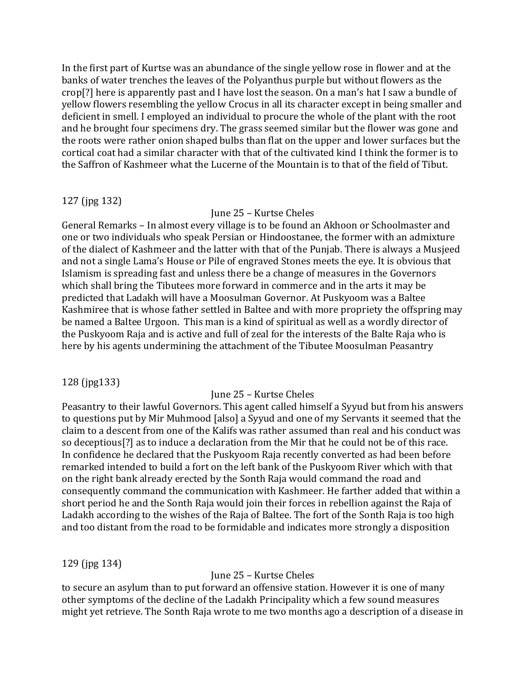In the first part of Kurtse was an abundance of the single yellow rose in flower and at the banks of water trenches the leaves of the Polyanthus purple but without flowers as the crop[?] here is apparently past and I have lost the season. On a man's hat I saw a bundle of yellow flowers resembling the yellow Crocus in all its character except in being smaller and deficient in smell. I employed an individual to procure the whole of the plant with the root and he brought four specimens dry. The grass seemed similar but the flower was gone and the roots were rather onion shaped bulbs than flat on the upper and lower surfaces but the cortical coat had a similar character with that of the cultivated kind I think the former is to the Saffron of Kashmeer what the Lucerne of the Mountain is to that of the field of Tibut.

### 127 (jpg 132)

#### June 25 – Kurtse Cheles

General Remarks – In almost every village is to be found an Akhoon or Schoolmaster and one or two individuals who speak Persian or Hindoostanee, the former with an admixture of the dialect of Kashmeer and the latter with that of the Punjab. There is always a Musjeed and not a single Lama's House or Pile of engraved Stones meets the eye. It is obvious that Islamism is spreading fast and unless there be a change of measures in the Governors which shall bring the Tibutees more forward in commerce and in the arts it may be predicted that Ladakh will have a Moosulman Governor. At Puskyoom was a Baltee Kashmiree that is whose father settled in Baltee and with more propriety the offspring may be named a Baltee Urgoon. This man is a kind of spiritual as well as a wordly director of the Puskyoom Raja and is active and full of zeal for the interests of the Balte Raja who is here by his agents undermining the attachment of the Tibutee Moosulman Peasantry

### 128 (jpg133)

#### June 25 – Kurtse Cheles

Peasantry to their lawful Governors. This agent called himself a Syyud but from his answers to questions put by Mir Muhmood [also] a Syyud and one of my Servants it seemed that the claim to a descent from one of the Kalifs was rather assumed than real and his conduct was so deceptious[?] as to induce a declaration from the Mir that he could not be of this race. In confidence he declared that the Puskyoom Raja recently converted as had been before remarked intended to build a fort on the left bank of the Puskyoom River which with that on the right bank already erected by the Sonth Raja would command the road and consequently command the communication with Kashmeer. He farther added that within a short period he and the Sonth Raja would join their forces in rebellion against the Raja of Ladakh according to the wishes of the Raja of Baltee. The fort of the Sonth Raja is too high and too distant from the road to be formidable and indicates more strongly a disposition

### 129 (jpg 134)

### June 25 – Kurtse Cheles

to secure an asylum than to put forward an offensive station. However it is one of many other symptoms of the decline of the Ladakh Principality which a few sound measures might yet retrieve. The Sonth Raja wrote to me two months ago a description of a disease in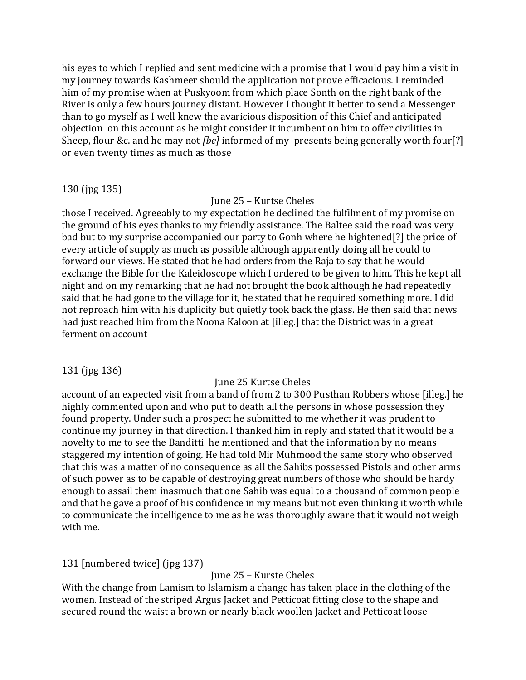his eyes to which I replied and sent medicine with a promise that I would pay him a visit in my journey towards Kashmeer should the application not prove efficacious. I reminded him of my promise when at Puskyoom from which place Sonth on the right bank of the River is only a few hours journey distant. However I thought it better to send a Messenger than to go myself as I well knew the avaricious disposition of this Chief and anticipated objection on this account as he might consider it incumbent on him to offer civilities in Sheep, flour &c. and he may not *[be]* informed of my presents being generally worth four[?] or even twenty times as much as those

### 130 (jpg 135)

# June 25 – Kurtse Cheles

those I received. Agreeably to my expectation he declined the fulfilment of my promise on the ground of his eyes thanks to my friendly assistance. The Baltee said the road was very bad but to my surprise accompanied our party to Gonh where he hightened[?] the price of every article of supply as much as possible although apparently doing all he could to forward our views. He stated that he had orders from the Raja to say that he would exchange the Bible for the Kaleidoscope which I ordered to be given to him. This he kept all night and on my remarking that he had not brought the book although he had repeatedly said that he had gone to the village for it, he stated that he required something more. I did not reproach him with his duplicity but quietly took back the glass. He then said that news had just reached him from the Noona Kaloon at [illeg.] that the District was in a great ferment on account

# 131 (jpg 136)

# June 25 Kurtse Cheles

account of an expected visit from a band of from 2 to 300 Pusthan Robbers whose [illeg.] he highly commented upon and who put to death all the persons in whose possession they found property. Under such a prospect he submitted to me whether it was prudent to continue my journey in that direction. I thanked him in reply and stated that it would be a novelty to me to see the Banditti he mentioned and that the information by no means staggered my intention of going. He had told Mir Muhmood the same story who observed that this was a matter of no consequence as all the Sahibs possessed Pistols and other arms of such power as to be capable of destroying great numbers of those who should be hardy enough to assail them inasmuch that one Sahib was equal to a thousand of common people and that he gave a proof of his confidence in my means but not even thinking it worth while to communicate the intelligence to me as he was thoroughly aware that it would not weigh with me.

# 131 [numbered twice] (jpg 137)

### June 25 – Kurste Cheles

With the change from Lamism to Islamism a change has taken place in the clothing of the women. Instead of the striped Argus Jacket and Petticoat fitting close to the shape and secured round the waist a brown or nearly black woollen Jacket and Petticoat loose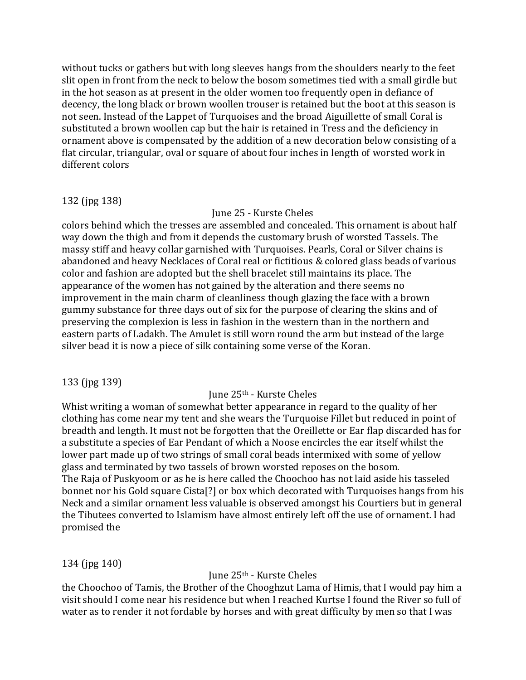without tucks or gathers but with long sleeves hangs from the shoulders nearly to the feet slit open in front from the neck to below the bosom sometimes tied with a small girdle but in the hot season as at present in the older women too frequently open in defiance of decency, the long black or brown woollen trouser is retained but the boot at this season is not seen. Instead of the Lappet of Turquoises and the broad Aiguillette of small Coral is substituted a brown woollen cap but the hair is retained in Tress and the deficiency in ornament above is compensated by the addition of a new decoration below consisting of a flat circular, triangular, oval or square of about four inches in length of worsted work in different colors

### 132 (jpg 138)

June 25 - Kurste Cheles

colors behind which the tresses are assembled and concealed. This ornament is about half way down the thigh and from it depends the customary brush of worsted Tassels. The massy stiff and heavy collar garnished with Turquoises. Pearls, Coral or Silver chains is abandoned and heavy Necklaces of Coral real or fictitious & colored glass beads of various color and fashion are adopted but the shell bracelet still maintains its place. The appearance of the women has not gained by the alteration and there seems no improvement in the main charm of cleanliness though glazing the face with a brown gummy substance for three days out of six for the purpose of clearing the skins and of preserving the complexion is less in fashion in the western than in the northern and eastern parts of Ladakh. The Amulet is still worn round the arm but instead of the large silver bead it is now a piece of silk containing some verse of the Koran.

# 133 (jpg 139)

### June 25th - Kurste Cheles

Whist writing a woman of somewhat better appearance in regard to the quality of her clothing has come near my tent and she wears the Turquoise Fillet but reduced in point of breadth and length. It must not be forgotten that the Oreillette or Ear flap discarded has for a substitute a species of Ear Pendant of which a Noose encircles the ear itself whilst the lower part made up of two strings of small coral beads intermixed with some of yellow glass and terminated by two tassels of brown worsted reposes on the bosom. The Raja of Puskyoom or as he is here called the Choochoo has not laid aside his tasseled bonnet nor his Gold square Cista[?] or box which decorated with Turquoises hangs from his Neck and a similar ornament less valuable is observed amongst his Courtiers but in general the Tibutees converted to Islamism have almost entirely left off the use of ornament. I had promised the

# 134 (jpg 140)

# June 25th - Kurste Cheles

the Choochoo of Tamis, the Brother of the Chooghzut Lama of Himis, that I would pay him a visit should I come near his residence but when I reached Kurtse I found the River so full of water as to render it not fordable by horses and with great difficulty by men so that I was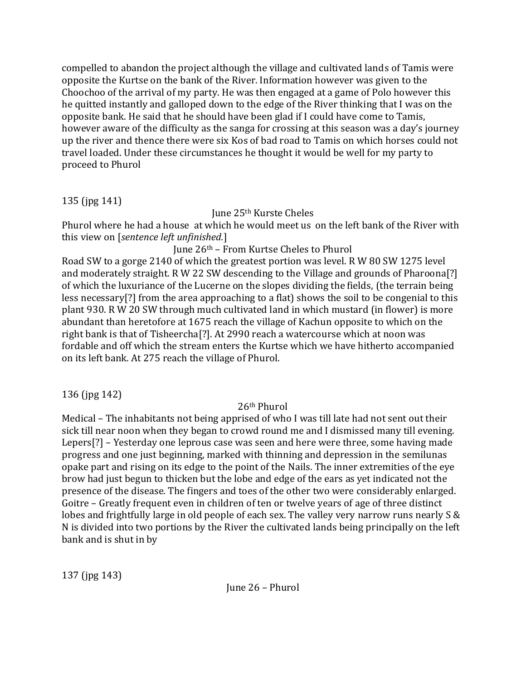compelled to abandon the project although the village and cultivated lands of Tamis were opposite the Kurtse on the bank of the River. Information however was given to the Choochoo of the arrival of my party. He was then engaged at a game of Polo however this he quitted instantly and galloped down to the edge of the River thinking that I was on the opposite bank. He said that he should have been glad if I could have come to Tamis, however aware of the difficulty as the sanga for crossing at this season was a day's journey up the river and thence there were six Kos of bad road to Tamis on which horses could not travel loaded. Under these circumstances he thought it would be well for my party to proceed to Phurol

135 (jpg 141)

June 25th Kurste Cheles

Phurol where he had a house at which he would meet us on the left bank of the River with this view on [*sentence left unfinished.*]

# June 26th – From Kurtse Cheles to Phurol

Road SW to a gorge 2140 of which the greatest portion was level. R W 80 SW 1275 level and moderately straight. R W 22 SW descending to the Village and grounds of Pharoona[?] of which the luxuriance of the Lucerne on the slopes dividing the fields, (the terrain being less necessary[?] from the area approaching to a flat) shows the soil to be congenial to this plant 930. R W 20 SW through much cultivated land in which mustard (in flower) is more abundant than heretofore at 1675 reach the village of Kachun opposite to which on the right bank is that of Tisheercha[?]. At 2990 reach a watercourse which at noon was fordable and off which the stream enters the Kurtse which we have hitherto accompanied on its left bank. At 275 reach the village of Phurol.

136 (jpg 142)

# 26th Phurol

Medical – The inhabitants not being apprised of who I was till late had not sent out their sick till near noon when they began to crowd round me and I dismissed many till evening. Lepers[?] – Yesterday one leprous case was seen and here were three, some having made progress and one just beginning, marked with thinning and depression in the semilunas opake part and rising on its edge to the point of the Nails. The inner extremities of the eye brow had just begun to thicken but the lobe and edge of the ears as yet indicated not the presence of the disease. The fingers and toes of the other two were considerably enlarged. Goitre – Greatly frequent even in children of ten or twelve years of age of three distinct lobes and frightfully large in old people of each sex. The valley very narrow runs nearly S & N is divided into two portions by the River the cultivated lands being principally on the left bank and is shut in by

137 (jpg 143)

June 26 – Phurol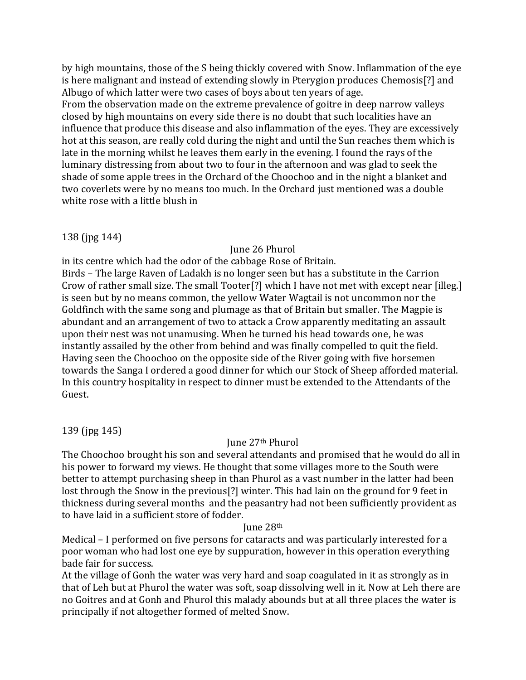by high mountains, those of the S being thickly covered with Snow. Inflammation of the eye is here malignant and instead of extending slowly in Pterygion produces Chemosis[?] and Albugo of which latter were two cases of boys about ten years of age. From the observation made on the extreme prevalence of goitre in deep narrow valleys closed by high mountains on every side there is no doubt that such localities have an influence that produce this disease and also inflammation of the eyes. They are excessively hot at this season, are really cold during the night and until the Sun reaches them which is late in the morning whilst he leaves them early in the evening. I found the rays of the luminary distressing from about two to four in the afternoon and was glad to seek the shade of some apple trees in the Orchard of the Choochoo and in the night a blanket and two coverlets were by no means too much. In the Orchard just mentioned was a double white rose with a little blush in

138 (jpg 144)

### June 26 Phurol

in its centre which had the odor of the cabbage Rose of Britain.

Birds – The large Raven of Ladakh is no longer seen but has a substitute in the Carrion Crow of rather small size. The small Tooter[?] which I have not met with except near [illeg.] is seen but by no means common, the yellow Water Wagtail is not uncommon nor the Goldfinch with the same song and plumage as that of Britain but smaller. The Magpie is abundant and an arrangement of two to attack a Crow apparently meditating an assault upon their nest was not unamusing. When he turned his head towards one, he was instantly assailed by the other from behind and was finally compelled to quit the field. Having seen the Choochoo on the opposite side of the River going with five horsemen towards the Sanga I ordered a good dinner for which our Stock of Sheep afforded material. In this country hospitality in respect to dinner must be extended to the Attendants of the Guest.

139 (jpg 145)

# June 27th Phurol

The Choochoo brought his son and several attendants and promised that he would do all in his power to forward my views. He thought that some villages more to the South were better to attempt purchasing sheep in than Phurol as a vast number in the latter had been lost through the Snow in the previous[?] winter. This had lain on the ground for 9 feet in thickness during several months and the peasantry had not been sufficiently provident as to have laid in a sufficient store of fodder.

### June 28th

Medical – I performed on five persons for cataracts and was particularly interested for a poor woman who had lost one eye by suppuration, however in this operation everything bade fair for success.

At the village of Gonh the water was very hard and soap coagulated in it as strongly as in that of Leh but at Phurol the water was soft, soap dissolving well in it. Now at Leh there are no Goitres and at Gonh and Phurol this malady abounds but at all three places the water is principally if not altogether formed of melted Snow.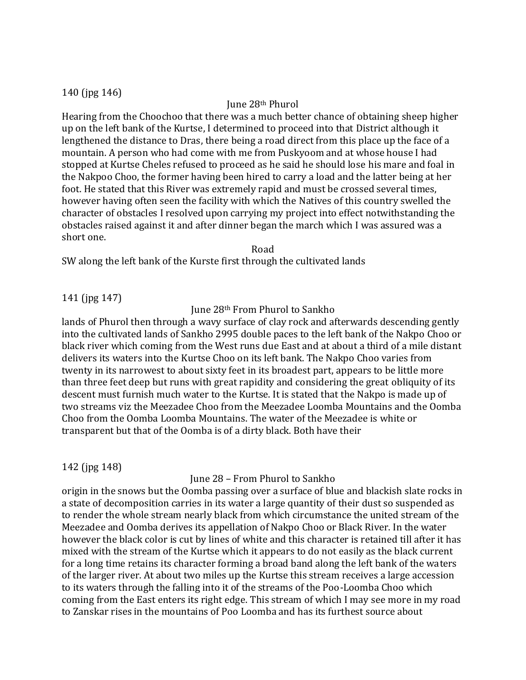### 140 (jpg 146)

#### June 28th Phurol

Hearing from the Choochoo that there was a much better chance of obtaining sheep higher up on the left bank of the Kurtse, I determined to proceed into that District although it lengthened the distance to Dras, there being a road direct from this place up the face of a mountain. A person who had come with me from Puskyoom and at whose house I had stopped at Kurtse Cheles refused to proceed as he said he should lose his mare and foal in the Nakpoo Choo, the former having been hired to carry a load and the latter being at her foot. He stated that this River was extremely rapid and must be crossed several times, however having often seen the facility with which the Natives of this country swelled the character of obstacles I resolved upon carrying my project into effect notwithstanding the obstacles raised against it and after dinner began the march which I was assured was a short one.

Road

SW along the left bank of the Kurste first through the cultivated lands

### 141 (jpg 147)

#### June 28th From Phurol to Sankho

lands of Phurol then through a wavy surface of clay rock and afterwards descending gently into the cultivated lands of Sankho 2995 double paces to the left bank of the Nakpo Choo or black river which coming from the West runs due East and at about a third of a mile distant delivers its waters into the Kurtse Choo on its left bank. The Nakpo Choo varies from twenty in its narrowest to about sixty feet in its broadest part, appears to be little more than three feet deep but runs with great rapidity and considering the great obliquity of its descent must furnish much water to the Kurtse. It is stated that the Nakpo is made up of two streams viz the Meezadee Choo from the Meezadee Loomba Mountains and the Oomba Choo from the Oomba Loomba Mountains. The water of the Meezadee is white or transparent but that of the Oomba is of a dirty black. Both have their

### 142 (jpg 148)

#### June 28 – From Phurol to Sankho

origin in the snows but the Oomba passing over a surface of blue and blackish slate rocks in a state of decomposition carries in its water a large quantity of their dust so suspended as to render the whole stream nearly black from which circumstance the united stream of the Meezadee and Oomba derives its appellation of Nakpo Choo or Black River. In the water however the black color is cut by lines of white and this character is retained till after it has mixed with the stream of the Kurtse which it appears to do not easily as the black current for a long time retains its character forming a broad band along the left bank of the waters of the larger river. At about two miles up the Kurtse this stream receives a large accession to its waters through the falling into it of the streams of the Poo-Loomba Choo which coming from the East enters its right edge. This stream of which I may see more in my road to Zanskar rises in the mountains of Poo Loomba and has its furthest source about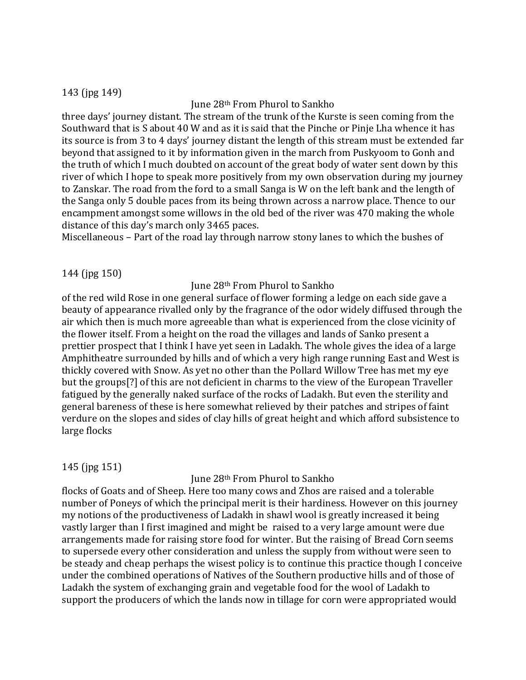#### 143 (jpg 149)

### June 28th From Phurol to Sankho

three days' journey distant. The stream of the trunk of the Kurste is seen coming from the Southward that is S about 40 W and as it is said that the Pinche or Pinje Lha whence it has its source is from 3 to 4 days' journey distant the length of this stream must be extended far beyond that assigned to it by information given in the march from Puskyoom to Gonh and the truth of which I much doubted on account of the great body of water sent down by this river of which I hope to speak more positively from my own observation during my journey to Zanskar. The road from the ford to a small Sanga is W on the left bank and the length of the Sanga only 5 double paces from its being thrown across a narrow place. Thence to our encampment amongst some willows in the old bed of the river was 470 making the whole distance of this day's march only 3465 paces.

Miscellaneous – Part of the road lay through narrow stony lanes to which the bushes of

#### 144 (jpg 150)

#### June 28th From Phurol to Sankho

of the red wild Rose in one general surface of flower forming a ledge on each side gave a beauty of appearance rivalled only by the fragrance of the odor widely diffused through the air which then is much more agreeable than what is experienced from the close vicinity of the flower itself. From a height on the road the villages and lands of Sanko present a prettier prospect that I think I have yet seen in Ladakh. The whole gives the idea of a large Amphitheatre surrounded by hills and of which a very high range running East and West is thickly covered with Snow. As yet no other than the Pollard Willow Tree has met my eye but the groups[?] of this are not deficient in charms to the view of the European Traveller fatigued by the generally naked surface of the rocks of Ladakh. But even the sterility and general bareness of these is here somewhat relieved by their patches and stripes of faint verdure on the slopes and sides of clay hills of great height and which afford subsistence to large flocks

### 145 (jpg 151)

### June 28th From Phurol to Sankho

flocks of Goats and of Sheep. Here too many cows and Zhos are raised and a tolerable number of Poneys of which the principal merit is their hardiness. However on this journey my notions of the productiveness of Ladakh in shawl wool is greatly increased it being vastly larger than I first imagined and might be raised to a very large amount were due arrangements made for raising store food for winter. But the raising of Bread Corn seems to supersede every other consideration and unless the supply from without were seen to be steady and cheap perhaps the wisest policy is to continue this practice though I conceive under the combined operations of Natives of the Southern productive hills and of those of Ladakh the system of exchanging grain and vegetable food for the wool of Ladakh to support the producers of which the lands now in tillage for corn were appropriated would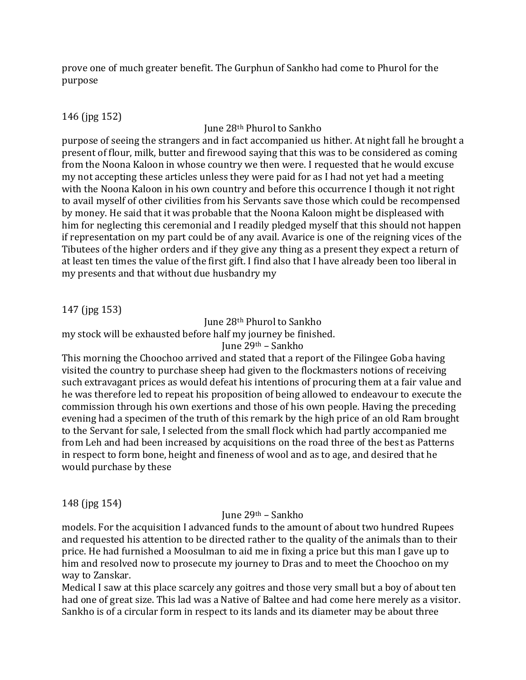prove one of much greater benefit. The Gurphun of Sankho had come to Phurol for the purpose

# 146 (jpg 152)

June 28th Phurol to Sankho

purpose of seeing the strangers and in fact accompanied us hither. At night fall he brought a present of flour, milk, butter and firewood saying that this was to be considered as coming from the Noona Kaloon in whose country we then were. I requested that he would excuse my not accepting these articles unless they were paid for as I had not yet had a meeting with the Noona Kaloon in his own country and before this occurrence I though it not right to avail myself of other civilities from his Servants save those which could be recompensed by money. He said that it was probable that the Noona Kaloon might be displeased with him for neglecting this ceremonial and I readily pledged myself that this should not happen if representation on my part could be of any avail. Avarice is one of the reigning vices of the Tibutees of the higher orders and if they give any thing as a present they expect a return of at least ten times the value of the first gift. I find also that I have already been too liberal in my presents and that without due husbandry my

# 147 (jpg 153)

June 28th Phurol to Sankho my stock will be exhausted before half my journey be finished. June 29th – Sankho

This morning the Choochoo arrived and stated that a report of the Filingee Goba having visited the country to purchase sheep had given to the flockmasters notions of receiving such extravagant prices as would defeat his intentions of procuring them at a fair value and he was therefore led to repeat his proposition of being allowed to endeavour to execute the commission through his own exertions and those of his own people. Having the preceding evening had a specimen of the truth of this remark by the high price of an old Ram brought to the Servant for sale, I selected from the small flock which had partly accompanied me from Leh and had been increased by acquisitions on the road three of the best as Patterns in respect to form bone, height and fineness of wool and as to age, and desired that he would purchase by these

148 (jpg 154)

### June 29th – Sankho

models. For the acquisition I advanced funds to the amount of about two hundred Rupees and requested his attention to be directed rather to the quality of the animals than to their price. He had furnished a Moosulman to aid me in fixing a price but this man I gave up to him and resolved now to prosecute my journey to Dras and to meet the Choochoo on my way to Zanskar.

Medical I saw at this place scarcely any goitres and those very small but a boy of about ten had one of great size. This lad was a Native of Baltee and had come here merely as a visitor. Sankho is of a circular form in respect to its lands and its diameter may be about three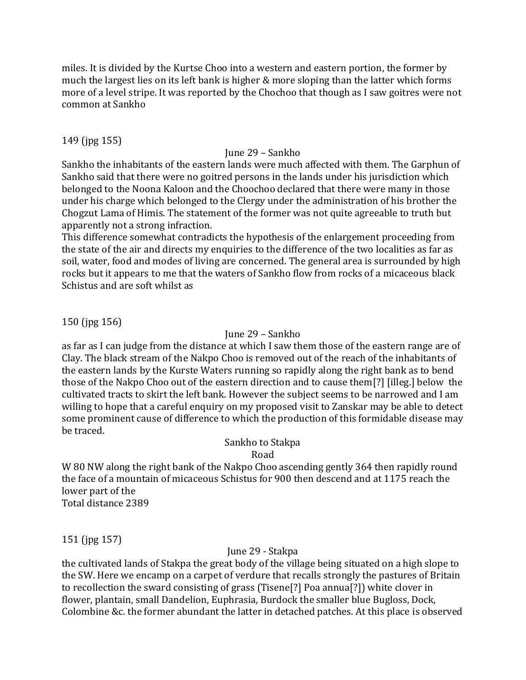miles. It is divided by the Kurtse Choo into a western and eastern portion, the former by much the largest lies on its left bank is higher & more sloping than the latter which forms more of a level stripe. It was reported by the Chochoo that though as I saw goitres were not common at Sankho

### 149 (jpg 155)

### June 29 – Sankho

Sankho the inhabitants of the eastern lands were much affected with them. The Garphun of Sankho said that there were no goitred persons in the lands under his jurisdiction which belonged to the Noona Kaloon and the Choochoo declared that there were many in those under his charge which belonged to the Clergy under the administration of his brother the Chogzut Lama of Himis. The statement of the former was not quite agreeable to truth but apparently not a strong infraction.

This difference somewhat contradicts the hypothesis of the enlargement proceeding from the state of the air and directs my enquiries to the difference of the two localities as far as soil, water, food and modes of living are concerned. The general area is surrounded by high rocks but it appears to me that the waters of Sankho flow from rocks of a micaceous black Schistus and are soft whilst as

150 (jpg 156)

### June 29 – Sankho

as far as I can judge from the distance at which I saw them those of the eastern range are of Clay. The black stream of the Nakpo Choo is removed out of the reach of the inhabitants of the eastern lands by the Kurste Waters running so rapidly along the right bank as to bend those of the Nakpo Choo out of the eastern direction and to cause them[?] [illeg.] below the cultivated tracts to skirt the left bank. However the subject seems to be narrowed and I am willing to hope that a careful enquiry on my proposed visit to Zanskar may be able to detect some prominent cause of difference to which the production of this formidable disease may be traced.

# Sankho to Stakpa

Road

W 80 NW along the right bank of the Nakpo Choo ascending gently 364 then rapidly round the face of a mountain of micaceous Schistus for 900 then descend and at 1175 reach the lower part of the Total distance 2389

151 (jpg 157)

### June 29 - Stakpa

the cultivated lands of Stakpa the great body of the village being situated on a high slope to the SW. Here we encamp on a carpet of verdure that recalls strongly the pastures of Britain to recollection the sward consisting of grass (Tisene[?] Poa annua[?]) white clover in flower, plantain, small Dandelion, Euphrasia, Burdock the smaller blue Bugloss, Dock, Colombine &c. the former abundant the latter in detached patches. At this place is observed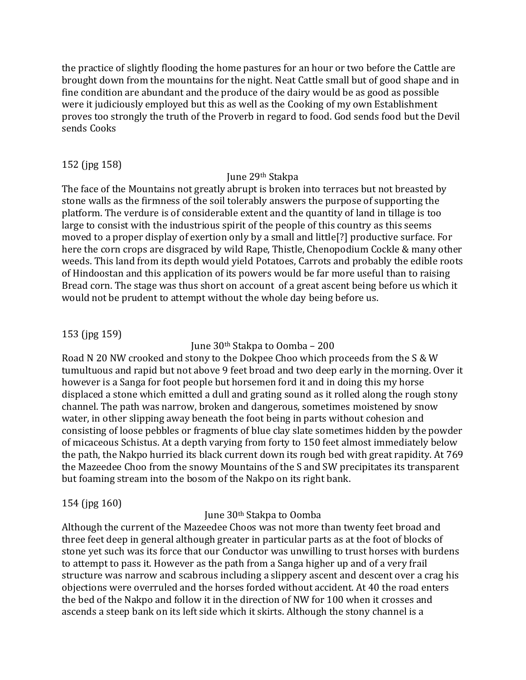the practice of slightly flooding the home pastures for an hour or two before the Cattle are brought down from the mountains for the night. Neat Cattle small but of good shape and in fine condition are abundant and the produce of the dairy would be as good as possible were it judiciously employed but this as well as the Cooking of my own Establishment proves too strongly the truth of the Proverb in regard to food. God sends food but the Devil sends Cooks

# 152 (jpg 158)

#### June 29th Stakpa

The face of the Mountains not greatly abrupt is broken into terraces but not breasted by stone walls as the firmness of the soil tolerably answers the purpose of supporting the platform. The verdure is of considerable extent and the quantity of land in tillage is too large to consist with the industrious spirit of the people of this country as this seems moved to a proper display of exertion only by a small and little[?] productive surface. For here the corn crops are disgraced by wild Rape, Thistle, Chenopodium Cockle & many other weeds. This land from its depth would yield Potatoes, Carrots and probably the edible roots of Hindoostan and this application of its powers would be far more useful than to raising Bread corn. The stage was thus short on account of a great ascent being before us which it would not be prudent to attempt without the whole day being before us.

### 153 (jpg 159)

### June 30th Stakpa to Oomba – 200

Road N 20 NW crooked and stony to the Dokpee Choo which proceeds from the S & W tumultuous and rapid but not above 9 feet broad and two deep early in the morning. Over it however is a Sanga for foot people but horsemen ford it and in doing this my horse displaced a stone which emitted a dull and grating sound as it rolled along the rough stony channel. The path was narrow, broken and dangerous, sometimes moistened by snow water, in other slipping away beneath the foot being in parts without cohesion and consisting of loose pebbles or fragments of blue clay slate sometimes hidden by the powder of micaceous Schistus. At a depth varying from forty to 150 feet almost immediately below the path, the Nakpo hurried its black current down its rough bed with great rapidity. At 769 the Mazeedee Choo from the snowy Mountains of the S and SW precipitates its transparent but foaming stream into the bosom of the Nakpo on its right bank.

### 154 (jpg 160)

### June 30th Stakpa to Oomba

Although the current of the Mazeedee Choos was not more than twenty feet broad and three feet deep in general although greater in particular parts as at the foot of blocks of stone yet such was its force that our Conductor was unwilling to trust horses with burdens to attempt to pass it. However as the path from a Sanga higher up and of a very frail structure was narrow and scabrous including a slippery ascent and descent over a crag his objections were overruled and the horses forded without accident. At 40 the road enters the bed of the Nakpo and follow it in the direction of NW for 100 when it crosses and ascends a steep bank on its left side which it skirts. Although the stony channel is a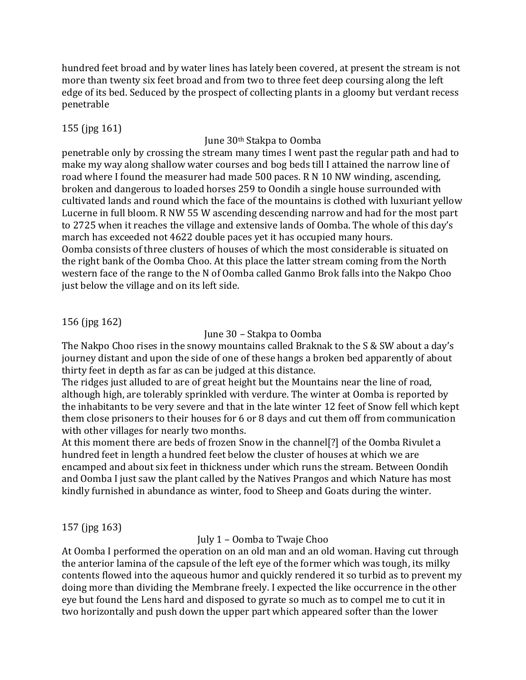hundred feet broad and by water lines has lately been covered, at present the stream is not more than twenty six feet broad and from two to three feet deep coursing along the left edge of its bed. Seduced by the prospect of collecting plants in a gloomy but verdant recess penetrable

# 155 (jpg 161)

# June 30th Stakpa to Oomba

penetrable only by crossing the stream many times I went past the regular path and had to make my way along shallow water courses and bog beds till I attained the narrow line of road where I found the measurer had made 500 paces. R N 10 NW winding, ascending, broken and dangerous to loaded horses 259 to Oondih a single house surrounded with cultivated lands and round which the face of the mountains is clothed with luxuriant yellow Lucerne in full bloom. R NW 55 W ascending descending narrow and had for the most part to 2725 when it reaches the village and extensive lands of Oomba. The whole of this day's march has exceeded not 4622 double paces yet it has occupied many hours. Oomba consists of three clusters of houses of which the most considerable is situated on the right bank of the Oomba Choo. At this place the latter stream coming from the North western face of the range to the N of Oomba called Ganmo Brok falls into the Nakpo Choo just below the village and on its left side.

# 156 (jpg 162)

June 30 – Stakpa to Oomba

The Nakpo Choo rises in the snowy mountains called Braknak to the S & SW about a day's journey distant and upon the side of one of these hangs a broken bed apparently of about thirty feet in depth as far as can be judged at this distance.

The ridges just alluded to are of great height but the Mountains near the line of road, although high, are tolerably sprinkled with verdure. The winter at Oomba is reported by the inhabitants to be very severe and that in the late winter 12 feet of Snow fell which kept them close prisoners to their houses for 6 or 8 days and cut them off from communication with other villages for nearly two months.

At this moment there are beds of frozen Snow in the channel[?] of the Oomba Rivulet a hundred feet in length a hundred feet below the cluster of houses at which we are encamped and about six feet in thickness under which runs the stream. Between Oondih and Oomba I just saw the plant called by the Natives Prangos and which Nature has most kindly furnished in abundance as winter, food to Sheep and Goats during the winter.

# 157 (jpg 163)

July 1 – Oomba to Twaje Choo

At Oomba I performed the operation on an old man and an old woman. Having cut through the anterior lamina of the capsule of the left eye of the former which was tough, its milky contents flowed into the aqueous humor and quickly rendered it so turbid as to prevent my doing more than dividing the Membrane freely. I expected the like occurrence in the other eye but found the Lens hard and disposed to gyrate so much as to compel me to cut it in two horizontally and push down the upper part which appeared softer than the lower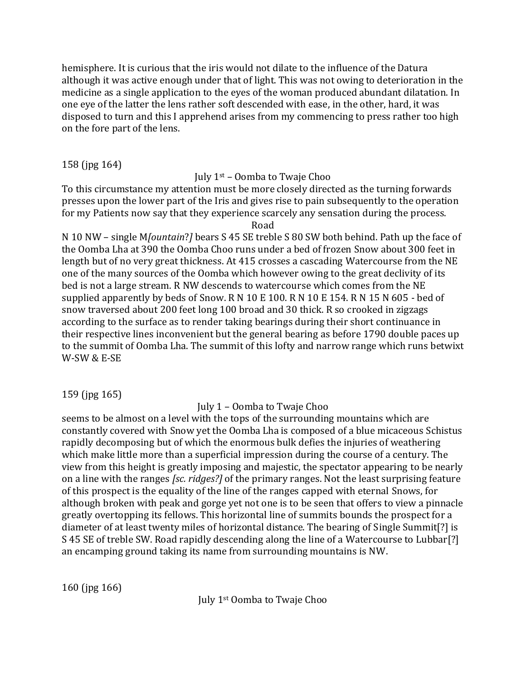hemisphere. It is curious that the iris would not dilate to the influence of the Datura although it was active enough under that of light. This was not owing to deterioration in the medicine as a single application to the eyes of the woman produced abundant dilatation. In one eye of the latter the lens rather soft descended with ease, in the other, hard, it was disposed to turn and this I apprehend arises from my commencing to press rather too high on the fore part of the lens.

158 (jpg 164)

# July  $1<sup>st</sup>$  – Oomba to Twaje Choo

To this circumstance my attention must be more closely directed as the turning forwards presses upon the lower part of the Iris and gives rise to pain subsequently to the operation for my Patients now say that they experience scarcely any sensation during the process.

Road

N 10 NW – single M*[ountain*?*]* bears S 45 SE treble S 80 SW both behind. Path up the face of the Oomba Lha at 390 the Oomba Choo runs under a bed of frozen Snow about 300 feet in length but of no very great thickness. At 415 crosses a cascading Watercourse from the NE one of the many sources of the Oomba which however owing to the great declivity of its bed is not a large stream. R NW descends to watercourse which comes from the NE supplied apparently by beds of Snow. R N 10 E 100. R N 10 E 154. R N 15 N 605 - bed of snow traversed about 200 feet long 100 broad and 30 thick. R so crooked in zigzags according to the surface as to render taking bearings during their short continuance in their respective lines inconvenient but the general bearing as before 1790 double paces up to the summit of Oomba Lha. The summit of this lofty and narrow range which runs betwixt W-SW & E-SE

159 (jpg 165)

# July 1 – Oomba to Twaje Choo

seems to be almost on a level with the tops of the surrounding mountains which are constantly covered with Snow yet the Oomba Lha is composed of a blue micaceous Schistus rapidly decomposing but of which the enormous bulk defies the injuries of weathering which make little more than a superficial impression during the course of a century. The view from this height is greatly imposing and majestic, the spectator appearing to be nearly on a line with the ranges *[sc. ridges?]* of the primary ranges. Not the least surprising feature of this prospect is the equality of the line of the ranges capped with eternal Snows, for although broken with peak and gorge yet not one is to be seen that offers to view a pinnacle greatly overtopping its fellows. This horizontal line of summits bounds the prospect for a diameter of at least twenty miles of horizontal distance. The bearing of Single Summit[?] is S 45 SE of treble SW. Road rapidly descending along the line of a Watercourse to Lubbar[?] an encamping ground taking its name from surrounding mountains is NW.

160 (jpg 166)

July 1st Oomba to Twaje Choo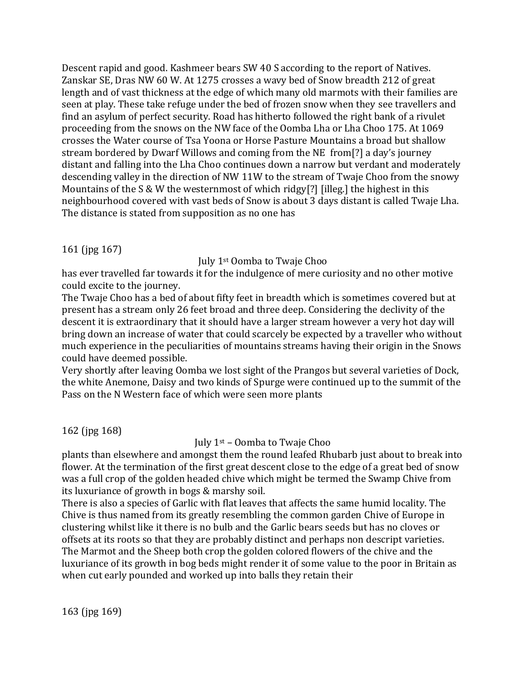Descent rapid and good. Kashmeer bears SW 40 S according to the report of Natives. Zanskar SE, Dras NW 60 W. At 1275 crosses a wavy bed of Snow breadth 212 of great length and of vast thickness at the edge of which many old marmots with their families are seen at play. These take refuge under the bed of frozen snow when they see travellers and find an asylum of perfect security. Road has hitherto followed the right bank of a rivulet proceeding from the snows on the NW face of the Oomba Lha or Lha Choo 175. At 1069 crosses the Water course of Tsa Yoona or Horse Pasture Mountains a broad but shallow stream bordered by Dwarf Willows and coming from the NE from[?] a day's journey distant and falling into the Lha Choo continues down a narrow but verdant and moderately descending valley in the direction of NW 11W to the stream of Twaje Choo from the snowy Mountains of the S & W the westernmost of which ridgy[?] [illeg.] the highest in this neighbourhood covered with vast beds of Snow is about 3 days distant is called Twaje Lha. The distance is stated from supposition as no one has

# 161 (jpg 167)

### July 1st Oomba to Twaje Choo

has ever travelled far towards it for the indulgence of mere curiosity and no other motive could excite to the journey.

The Twaje Choo has a bed of about fifty feet in breadth which is sometimes covered but at present has a stream only 26 feet broad and three deep. Considering the declivity of the descent it is extraordinary that it should have a larger stream however a very hot day will bring down an increase of water that could scarcely be expected by a traveller who without much experience in the peculiarities of mountains streams having their origin in the Snows could have deemed possible.

Very shortly after leaving Oomba we lost sight of the Prangos but several varieties of Dock, the white Anemone, Daisy and two kinds of Spurge were continued up to the summit of the Pass on the N Western face of which were seen more plants

162 (jpg 168)

# July 1st – Oomba to Twaje Choo

plants than elsewhere and amongst them the round leafed Rhubarb just about to break into flower. At the termination of the first great descent close to the edge of a great bed of snow was a full crop of the golden headed chive which might be termed the Swamp Chive from its luxuriance of growth in bogs & marshy soil.

There is also a species of Garlic with flat leaves that affects the same humid locality. The Chive is thus named from its greatly resembling the common garden Chive of Europe in clustering whilst like it there is no bulb and the Garlic bears seeds but has no cloves or offsets at its roots so that they are probably distinct and perhaps non descript varieties. The Marmot and the Sheep both crop the golden colored flowers of the chive and the luxuriance of its growth in bog beds might render it of some value to the poor in Britain as when cut early pounded and worked up into balls they retain their

163 (jpg 169)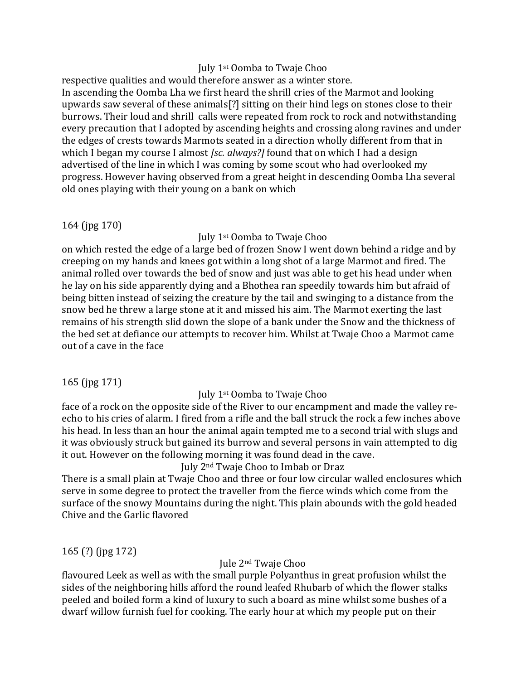### July 1st Oomba to Twaje Choo

respective qualities and would therefore answer as a winter store. In ascending the Oomba Lha we first heard the shrill cries of the Marmot and looking upwards saw several of these animals[?] sitting on their hind legs on stones close to their burrows. Their loud and shrill calls were repeated from rock to rock and notwithstanding every precaution that I adopted by ascending heights and crossing along ravines and under the edges of crests towards Marmots seated in a direction wholly different from that in which I began my course I almost *[sc. always?]* found that on which I had a design advertised of the line in which I was coming by some scout who had overlooked my progress. However having observed from a great height in descending Oomba Lha several old ones playing with their young on a bank on which

# 164 (jpg 170)

# July 1st Oomba to Twaje Choo

on which rested the edge of a large bed of frozen Snow I went down behind a ridge and by creeping on my hands and knees got within a long shot of a large Marmot and fired. The animal rolled over towards the bed of snow and just was able to get his head under when he lay on his side apparently dying and a Bhothea ran speedily towards him but afraid of being bitten instead of seizing the creature by the tail and swinging to a distance from the snow bed he threw a large stone at it and missed his aim. The Marmot exerting the last remains of his strength slid down the slope of a bank under the Snow and the thickness of the bed set at defiance our attempts to recover him. Whilst at Twaje Choo a Marmot came out of a cave in the face

# 165 (jpg 171)

# July 1st Oomba to Twaje Choo

face of a rock on the opposite side of the River to our encampment and made the valley reecho to his cries of alarm. I fired from a rifle and the ball struck the rock a few inches above his head. In less than an hour the animal again tempted me to a second trial with slugs and it was obviously struck but gained its burrow and several persons in vain attempted to dig it out. However on the following morning it was found dead in the cave.

### July 2nd Twaje Choo to Imbab or Draz

There is a small plain at Twaje Choo and three or four low circular walled enclosures which serve in some degree to protect the traveller from the fierce winds which come from the surface of the snowy Mountains during the night. This plain abounds with the gold headed Chive and the Garlic flavored

165 (?) (jpg 172)

# Jule 2nd Twaje Choo

flavoured Leek as well as with the small purple Polyanthus in great profusion whilst the sides of the neighboring hills afford the round leafed Rhubarb of which the flower stalks peeled and boiled form a kind of luxury to such a board as mine whilst some bushes of a dwarf willow furnish fuel for cooking. The early hour at which my people put on their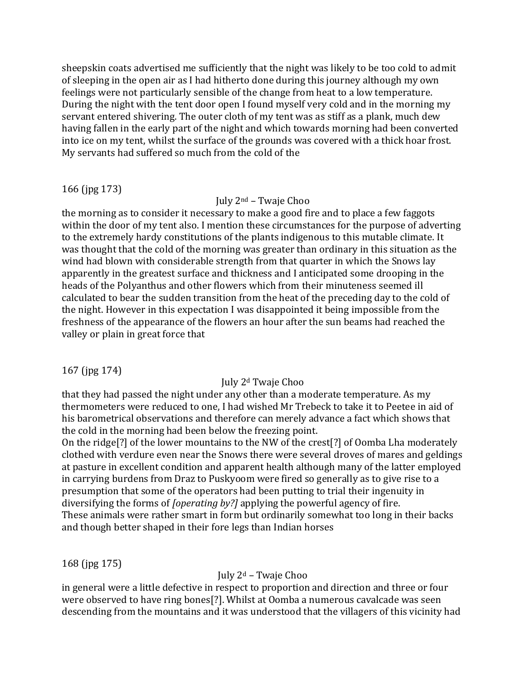sheepskin coats advertised me sufficiently that the night was likely to be too cold to admit of sleeping in the open air as I had hitherto done during this journey although my own feelings were not particularly sensible of the change from heat to a low temperature. During the night with the tent door open I found myself very cold and in the morning my servant entered shivering. The outer cloth of my tent was as stiff as a plank, much dew having fallen in the early part of the night and which towards morning had been converted into ice on my tent, whilst the surface of the grounds was covered with a thick hoar frost. My servants had suffered so much from the cold of the

#### 166 (jpg 173)

#### July 2nd – Twaje Choo

the morning as to consider it necessary to make a good fire and to place a few faggots within the door of my tent also. I mention these circumstances for the purpose of adverting to the extremely hardy constitutions of the plants indigenous to this mutable climate. It was thought that the cold of the morning was greater than ordinary in this situation as the wind had blown with considerable strength from that quarter in which the Snows lay apparently in the greatest surface and thickness and I anticipated some drooping in the heads of the Polyanthus and other flowers which from their minuteness seemed ill calculated to bear the sudden transition from the heat of the preceding day to the cold of the night. However in this expectation I was disappointed it being impossible from the freshness of the appearance of the flowers an hour after the sun beams had reached the valley or plain in great force that

### 167 (jpg 174)

### July 2<sup>d</sup> Twaje Choo

that they had passed the night under any other than a moderate temperature. As my thermometers were reduced to one, I had wished Mr Trebeck to take it to Peetee in aid of his barometrical observations and therefore can merely advance a fact which shows that the cold in the morning had been below the freezing point.

On the ridge[?] of the lower mountains to the NW of the crest[?] of Oomba Lha moderately clothed with verdure even near the Snows there were several droves of mares and geldings at pasture in excellent condition and apparent health although many of the latter employed in carrying burdens from Draz to Puskyoom were fired so generally as to give rise to a presumption that some of the operators had been putting to trial their ingenuity in diversifying the forms of *[operating by?]* applying the powerful agency of fire. These animals were rather smart in form but ordinarily somewhat too long in their backs and though better shaped in their fore legs than Indian horses

### 168 (jpg 175)

### July  $2^d$  – Twaje Choo

in general were a little defective in respect to proportion and direction and three or four were observed to have ring bones[?]. Whilst at Oomba a numerous cavalcade was seen descending from the mountains and it was understood that the villagers of this vicinity had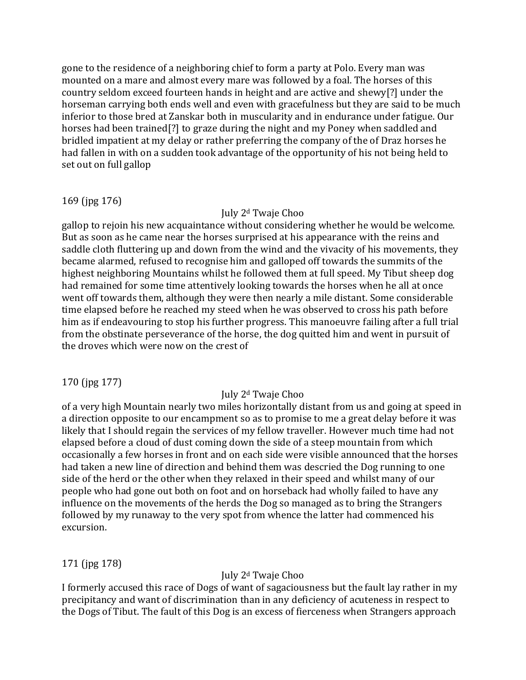gone to the residence of a neighboring chief to form a party at Polo. Every man was mounted on a mare and almost every mare was followed by a foal. The horses of this country seldom exceed fourteen hands in height and are active and shewy[?] under the horseman carrying both ends well and even with gracefulness but they are said to be much inferior to those bred at Zanskar both in muscularity and in endurance under fatigue. Our horses had been trained[?] to graze during the night and my Poney when saddled and bridled impatient at my delay or rather preferring the company of the of Draz horses he had fallen in with on a sudden took advantage of the opportunity of his not being held to set out on full gallop

### 169 (jpg 176)

### July 2<sup>d</sup> Twaje Choo

gallop to rejoin his new acquaintance without considering whether he would be welcome. But as soon as he came near the horses surprised at his appearance with the reins and saddle cloth fluttering up and down from the wind and the vivacity of his movements, they became alarmed, refused to recognise him and galloped off towards the summits of the highest neighboring Mountains whilst he followed them at full speed. My Tibut sheep dog had remained for some time attentively looking towards the horses when he all at once went off towards them, although they were then nearly a mile distant. Some considerable time elapsed before he reached my steed when he was observed to cross his path before him as if endeavouring to stop his further progress. This manoeuvre failing after a full trial from the obstinate perseverance of the horse, the dog quitted him and went in pursuit of the droves which were now on the crest of

# 170 (jpg 177)

# July 2<sup>d</sup> Twaje Choo

of a very high Mountain nearly two miles horizontally distant from us and going at speed in a direction opposite to our encampment so as to promise to me a great delay before it was likely that I should regain the services of my fellow traveller. However much time had not elapsed before a cloud of dust coming down the side of a steep mountain from which occasionally a few horses in front and on each side were visible announced that the horses had taken a new line of direction and behind them was descried the Dog running to one side of the herd or the other when they relaxed in their speed and whilst many of our people who had gone out both on foot and on horseback had wholly failed to have any influence on the movements of the herds the Dog so managed as to bring the Strangers followed by my runaway to the very spot from whence the latter had commenced his excursion.

# 171 (jpg 178)

# July 2<sup>d</sup> Twaje Choo

I formerly accused this race of Dogs of want of sagaciousness but the fault lay rather in my precipitancy and want of discrimination than in any deficiency of acuteness in respect to the Dogs of Tibut. The fault of this Dog is an excess of fierceness when Strangers approach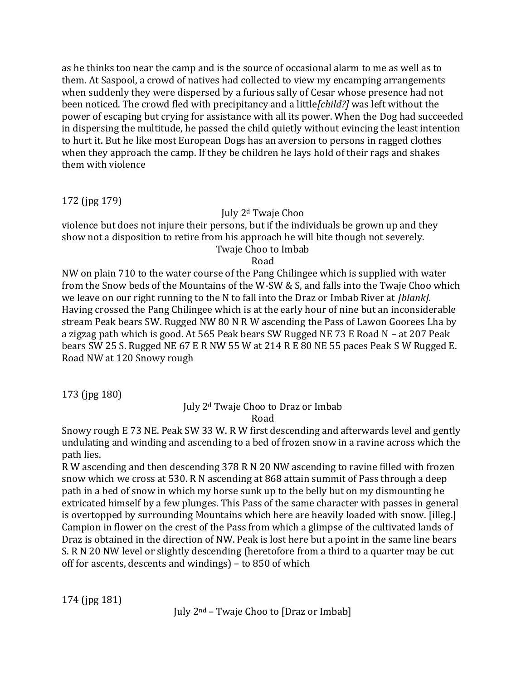as he thinks too near the camp and is the source of occasional alarm to me as well as to them. At Saspool, a crowd of natives had collected to view my encamping arrangements when suddenly they were dispersed by a furious sally of Cesar whose presence had not been noticed. The crowd fled with precipitancy and a little*[child?]* was left without the power of escaping but crying for assistance with all its power. When the Dog had succeeded in dispersing the multitude, he passed the child quietly without evincing the least intention to hurt it. But he like most European Dogs has an aversion to persons in ragged clothes when they approach the camp. If they be children he lays hold of their rags and shakes them with violence

172 (jpg 179)

# July 2<sup>d</sup> Twaje Choo

violence but does not injure their persons, but if the individuals be grown up and they show not a disposition to retire from his approach he will bite though not severely. Twaje Choo to Imbab

Road

NW on plain 710 to the water course of the Pang Chilingee which is supplied with water from the Snow beds of the Mountains of the W-SW & S, and falls into the Twaje Choo which we leave on our right running to the N to fall into the Draz or Imbab River at *[blank].* Having crossed the Pang Chilingee which is at the early hour of nine but an inconsiderable stream Peak bears SW. Rugged NW 80 N R W ascending the Pass of Lawon Goorees Lha by a zigzag path which is good. At 565 Peak bears SW Rugged NE 73 E Road N – at 207 Peak bears SW 25 S. Rugged NE 67 E R NW 55 W at 214 R E 80 NE 55 paces Peak S W Rugged E. Road NW at 120 Snowy rough

173 (jpg 180)

#### July 2<sup>d</sup> Twaje Choo to Draz or Imbab Road

Snowy rough E 73 NE. Peak SW 33 W. R W first descending and afterwards level and gently undulating and winding and ascending to a bed of frozen snow in a ravine across which the path lies.

R W ascending and then descending 378 R N 20 NW ascending to ravine filled with frozen snow which we cross at 530. R N ascending at 868 attain summit of Pass through a deep path in a bed of snow in which my horse sunk up to the belly but on my dismounting he extricated himself by a few plunges. This Pass of the same character with passes in general is overtopped by surrounding Mountains which here are heavily loaded with snow. [illeg.] Campion in flower on the crest of the Pass from which a glimpse of the cultivated lands of Draz is obtained in the direction of NW. Peak is lost here but a point in the same line bears S. R N 20 NW level or slightly descending (heretofore from a third to a quarter may be cut off for ascents, descents and windings) – to 850 of which

174 (jpg 181)

July 2nd – Twaje Choo to [Draz or Imbab]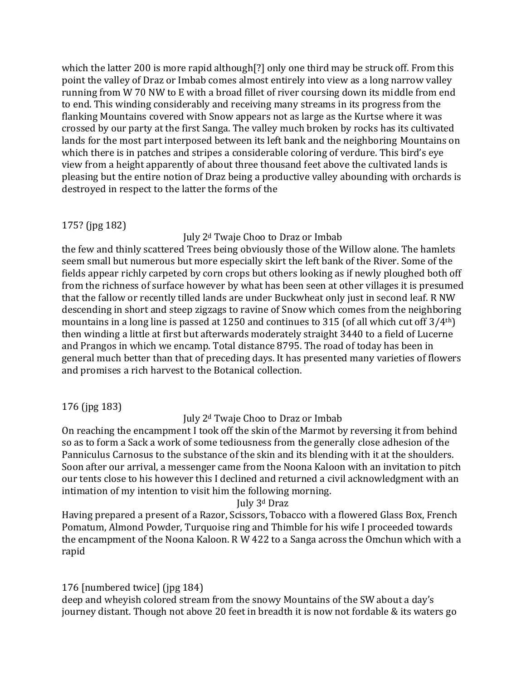which the latter 200 is more rapid although[?] only one third may be struck off. From this point the valley of Draz or Imbab comes almost entirely into view as a long narrow valley running from W 70 NW to E with a broad fillet of river coursing down its middle from end to end. This winding considerably and receiving many streams in its progress from the flanking Mountains covered with Snow appears not as large as the Kurtse where it was crossed by our party at the first Sanga. The valley much broken by rocks has its cultivated lands for the most part interposed between its left bank and the neighboring Mountains on which there is in patches and stripes a considerable coloring of verdure. This bird's eye view from a height apparently of about three thousand feet above the cultivated lands is pleasing but the entire notion of Draz being a productive valley abounding with orchards is destroyed in respect to the latter the forms of the

### 175? (jpg 182)

### July 2<sup>d</sup> Twaje Choo to Draz or Imbab

the few and thinly scattered Trees being obviously those of the Willow alone. The hamlets seem small but numerous but more especially skirt the left bank of the River. Some of the fields appear richly carpeted by corn crops but others looking as if newly ploughed both off from the richness of surface however by what has been seen at other villages it is presumed that the fallow or recently tilled lands are under Buckwheat only just in second leaf. R NW descending in short and steep zigzags to ravine of Snow which comes from the neighboring mountains in a long line is passed at 1250 and continues to 315 (of all which cut off 3/4th) then winding a little at first but afterwards moderately straight 3440 to a field of Lucerne and Prangos in which we encamp. Total distance 8795. The road of today has been in general much better than that of preceding days. It has presented many varieties of flowers and promises a rich harvest to the Botanical collection.

176 (jpg 183)

# July 2<sup>d</sup> Twaje Choo to Draz or Imbab

On reaching the encampment I took off the skin of the Marmot by reversing it from behind so as to form a Sack a work of some tediousness from the generally close adhesion of the Panniculus Carnosus to the substance of the skin and its blending with it at the shoulders. Soon after our arrival, a messenger came from the Noona Kaloon with an invitation to pitch our tents close to his however this I declined and returned a civil acknowledgment with an intimation of my intention to visit him the following morning.

### July 3<sup>d</sup> Draz

Having prepared a present of a Razor, Scissors, Tobacco with a flowered Glass Box, French Pomatum, Almond Powder, Turquoise ring and Thimble for his wife I proceeded towards the encampment of the Noona Kaloon. R W 422 to a Sanga across the Omchun which with a rapid

# 176 [numbered twice] (jpg 184)

deep and wheyish colored stream from the snowy Mountains of the SW about a day's journey distant. Though not above 20 feet in breadth it is now not fordable & its waters go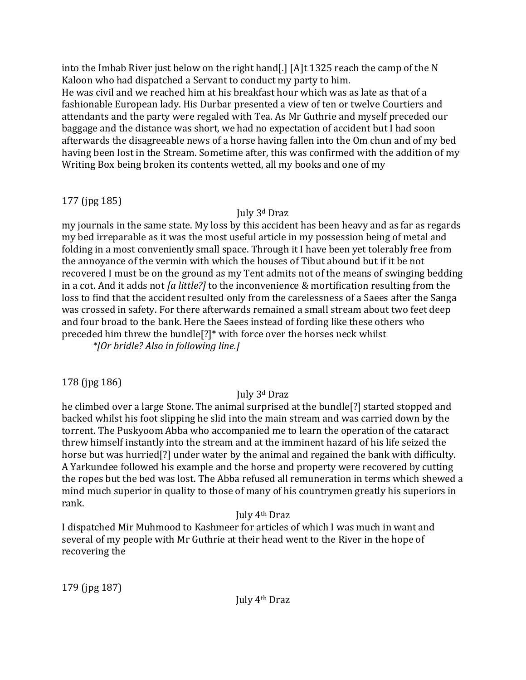into the Imbab River just below on the right hand[.] [A]t 1325 reach the camp of the N Kaloon who had dispatched a Servant to conduct my party to him.

He was civil and we reached him at his breakfast hour which was as late as that of a fashionable European lady. His Durbar presented a view of ten or twelve Courtiers and attendants and the party were regaled with Tea. As Mr Guthrie and myself preceded our baggage and the distance was short, we had no expectation of accident but I had soon afterwards the disagreeable news of a horse having fallen into the Om chun and of my bed having been lost in the Stream. Sometime after, this was confirmed with the addition of my Writing Box being broken its contents wetted, all my books and one of my

# 177 (jpg 185)

# July 3<sup>d</sup> Draz

my journals in the same state. My loss by this accident has been heavy and as far as regards my bed irreparable as it was the most useful article in my possession being of metal and folding in a most conveniently small space. Through it I have been yet tolerably free from the annoyance of the vermin with which the houses of Tibut abound but if it be not recovered I must be on the ground as my Tent admits not of the means of swinging bedding in a cot. And it adds not *[a little?]* to the inconvenience & mortification resulting from the loss to find that the accident resulted only from the carelessness of a Saees after the Sanga was crossed in safety. For there afterwards remained a small stream about two feet deep and four broad to the bank. Here the Saees instead of fording like these others who preceded him threw the bundle[?]\* with force over the horses neck whilst

*\*[Or bridle? Also in following line.]*

# 178 (jpg 186)

# July 3<sup>d</sup> Draz

he climbed over a large Stone. The animal surprised at the bundle[?] started stopped and backed whilst his foot slipping he slid into the main stream and was carried down by the torrent. The Puskyoom Abba who accompanied me to learn the operation of the cataract threw himself instantly into the stream and at the imminent hazard of his life seized the horse but was hurried[?] under water by the animal and regained the bank with difficulty. A Yarkundee followed his example and the horse and property were recovered by cutting the ropes but the bed was lost. The Abba refused all remuneration in terms which shewed a mind much superior in quality to those of many of his countrymen greatly his superiors in rank.

# July 4th Draz

I dispatched Mir Muhmood to Kashmeer for articles of which I was much in want and several of my people with Mr Guthrie at their head went to the River in the hope of recovering the